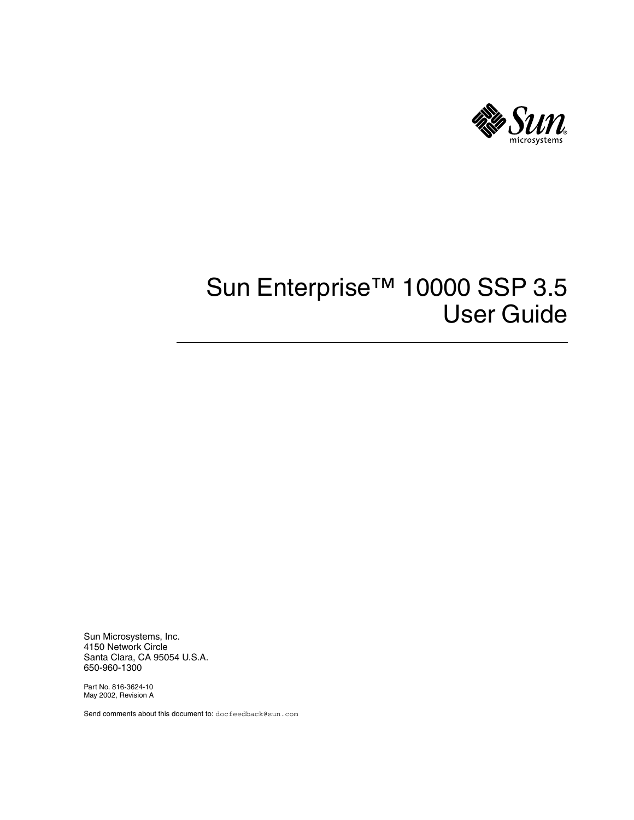

# Sun Enterprise<sup>™</sup> 10000 SSP 3.5 User Guide

Sun Microsystems, Inc. 4150 Network Circle Santa Clara, CA 95054 U.S.A. 650-960-1300

Part No. 816-3624-10 May 2002, Revision A

Send comments about this document to: docfeedback@sun.com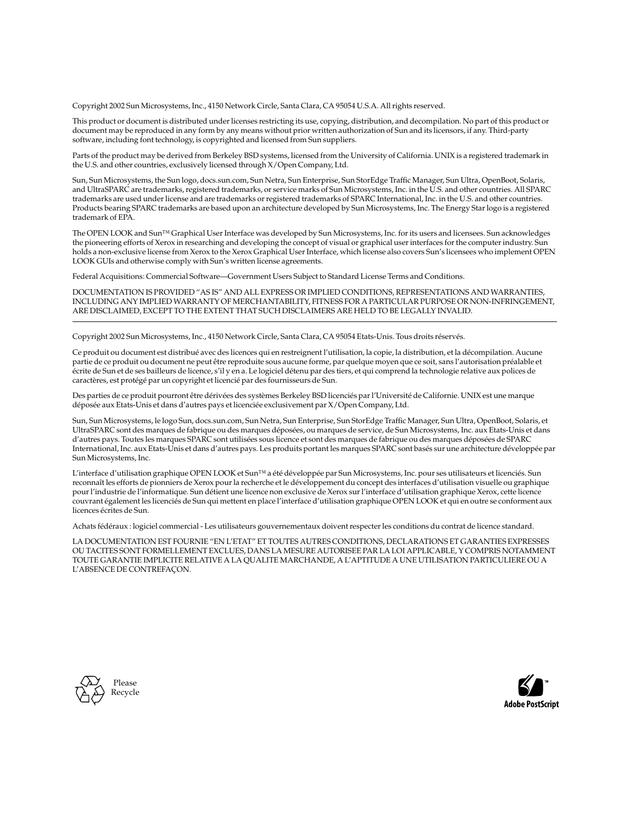Copyright 2002 Sun Microsystems, Inc., 4150 Network Circle, Santa Clara, CA 95054 U.S.A. All rights reserved.

This product or document is distributed under licenses restricting its use, copying, distribution, and decompilation. No part of this product or document may be reproduced in any form by any means without prior written authorization of Sun and its licensors, if any. Third-party software, including font technology, is copyrighted and licensed from Sun suppliers.

Parts of the product may be derived from Berkeley BSD systems, licensed from the University of California. UNIX is a registered trademark in the U.S. and other countries, exclusively licensed through X/Open Company, Ltd.

Sun, Sun Microsystems, the Sun logo, docs.sun.com, Sun Netra, Sun Enterprise, Sun StorEdge Traffic Manager, Sun Ultra, OpenBoot, Solaris, and UltraSPARC are trademarks, registered trademarks, or service marks of Sun Microsystems, Inc. in the U.S. and other countries. All SPARC trademarks are used under license and are trademarks or registered trademarks of SPARC International, Inc. in the U.S. and other countries. Products bearing SPARC trademarks are based upon an architecture developed by Sun Microsystems, Inc. The Energy Star logo is a registered trademark of EPA.

The OPEN LOOK and Sun™ Graphical User Interface was developed by Sun Microsystems, Inc. for its users and licensees. Sun acknowledges the pioneering efforts of Xerox in researching and developing the concept of visual or graphical user interfaces for the computer industry. Sun holds a non-exclusive license from Xerox to the Xerox Graphical User Interface, which license also covers Sun's licensees who implement OPEN LOOK GUIs and otherwise comply with Sun's written license agreements.

Federal Acquisitions: Commercial Software—Government Users Subject to Standard License Terms and Conditions.

DOCUMENTATION IS PROVIDED "AS IS" AND ALL EXPRESS OR IMPLIED CONDITIONS, REPRESENTATIONS AND WARRANTIES, INCLUDING ANY IMPLIED WARRANTY OF MERCHANTABILITY, FITNESS FOR A PARTICULAR PURPOSE OR NON-INFRINGEMENT, ARE DISCLAIMED, EXCEPT TO THE EXTENT THAT SUCH DISCLAIMERS ARE HELD TO BE LEGALLY INVALID.

Copyright 2002 Sun Microsystems, Inc., 4150 Network Circle, Santa Clara, CA 95054 Etats-Unis. Tous droits réservés.

Ce produit ou document est distribué avec des licences qui en restreignent l'utilisation, la copie, la distribution, et la décompilation. Aucune partie de ce produit ou document ne peut être reproduite sous aucune forme, par quelque moyen que ce soit, sans l'autorisation préalable et écrite de Sun et de ses bailleurs de licence, s'il y en a. Le logiciel détenu par des tiers, et qui comprend la technologie relative aux polices de caractères, est protégé par un copyright et licencié par des fournisseurs de Sun.

Des parties de ce produit pourront être dérivées des systèmes Berkeley BSD licenciés par l'Université de Californie. UNIX est une marque déposée aux Etats-Unis et dans d'autres pays et licenciée exclusivement par X/Open Company, Ltd.

Sun, Sun Microsystems, le logo Sun, docs.sun.com, Sun Netra, Sun Enterprise, Sun StorEdge Traffic Manager, Sun Ultra, OpenBoot, Solaris, et UltraSPARC sont des marques de fabrique ou des marques déposées, ou marques de service, de Sun Microsystems, Inc. aux Etats-Unis et dans d'autres pays. Toutes les marques SPARC sont utilisées sous licence et sont des marques de fabrique ou des marques déposées de SPARC International, Inc. aux Etats-Unis et dans d'autres pays. Les produits portant les marques SPARC sont basés sur une architecture développée par Sun Microsystems, Inc.

L'interface d'utilisation graphique OPEN LOOK et Sun™ a été développée par Sun Microsystems, Inc. pour ses utilisateurs et licenciés. Sun reconnaît les efforts de pionniers de Xerox pour la recherche et le développement du concept des interfaces d'utilisation visuelle ou graphique pour l'industrie de l'informatique. Sun détient une licence non exclusive de Xerox sur l'interface d'utilisation graphique Xerox, cette licence couvrant également les licenciés de Sun qui mettent en place l'interface d'utilisation graphique OPEN LOOK et qui en outre se conforment aux licences écrites de Sun.

Achats fédéraux : logiciel commercial - Les utilisateurs gouvernementaux doivent respecter les conditions du contrat de licence standard.

LA DOCUMENTATION EST FOURNIE "EN L'ETAT" ET TOUTES AUTRES CONDITIONS, DECLARATIONS ET GARANTIES EXPRESSES OU TACITES SONT FORMELLEMENT EXCLUES, DANS LA MESURE AUTORISEE PAR LA LOI APPLICABLE, Y COMPRIS NOTAMMENT TOUTE GARANTIE IMPLICITE RELATIVE A LA QUALITE MARCHANDE, A L'APTITUDE A UNE UTILISATION PARTICULIERE OU A L'ABSENCE DE CONTREFAÇON.



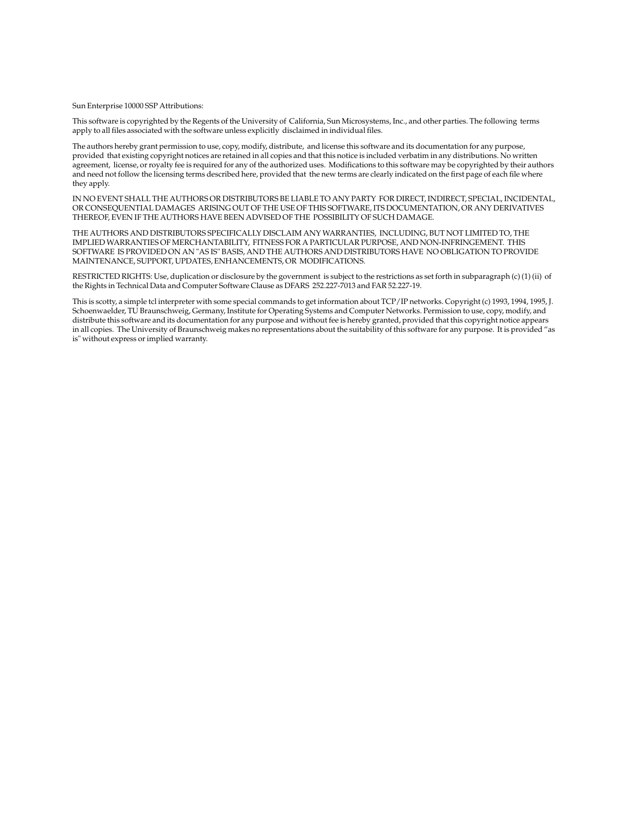Sun Enterprise 10000 SSP Attributions:

This software is copyrighted by the Regents of the University of California, Sun Microsystems, Inc., and other parties. The following terms apply to all files associated with the software unless explicitly disclaimed in individual files.

The authors hereby grant permission to use, copy, modify, distribute, and license this software and its documentation for any purpose, provided that existing copyright notices are retained in all copies and that this notice is included verbatim in any distributions. No written agreement, license, or royalty fee is required for any of the authorized uses. Modifications to this software may be copyrighted by their authors and need not follow the licensing terms described here, provided that the new terms are clearly indicated on the first page of each file where they apply.

IN NO EVENT SHALL THE AUTHORS OR DISTRIBUTORS BE LIABLE TO ANY PARTY FOR DIRECT, INDIRECT, SPECIAL, INCIDENTAL, OR CONSEQUENTIAL DAMAGES ARISING OUT OF THE USE OF THIS SOFTWARE, ITS DOCUMENTATION, OR ANY DERIVATIVES THEREOF, EVEN IF THE AUTHORS HAVE BEEN ADVISED OF THE POSSIBILITY OF SUCH DAMAGE.

THE AUTHORS AND DISTRIBUTORS SPECIFICALLY DISCLAIM ANY WARRANTIES, INCLUDING, BUT NOT LIMITED TO, THE IMPLIED WARRANTIES OF MERCHANTABILITY, FITNESS FOR A PARTICULAR PURPOSE, AND NON-INFRINGEMENT. THIS SOFTWARE IS PROVIDED ON AN "AS IS" BASIS, AND THE AUTHORS AND DISTRIBUTORS HAVE NO OBLIGATION TO PROVIDE MAINTENANCE, SUPPORT, UPDATES, ENHANCEMENTS, OR MODIFICATIONS.

RESTRICTED RIGHTS: Use, duplication or disclosure by the government is subject to the restrictions as set forth in subparagraph (c) (1) (ii) of the Rights in Technical Data and Computer Software Clause as DFARS 252.227-7013 and FAR 52.227-19.

This is scotty, a simple tcl interpreter with some special commands to get information about TCP/IP networks. Copyright (c) 1993, 1994, 1995, J. Schoenwaelder, TU Braunschweig, Germany, Institute for Operating Systems and Computer Networks. Permission to use, copy, modify, and distribute this software and its documentation for any purpose and without fee is hereby granted, provided that this copyright notice appears in all copies. The University of Braunschweig makes no representations about the suitability of this software for any purpose. It is provided "as is" without express or implied warranty.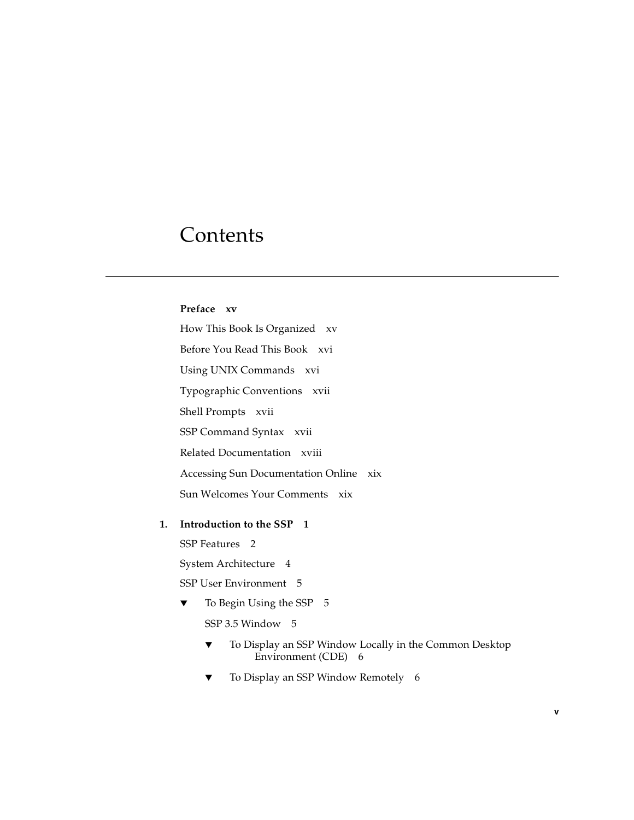### Contents

#### **[Preface](#page-14-0) xv**

[How This Book Is Organized](#page-14-1) xv [Before You Read This Book](#page-15-0) xvi [Using UNIX Commands x](#page-15-1)vi [Typographic Conventions](#page-16-0) xvii [Shell Prompts](#page-16-1) xvii [SSP Command Syntax x](#page-16-2)vii [Related Documentation](#page-17-0) xviii [Accessing Sun Documentation Online](#page-18-0) xix [Sun Welcomes Your Comments](#page-18-1) xix

#### **1. [Introduction to the SSP](#page-20-0) 1**

[SSP Features 2](#page-21-0)

[System Architecture 4](#page-23-0)

[SSP User Environment 5](#page-24-0)

▼ [To Begin Using the SSP 5](#page-24-1)

[SSP 3.5 Window 5](#page-24-2)

- ▼ [To Display an SSP Window Locally in the Common Desktop](#page-25-0) [Environment \(CDE\)](#page-25-0) 6
- [To Display an SSP Window Remotely 6](#page-25-1)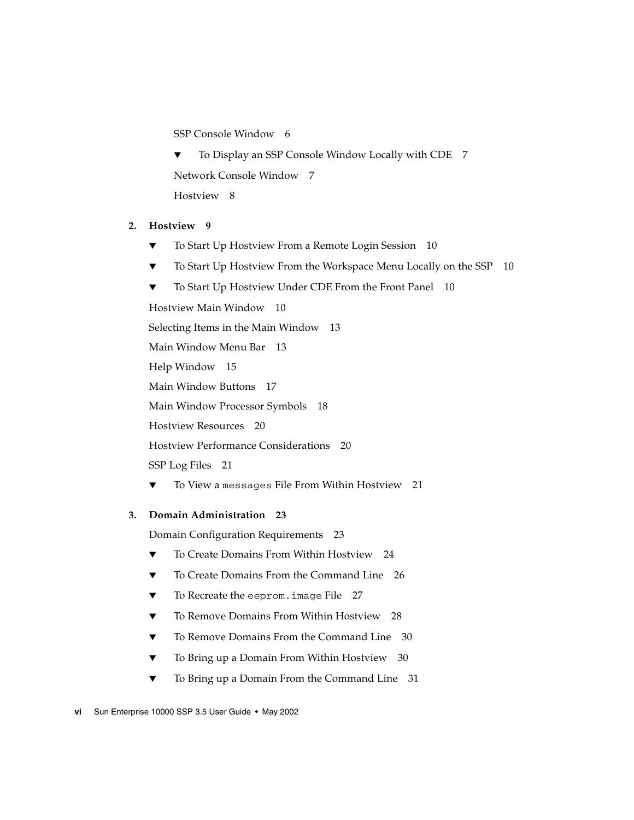[SSP Console Window](#page-25-2) 6

▼ [To Display an SSP Console Window Locally with CDE 7](#page-26-0) [Network Console Window 7](#page-26-1) [Hostview 8](#page-27-0)

#### **2. [Hostview 9](#page-28-0)**

- [To Start Up Hostview From a Remote Login Session](#page-29-0) 10
- [To Start Up Hostview From the Workspace Menu Locally on the SSP](#page-29-1) 10
- [To Start Up Hostview Under CDE From the Front Panel](#page-29-2) 10

[Hostview Main Window 1](#page-29-3)0

[Selecting Items in the Main Window 1](#page-32-0)3

[Main Window Menu Bar 1](#page-32-1)3

[Help Window](#page-34-0) 15

[Main Window Buttons](#page-36-0) 17

[Main Window Processor Symbols 1](#page-37-0)8

[Hostview Resources 2](#page-39-0)0

[Hostview Performance Considerations](#page-39-1) 20

[SSP Log Files](#page-40-0) 21

[To View a](#page-40-1) messages File From Within Hostview 21

#### **3. [Domain Administration](#page-42-0) 23**

[Domain Configuration Requirements](#page-42-1) 23

- ▼ [To Create Domains From Within Hostview 2](#page-43-0)4
- ▼ [To Create Domains From the Command Line 2](#page-45-0)6
- ▼ [To Recreate the](#page-46-0) eeprom.image File 27
- ▼ [To Remove Domains From Within Hostview](#page-47-0) 28
- ▼ [To Remove Domains From the Command Line](#page-49-0) 30
- ▼ [To Bring up a Domain From Within Hostview](#page-49-1) 30
- [To Bring up a Domain From the Command Line](#page-50-0) 31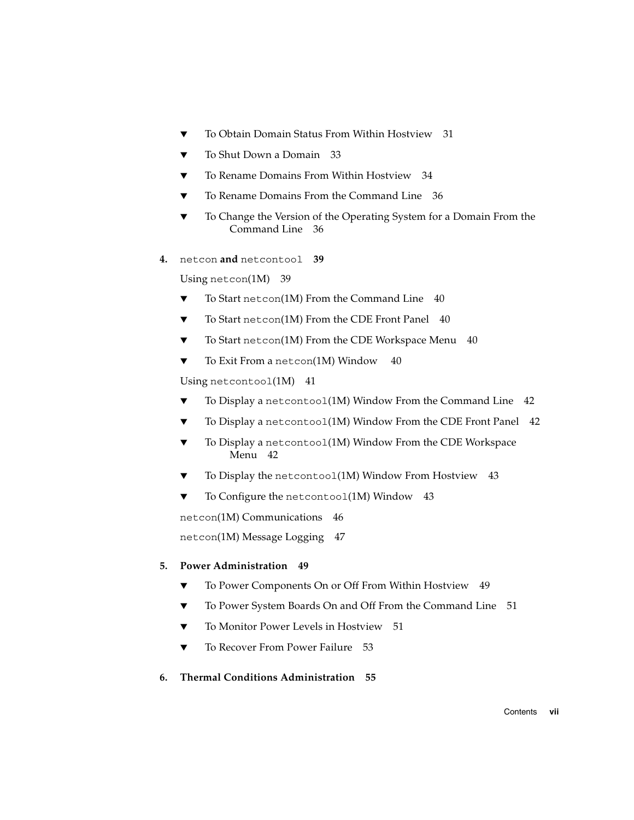- ▼ [To Obtain Domain Status From Within Hostview](#page-50-1) 31
- [To Shut Down a Domain](#page-52-0) 33
- [To Rename Domains From Within Hostview 3](#page-53-0)4
- [To Rename Domains From the Command Line 3](#page-55-0)6
- [To Change the Version of the Operating System for a Domain From the](#page-55-1) [Command Line 3](#page-55-1)6
- **4.** [netcon](#page-58-0) **and** netcontool **39**

[Using](#page-58-1) netcon(1M) 39

- ▼ [To Start](#page-59-0) netcon(1M) From the Command Line 40
- ▼ [To Start](#page-59-1) netcon(1M) From the CDE Front Panel 40
- ▼ [To Start](#page-59-2) netcon(1M) From the CDE Workspace Menu 40
- ▼ [To Exit From a](#page-59-3) netcon(1M) Window 40

[Using](#page-60-0) netcontoo1(1M) 41

- $\blacktriangledown$  [To Display a](#page-61-0) netcontoo1(1M) Window From the Command Line 42
- ▼ [To Display a](#page-61-1) netcontool(1M) Window From the CDE Front Panel 42
- ▼ [To Display a](#page-61-2) netcontool(1M) Window From the CDE Workspace Menu 42
- ▼ [To Display the](#page-62-0) netcontool(1M) Window From Hostview 43
- [To Configure the](#page-62-1) netcontoo $1(1M)$  Window 43

[netcon](#page-65-0)(1M) Communications 46

[netcon](#page-66-0)(1M) Message Logging 47

#### **5. [Power Administration](#page-68-0) 49**

- ▼ [To Power Components On or Off From Within Hostview](#page-68-1) 49
- ▼ [To Power System Boards On and Off From the Command Line 5](#page-70-0)1
- [To Monitor Power Levels in Hostview 5](#page-70-1)1
- ▼ [To Recover From Power Failure 5](#page-72-0)3
- **6. [Thermal Conditions Administration 5](#page-74-0)5**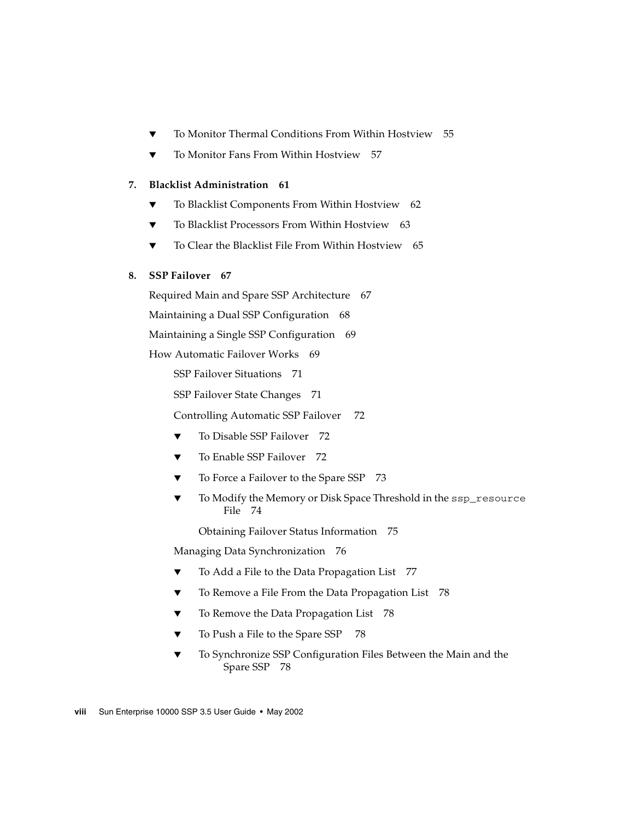- ▼ [To Monitor Thermal Conditions From Within Hostview](#page-74-1) 55
- [To Monitor Fans From Within Hostview 5](#page-76-0)7

#### **7. [Blacklist Administration 6](#page-80-0)1**

- ▼ [To Blacklist Components From Within Hostview 6](#page-81-0)2
- ▼ [To Blacklist Processors From Within Hostview](#page-82-0) 63
- ▼ [To Clear the Blacklist File From Within Hostview 6](#page-84-0)5

#### **8. [SSP Failover](#page-86-0) 67**

[Required Main and Spare SSP Architecture 6](#page-86-1)7

[Maintaining a Dual SSP Configuration 6](#page-87-0)8

[Maintaining a Single SSP Configuration 6](#page-88-0)9

[How Automatic Failover Works 6](#page-88-1)9

[SSP Failover Situations](#page-90-0) 71

[SSP Failover State Changes 7](#page-90-1)1

[Controlling Automatic SSP Failover](#page-91-0) 72

- [To Disable SSP Failover](#page-91-1) 72
- ▼ [To Enable SSP Failover](#page-91-2) 72
- ▼ [To Force a Failover to the Spare SSP](#page-92-0) 73
- [To Modify the Memory or Disk Space Threshold in the](#page-93-0) ssp\_resource File 74

[Obtaining Failover Status Information](#page-94-0) 75

[Managing Data Synchronization](#page-95-0) 76

- ▼ [To Add a File to the Data Propagation List 7](#page-96-0)7
- [To Remove a File From the Data Propagation List](#page-97-0) 78
- [To Remove the Data Propagation List 7](#page-97-1)8
- ▼ [To Push a File to the Spare SSP](#page-97-2) 78
- ▼ [To Synchronize SSP Configuration Files Between the Main and the](#page-97-3) [Spare SSP 7](#page-97-3)8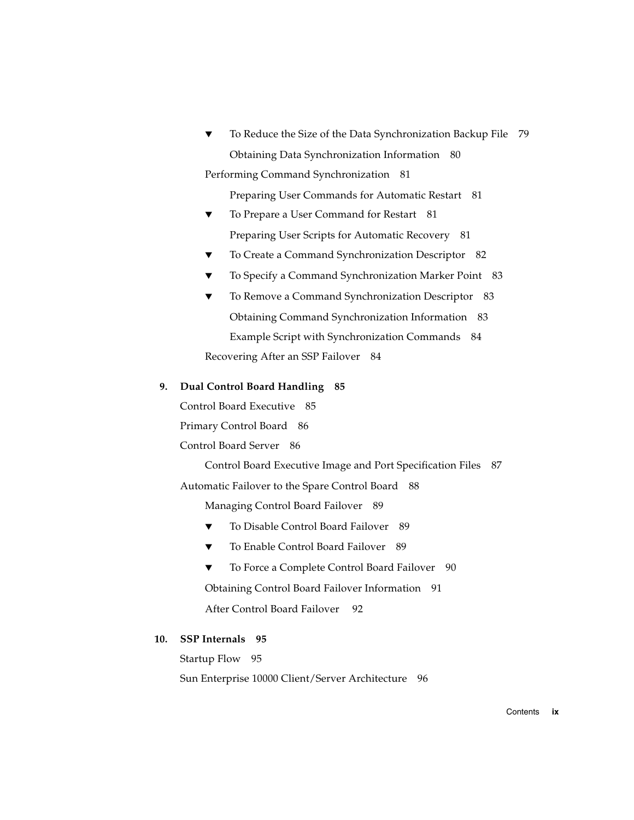[To Reduce the Size of the Data Synchronization Backup File](#page-98-0) 79 [Obtaining Data Synchronization Information 8](#page-99-0)0 [Performing Command Synchronization 8](#page-100-0)1

[Preparing User Commands for Automatic Restart 8](#page-100-1)1

- [To Prepare a User Command for Restart](#page-100-2) 81 [Preparing User Scripts for Automatic Recovery 8](#page-100-3)1
- [To Create a Command Synchronization Descriptor 8](#page-101-0)2
- [To Specify a Command Synchronization Marker Point 8](#page-102-0)3
- ▼ [To Remove a Command Synchronization Descriptor](#page-102-1) 83 [Obtaining Command Synchronization Information](#page-102-2) 83 [Example Script with Synchronization Commands](#page-103-0) 84 [Recovering After an SSP Failover](#page-103-1) 84

#### **9. [Dual Control Board Handling](#page-104-0) 85**

[Control Board Executive](#page-104-1) 85

[Primary Control Board](#page-105-0) 86

[Control Board Server](#page-105-1) 86

[Control Board Executive Image and Port Specification Files 8](#page-106-0)7

[Automatic Failover to the Spare Control Board 8](#page-107-0)8

[Managing Control Board Failover](#page-108-0) 89

- [To Disable Control Board Failover 8](#page-108-1)9
- [To Enable Control Board Failover 8](#page-108-2)9
- [To Force a Complete Control Board Failover 9](#page-109-0)0

[Obtaining Control Board Failover Information 9](#page-110-0)1

[After Control Board Failover 9](#page-111-0)2

#### **10. [SSP Internals](#page-114-0) 95**

[Startup Flow 9](#page-114-1)5 [Sun Enterprise 10000 Client/Server Architecture](#page-115-0) 96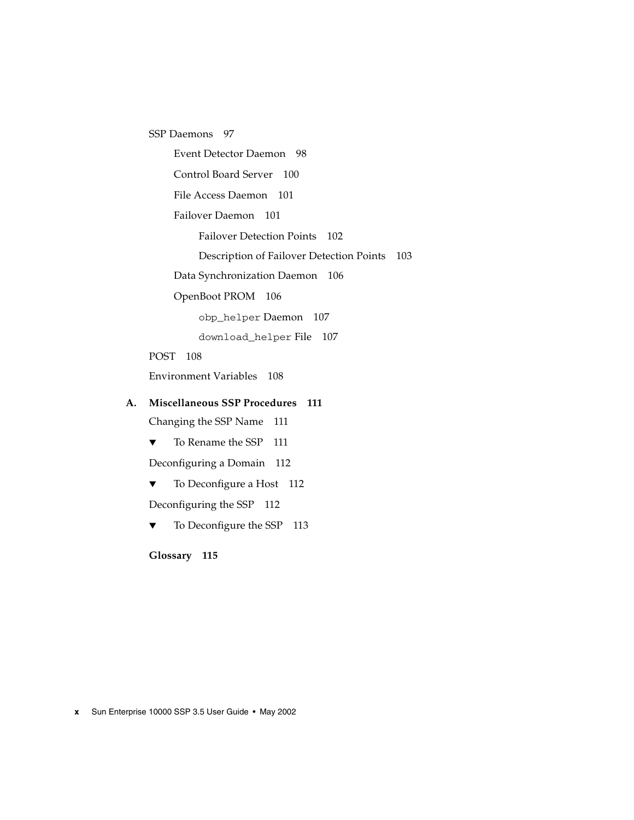[SSP Daemons](#page-116-0) 97

[Event Detector Daemon](#page-117-0) 98

[Control Board Server 1](#page-119-0)00

[File Access Daemon 1](#page-120-0)01

[Failover Daemon 1](#page-120-1)01

[Failover Detection Points](#page-121-0) 102

[Description of Failover Detection Points 1](#page-122-0)03

[Data Synchronization Daemon 1](#page-125-0)06

[OpenBoot PROM 1](#page-125-1)06

[obp\\_helper](#page-126-0) Daemon 107

[download\\_helper](#page-126-1) File 107

[POST 1](#page-127-0)08

[Environment Variables 1](#page-127-1)08

#### **A. [Miscellaneous SSP Procedures 1](#page-130-0)11**

[Changing the SSP Name 1](#page-130-1)11

▼ [To Rename the SSP](#page-130-2) 111

[Deconfiguring a Domain](#page-131-0) 112

▼ [To Deconfigure a Host](#page-131-1) 112

[Deconfiguring the SSP 1](#page-131-2)12

▼ [To Deconfigure the SSP](#page-132-0) 113

**[Glossary](#page-134-0) 115**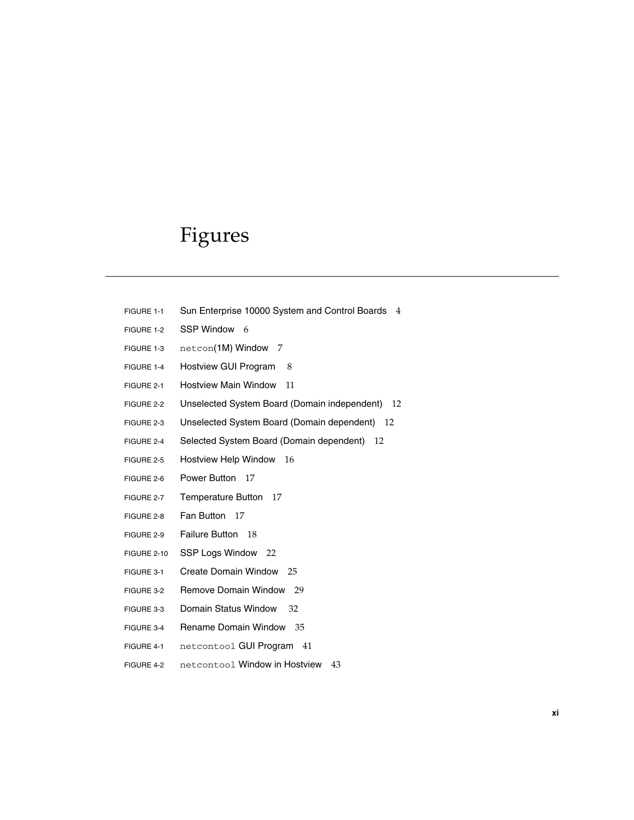### Figures

- FIGURE 1-1 Sun Enterprise 10000 System and Control Boards 4
- FIGURE 1-2 SSP Window 6
- FIGURE 1-3 netcon(1M) Window 7
- FIGURE 1-4 Hostview GUI Program 8
- FIGURE 2-1 Hostview Main Window 11
- FIGURE 2-2 Unselected System Board (Domain independent) 12
- FIGURE 2-3 Unselected System Board (Domain dependent) 12
- FIGURE 2-4 Selected System Board (Domain dependent) 12
- FIGURE 2-5 Hostview Help Window 16
- FIGURE 2-6 Power Button 17
- FIGURE 2-7 Temperature Button 17
- FIGURE 2-8 Fan Button 17
- FIGURE 2-9 Failure Button 18
- FIGURE 2-10 SSP Logs Window 22
- FIGURE 3-1 Create Domain Window 25
- FIGURE 3-2 Remove Domain Window 29
- FIGURE 3-3 Domain Status Window 32
- FIGURE 3-4 Rename Domain Window 35
- FIGURE 4-1 netcontool GUI Program 41
- FIGURE 4-2 netcontool Window in Hostview 43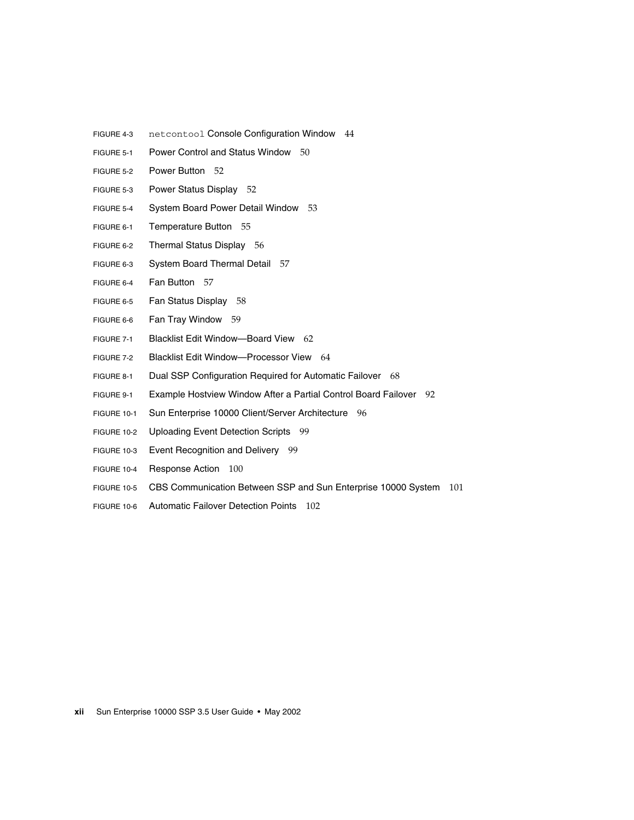- FIGURE 4-3 netcontool Console Configuration Window 44
- FIGURE 5-1 Power Control and Status Window 50
- FIGURE 5-2 Power Button 52
- FIGURE 5-3 Power Status Display 52
- FIGURE 5-4 System Board Power Detail Window 53
- FIGURE 6-1 Temperature Button 55
- FIGURE 6-2 Thermal Status Display 56
- FIGURE 6-3 System Board Thermal Detail 57
- FIGURE 6-4 Fan Button 57
- FIGURE 6-5 Fan Status Display 58
- FIGURE 6-6 Fan Tray Window 59
- FIGURE 7-1 Blacklist Edit Window—Board View 62
- FIGURE 7-2 Blacklist Edit Window—Processor View 64
- FIGURE 8-1 Dual SSP Configuration Required for Automatic Failover 68
- FIGURE 9-1 Example Hostview Window After a Partial Control Board Failover 92
- FIGURE 10-1 Sun Enterprise 10000 Client/Server Architecture 96
- FIGURE 10-2 Uploading Event Detection Scripts 99
- FIGURE 10-3 Event Recognition and Delivery 99
- FIGURE 10-4 Response Action 100
- FIGURE 10-5 CBS Communication Between SSP and Sun Enterprise 10000 System 101
- FIGURE 10-6 Automatic Failover Detection Points 102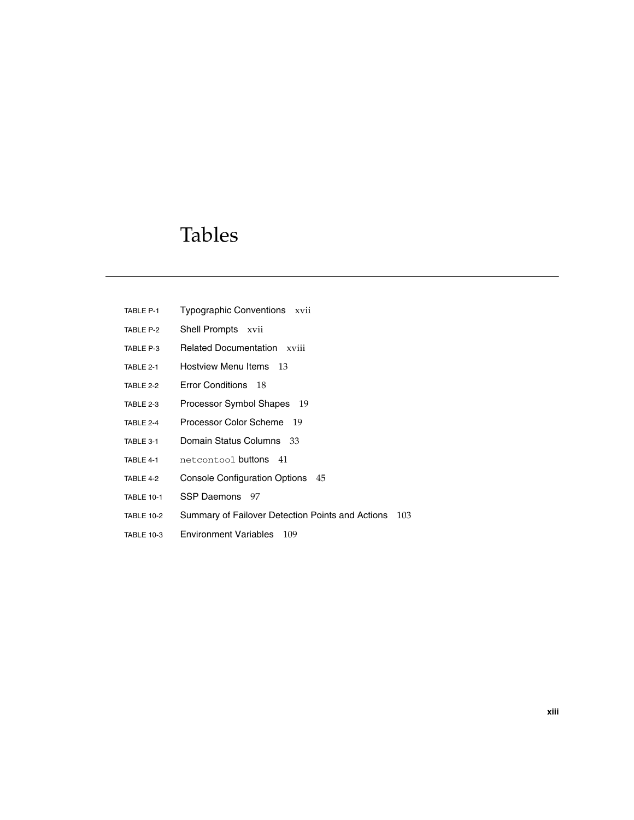### Tables

- TABLE P-1 Typographic Conventions xvii
- TABLE P-2 Shell Prompts xvii
- TABLE P-3 Related Documentation xviii
- TABLE 2-1 Hostview Menu Items 13
- TABLE 2-2 Error Conditions 18
- TABLE 2-3 Processor Symbol Shapes 19
- TABLE 2-4 Processor Color Scheme 19
- TABLE 3-1 Domain Status Columns 33
- TABLE 4-1 netcontool buttons 41
- TABLE 4-2 Console Configuration Options 45
- TABLE 10-1 SSP Daemons 97
- TABLE 10-2 Summary of Failover Detection Points and Actions 103
- TABLE 10-3 Environment Variables 109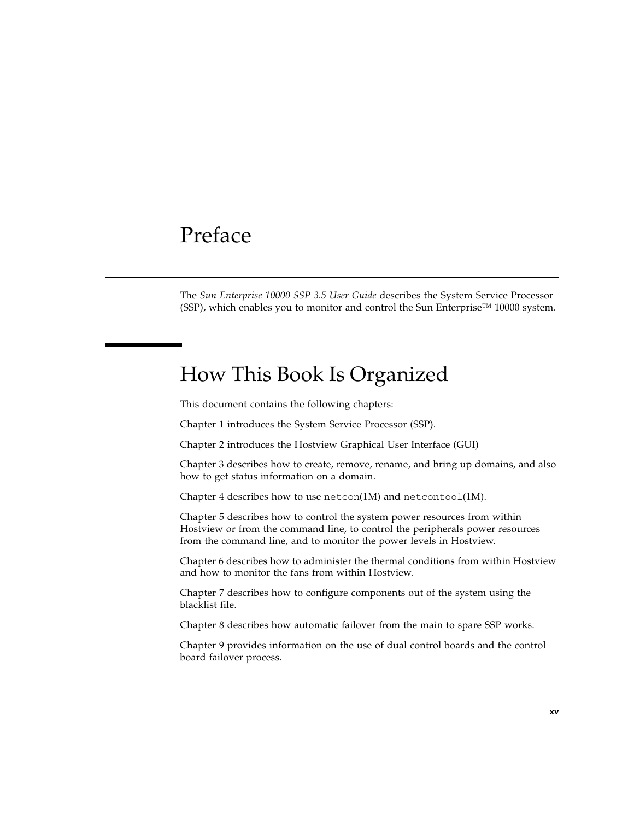### <span id="page-14-0"></span>Preface

The *Sun Enterprise 10000 SSP 3.5 User Guide* describes the System Service Processor (SSP), which enables you to monitor and control the Sun Enterprise<sup>™</sup> 10000 system.

### <span id="page-14-1"></span>How This Book Is Organized

This document contains the following chapters:

Chapter 1 introduces the System Service Processor (SSP).

[Chapter 2](#page-28-1) introduces the Hostview Graphical User Interface (GUI)

[Chapter 3](#page-42-2) describes how to create, remove, rename, and bring up domains, and also how to get status information on a domain.

Chapter 4 describes how to use  $n \in \text{R}(\text{M})$  and  $n \in \text{R}(\text{M})$ .

Chapter 5 describes how to control the system power resources from within Hostview or from the command line, to control the peripherals power resources from the command line, and to monitor the power levels in Hostview.

Chapter 6 describes how to administer the thermal conditions from within Hostview and how to monitor the fans from within Hostview.

Chapter 7 describes how to configure components out of the system using the blacklist file.

Chapter 8 describes how automatic failover from the main to spare SSP works.

[Chapter 9](#page-104-2) provides information on the use of dual control boards and the control board failover process.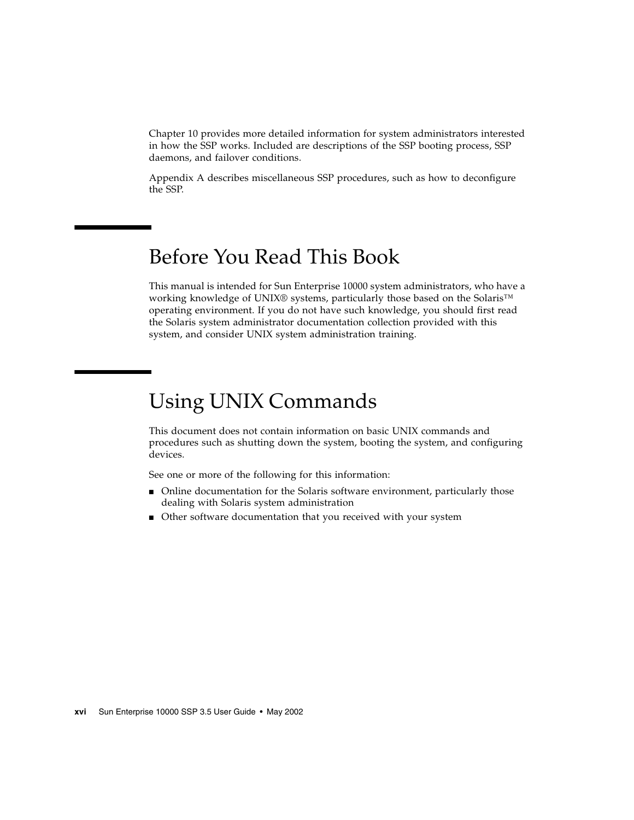[Chapter 10](#page-114-2) provides more detailed information for system administrators interested in how the SSP works. Included are descriptions of the SSP booting process, SSP daemons, and failover conditions.

[Appendix A](#page-130-3) describes miscellaneous SSP procedures, such as how to deconfigure the SSP.

### <span id="page-15-0"></span>Before You Read This Book

This manual is intended for Sun Enterprise 10000 system administrators, who have a working knowledge of UNIX® systems, particularly those based on the Solaris<sup>™</sup> operating environment. If you do not have such knowledge, you should first read the Solaris system administrator documentation collection provided with this system, and consider UNIX system administration training.

## <span id="page-15-1"></span>Using UNIX Commands

This document does not contain information on basic UNIX commands and procedures such as shutting down the system, booting the system, and configuring devices.

See one or more of the following for this information:

- Online documentation for the Solaris software environment, particularly those dealing with Solaris system administration
- Other software documentation that you received with your system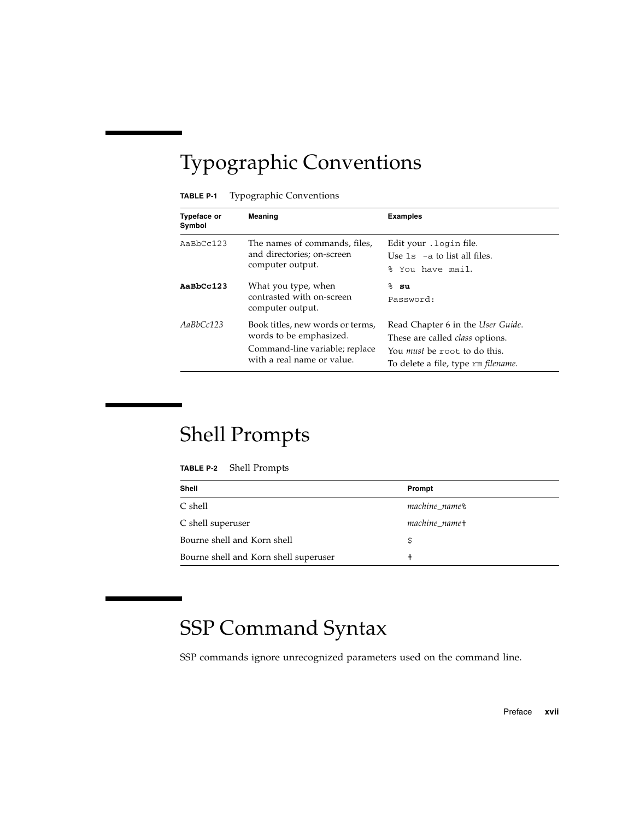# <span id="page-16-0"></span>Typographic Conventions

#### **TABLE P-1** Typographic Conventions

| <b>Typeface or</b><br>Symbol | Meaning                                                                                                                     | <b>Examples</b>                                                                                                                                           |
|------------------------------|-----------------------------------------------------------------------------------------------------------------------------|-----------------------------------------------------------------------------------------------------------------------------------------------------------|
| $A$ a $BbCc123$              | The names of commands, files,<br>and directories; on-screen<br>computer output.                                             | Edit your . login file.<br>Use $1s$ -a to list all files.<br>% You have mail.                                                                             |
| AaBbCc123                    | What you type, when<br>contrasted with on-screen<br>computer output.                                                        | % su<br>Password:                                                                                                                                         |
| AaBbCc123                    | Book titles, new words or terms,<br>words to be emphasized.<br>Command-line variable; replace<br>with a real name or value. | Read Chapter 6 in the User Guide.<br>These are called <i>class</i> options.<br>You <i>must</i> be root to do this.<br>To delete a file, type rm filename. |

## <span id="page-16-1"></span>Shell Prompts

| TABLE P-2 | <b>Shell Prompts</b> |
|-----------|----------------------|
|-----------|----------------------|

| <b>Shell</b>                          | Prompt                    |
|---------------------------------------|---------------------------|
| C shell                               | machine name <sup>§</sup> |
| C shell superuser                     | machine name#             |
| Bourne shell and Korn shell           |                           |
| Bourne shell and Korn shell superuser | #                         |

# <span id="page-16-2"></span>SSP Command Syntax

SSP commands ignore unrecognized parameters used on the command line.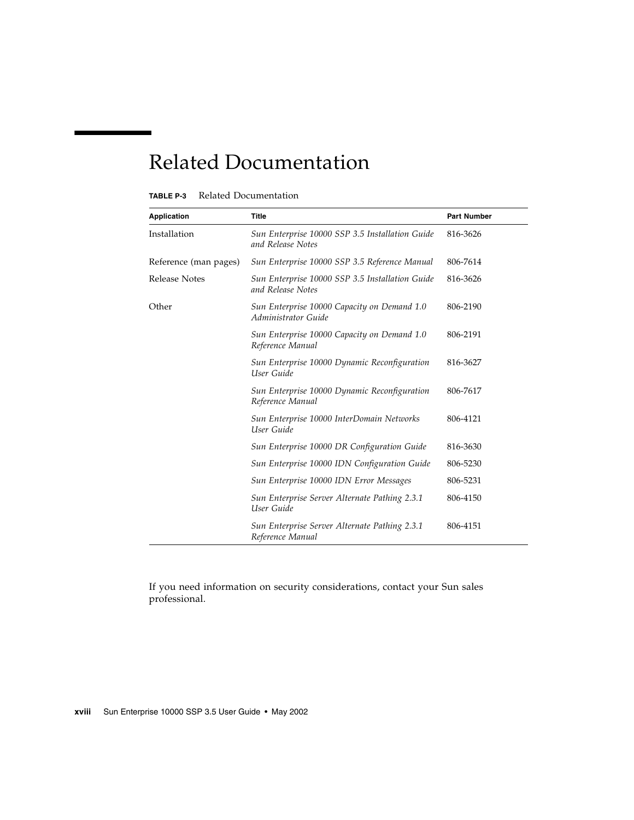## Related Documentation

<span id="page-17-0"></span>

| <b>Application</b>    | <b>Title</b>                                                         | <b>Part Number</b> |
|-----------------------|----------------------------------------------------------------------|--------------------|
| Installation          | Sun Enterprise 10000 SSP 3.5 Installation Guide<br>and Release Notes | 816-3626           |
| Reference (man pages) | Sun Enterprise 10000 SSP 3.5 Reference Manual                        | 806-7614           |
| Release Notes         | Sun Enterprise 10000 SSP 3.5 Installation Guide<br>and Release Notes | 816-3626           |
| Other                 | Sun Enterprise 10000 Capacity on Demand 1.0<br>Administrator Guide   | 806-2190           |
|                       | Sun Enterprise 10000 Capacity on Demand 1.0<br>Reference Manual      | 806-2191           |
|                       | Sun Enterprise 10000 Dynamic Reconfiguration<br>User Guide           | 816-3627           |
|                       | Sun Enterprise 10000 Dynamic Reconfiguration<br>Reference Manual     | 806-7617           |
|                       | Sun Enterprise 10000 InterDomain Networks<br>User Guide              | 806-4121           |
|                       | Sun Enterprise 10000 DR Configuration Guide                          | 816-3630           |
|                       | Sun Enterprise 10000 IDN Configuration Guide                         | 806-5230           |
|                       | Sun Enterprise 10000 IDN Error Messages                              | 806-5231           |
|                       | Sun Enterprise Server Alternate Pathing 2.3.1<br>User Guide          | 806-4150           |
|                       | Sun Enterprise Server Alternate Pathing 2.3.1<br>Reference Manual    | 806-4151           |

If you need information on security considerations, contact your Sun sales professional.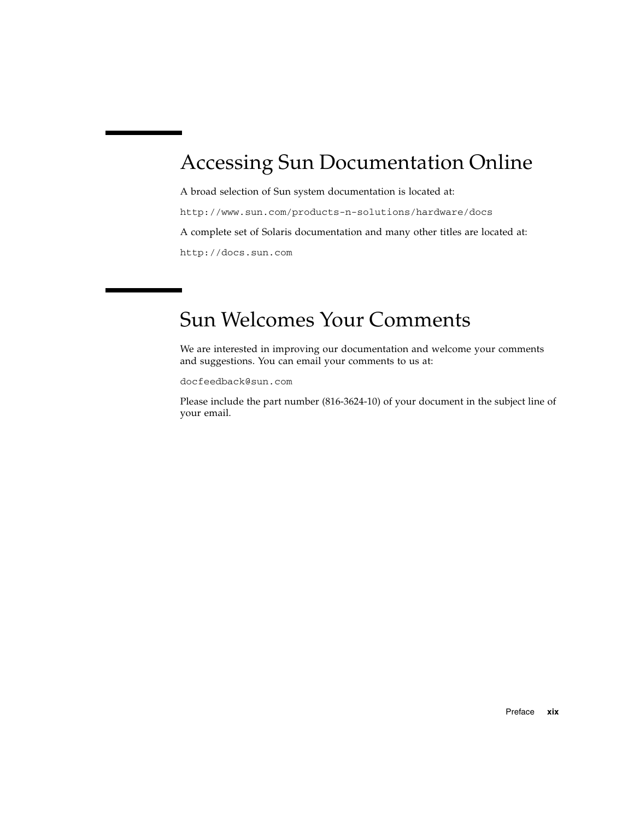## <span id="page-18-0"></span>Accessing Sun Documentation Online

A broad selection of Sun system documentation is located at: http://www.sun.com/products-n-solutions/hardware/docs A complete set of Solaris documentation and many other titles are located at: http://docs.sun.com

## <span id="page-18-1"></span>Sun Welcomes Your Comments

We are interested in improving our documentation and welcome your comments and suggestions. You can email your comments to us at:

docfeedback@sun.com

Please include the part number (816-3624-10) of your document in the subject line of your email.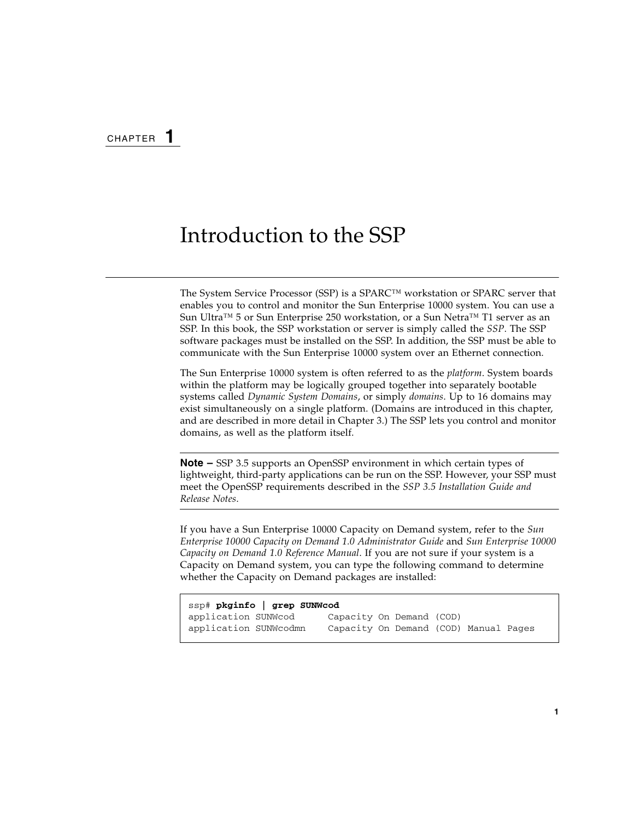### <span id="page-20-0"></span>Introduction to the SSP

The System Service Processor (SSP) is a SPARC™ workstation or SPARC server that enables you to control and monitor the Sun Enterprise 10000 system. You can use a Sun Ultra™ 5 or Sun Enterprise 250 workstation, or a Sun Netra™ T1 server as an SSP. In this book, the SSP workstation or server is simply called the *SSP*. The SSP software packages must be installed on the SSP. In addition, the SSP must be able to communicate with the Sun Enterprise 10000 system over an Ethernet connection.

The Sun Enterprise 10000 system is often referred to as the *platform*. System boards within the platform may be logically grouped together into separately bootable systems called *Dynamic System Domains*, or simply *domains*. Up to 16 domains may exist simultaneously on a single platform. (Domains are introduced in this chapter, and are described in more detail in [Chapter 3.](#page-42-2)) The SSP lets you control and monitor domains, as well as the platform itself.

**Note –** SSP 3.5 supports an OpenSSP environment in which certain types of lightweight, third-party applications can be run on the SSP. However, your SSP must meet the OpenSSP requirements described in the *SSP 3.5 Installation Guide and Release Notes*.

If you have a Sun Enterprise 10000 Capacity on Demand system, refer to the *Sun Enterprise 10000 Capacity on Demand 1.0 Administrator Guide* and *Sun Enterprise 10000 Capacity on Demand 1.0 Reference Manual*. If you are not sure if your system is a Capacity on Demand system, you can type the following command to determine whether the Capacity on Demand packages are installed:

```
ssp# pkginfo | grep SUNWcod
application SUNWcod Capacity On Demand (COD)
application SUNWcodmn Capacity On Demand (COD) Manual Pages
```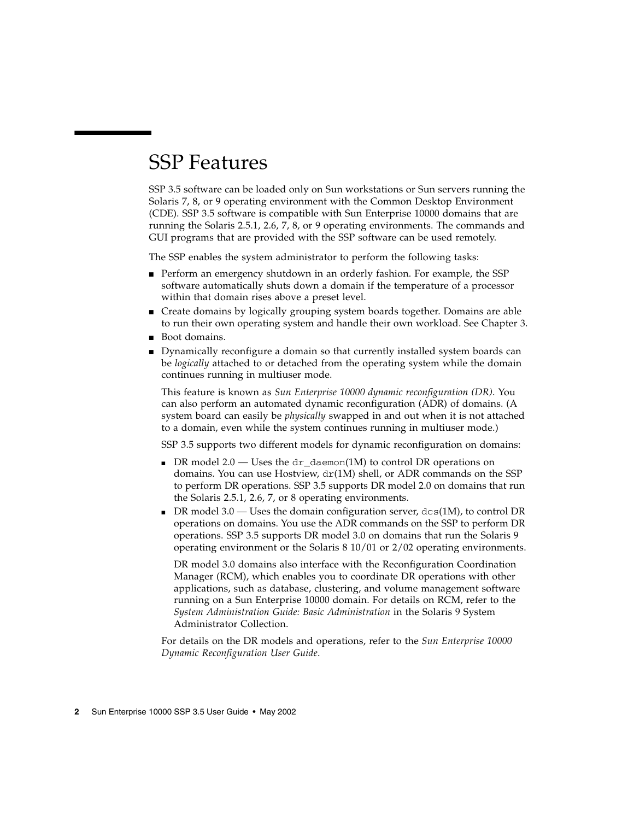### <span id="page-21-0"></span>SSP Features

SSP 3.5 software can be loaded only on Sun workstations or Sun servers running the Solaris 7, 8, or 9 operating environment with the Common Desktop Environment (CDE). SSP 3.5 software is compatible with Sun Enterprise 10000 domains that are running the Solaris 2.5.1, 2.6, 7, 8, or 9 operating environments. The commands and GUI programs that are provided with the SSP software can be used remotely.

The SSP enables the system administrator to perform the following tasks:

- Perform an emergency shutdown in an orderly fashion. For example, the SSP software automatically shuts down a domain if the temperature of a processor within that domain rises above a preset level.
- Create domains by logically grouping system boards together. Domains are able to run their own operating system and handle their own workload. See [Chapter 3.](#page-42-2)
- Boot domains.
- Dynamically reconfigure a domain so that currently installed system boards can be *logically* attached to or detached from the operating system while the domain continues running in multiuser mode.

This feature is known as *Sun Enterprise 10000 dynamic reconfiguration (DR)*. You can also perform an automated dynamic reconfiguration (ADR) of domains. (A system board can easily be *physically* swapped in and out when it is not attached to a domain, even while the system continues running in multiuser mode.)

SSP 3.5 supports two different models for dynamic reconfiguration on domains:

- **•** DR model 2.0 Uses the dr\_daemon(1M) to control DR operations on domains. You can use Hostview, dr(1M) shell, or ADR commands on the SSP to perform DR operations. SSP 3.5 supports DR model 2.0 on domains that run the Solaris 2.5.1, 2.6, 7, or 8 operating environments.
- **•** DR model 3.0 Uses the domain configuration server,  $dcs(1M)$ , to control DR operations on domains. You use the ADR commands on the SSP to perform DR operations. SSP 3.5 supports DR model 3.0 on domains that run the Solaris 9 operating environment or the Solaris 8 10/01 or 2/02 operating environments.

DR model 3.0 domains also interface with the Reconfiguration Coordination Manager (RCM), which enables you to coordinate DR operations with other applications, such as database, clustering, and volume management software running on a Sun Enterprise 10000 domain. For details on RCM, refer to the *System Administration Guide: Basic Administration* in the Solaris 9 System Administrator Collection.

For details on the DR models and operations, refer to the *Sun Enterprise 10000 Dynamic Reconfiguration User Guide*.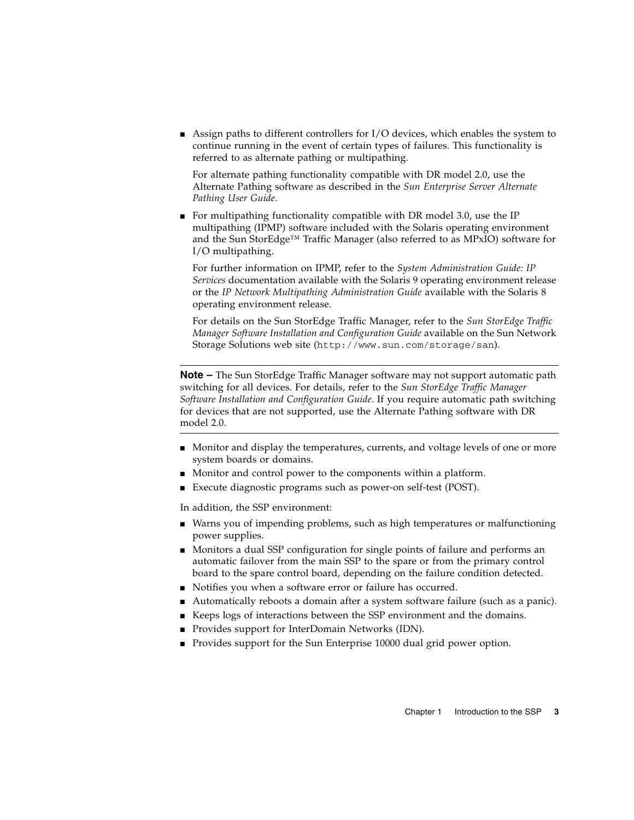■ Assign paths to different controllers for I/O devices, which enables the system to continue running in the event of certain types of failures. This functionality is referred to as alternate pathing or multipathing.

For alternate pathing functionality compatible with DR model 2.0, use the Alternate Pathing software as described in the *Sun Enterprise Server Alternate Pathing User Guide*.

■ For multipathing functionality compatible with DR model 3.0, use the IP multipathing (IPMP) software included with the Solaris operating environment and the Sun StorEdge<sup>™</sup> Traffic Manager (also referred to as MPxIO) software for I/O multipathing.

For further information on IPMP, refer to the *System Administration Guide: IP Services* documentation available with the Solaris 9 operating environment release or the *IP Network Multipathing Administration Guide* available with the Solaris 8 operating environment release.

For details on the Sun StorEdge Traffic Manager, refer to the *Sun StorEdge Traffic Manager Software Installation and Configuration Guide* available on the Sun Network Storage Solutions web site (http://www.sun.com/storage/san).

**Note –** The Sun StorEdge Traffic Manager software may not support automatic path switching for all devices. For details, refer to the *Sun StorEdge Traffic Manager Software Installation and Configuration Guide*. If you require automatic path switching for devices that are not supported, use the Alternate Pathing software with DR model 2.0.

- Monitor and display the temperatures, currents, and voltage levels of one or more system boards or domains.
- Monitor and control power to the components within a platform.
- Execute diagnostic programs such as power-on self-test (POST).

In addition, the SSP environment:

- Warns you of impending problems, such as high temperatures or malfunctioning power supplies.
- Monitors a dual SSP configuration for single points of failure and performs an automatic failover from the main SSP to the spare or from the primary control board to the spare control board, depending on the failure condition detected.
- Notifies you when a software error or failure has occurred.
- Automatically reboots a domain after a system software failure (such as a panic).
- Keeps logs of interactions between the SSP environment and the domains.
- Provides support for InterDomain Networks (IDN).
- Provides support for the Sun Enterprise 10000 dual grid power option.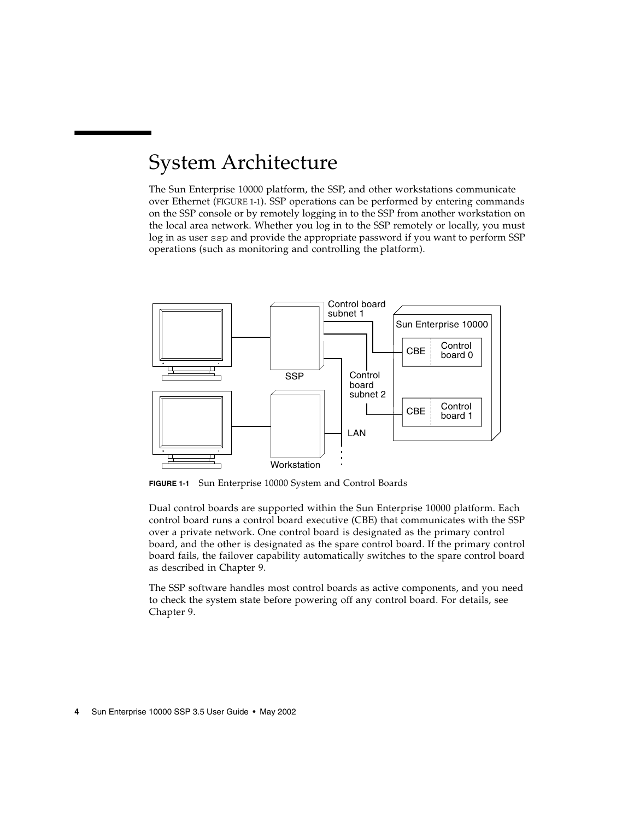## <span id="page-23-0"></span>System Architecture

The Sun Enterprise 10000 platform, the SSP, and other workstations communicate over Ethernet ([FIGURE 1-1\)](#page-23-1). SSP operations can be performed by entering commands on the SSP console or by remotely logging in to the SSP from another workstation on the local area network. Whether you log in to the SSP remotely or locally, you must log in as user ssp and provide the appropriate password if you want to perform SSP operations (such as monitoring and controlling the platform).



<span id="page-23-1"></span>**FIGURE 1-1** Sun Enterprise 10000 System and Control Boards

Dual control boards are supported within the Sun Enterprise 10000 platform. Each control board runs a control board executive (CBE) that communicates with the SSP over a private network. One control board is designated as the primary control board, and the other is designated as the spare control board. If the primary control board fails, the failover capability automatically switches to the spare control board as described in [Chapter 9.](#page-104-2)

The SSP software handles most control boards as active components, and you need to check the system state before powering off any control board. For details, see [Chapter 9.](#page-104-2)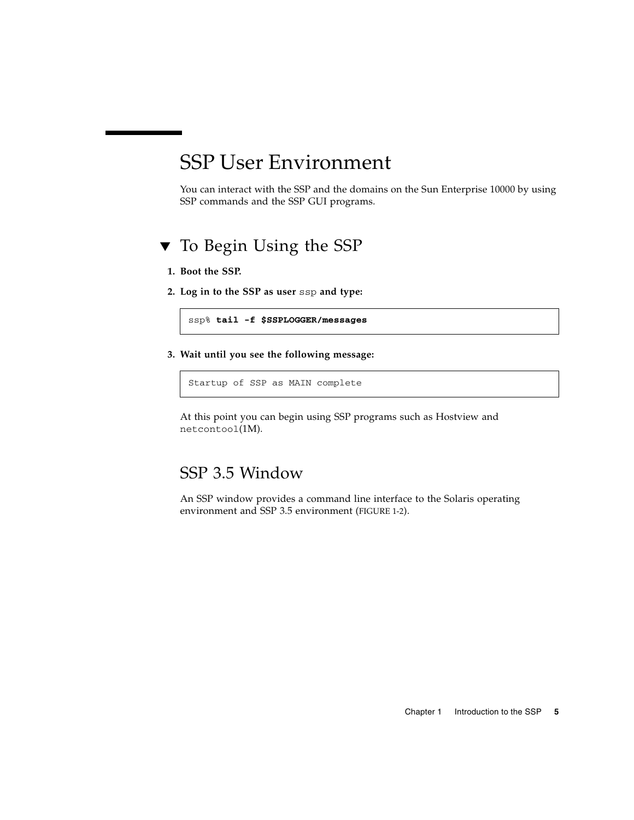### <span id="page-24-0"></span>SSP User Environment

You can interact with the SSP and the domains on the Sun Enterprise 10000 by using SSP commands and the SSP GUI programs.

#### <span id="page-24-1"></span>▼ To Begin Using the SSP

- **1. Boot the SSP.**
- **2. Log in to the SSP as user** ssp **and type:**

ssp% **tail -f \$SSPLOGGER/messages**

**3. Wait until you see the following message:**

Startup of SSP as MAIN complete

At this point you can begin using SSP programs such as Hostview and netcontool(1M).

#### <span id="page-24-2"></span>SSP 3.5 Window

An SSP window provides a command line interface to the Solaris operating environment and SSP 3.5 environment ([FIGURE 1-2](#page-25-3)).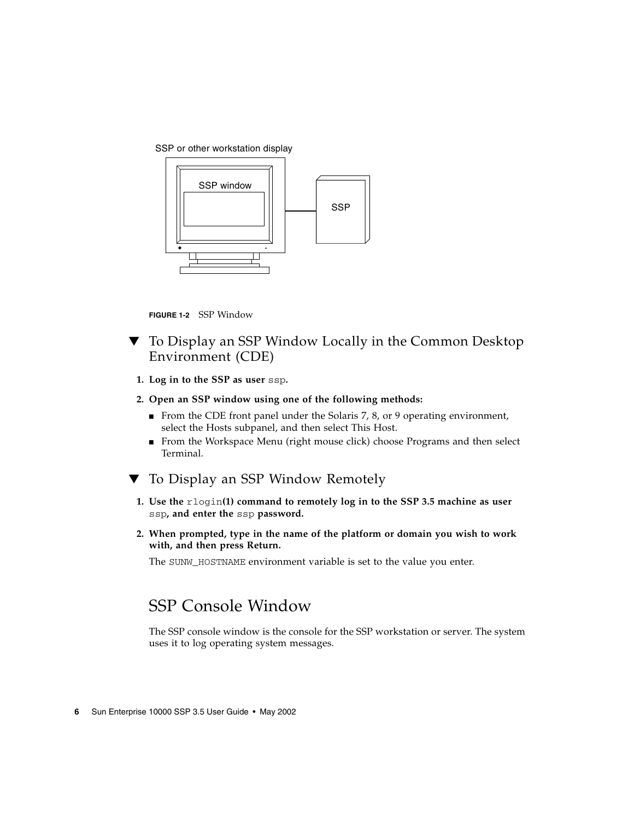SSP or other workstation display



**FIGURE 1-2** SSP Window

- <span id="page-25-3"></span><span id="page-25-0"></span>▼ To Display an SSP Window Locally in the Common Desktop Environment (CDE)
	- **1. Log in to the SSP as user** ssp**.**

#### **2. Open an SSP window using one of the following methods:**

- From the CDE front panel under the Solaris 7, 8, or 9 operating environment, select the Hosts subpanel, and then select This Host.
- From the Workspace Menu (right mouse click) choose Programs and then select Terminal.
- <span id="page-25-1"></span>▼ To Display an SSP Window Remotely
	- **1. Use the** rlogin**(1) command to remotely log in to the SSP 3.5 machine as user** ssp**, and enter the** ssp **password.**
	- **2. When prompted, type in the name of the platform or domain you wish to work with, and then press Return.**

The SUNW HOSTNAME environment variable is set to the value you enter.

### <span id="page-25-2"></span>SSP Console Window

The SSP console window is the console for the SSP workstation or server. The system uses it to log operating system messages.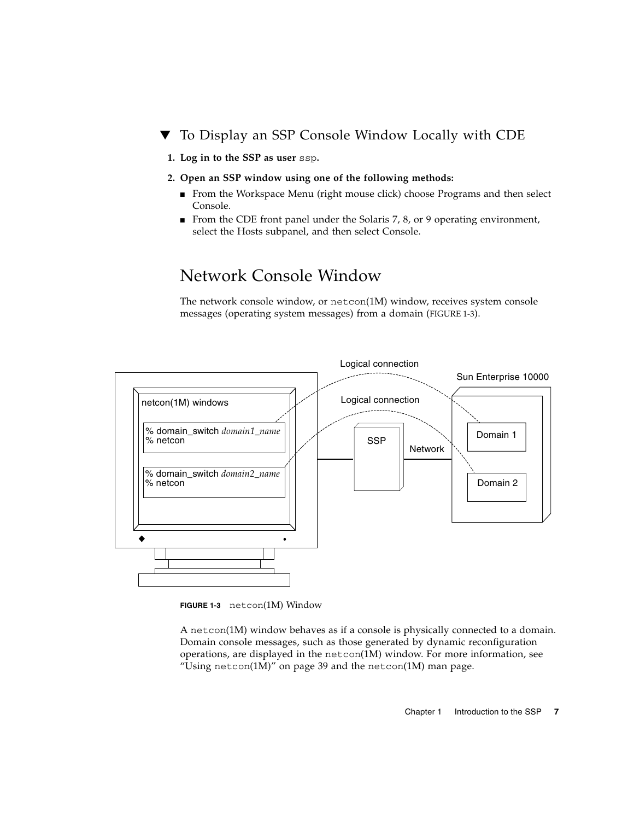#### <span id="page-26-0"></span>▼ To Display an SSP Console Window Locally with CDE

- **1. Log in to the SSP as user** ssp**.**
- **2. Open an SSP window using one of the following methods:**
	- From the Workspace Menu (right mouse click) choose Programs and then select Console.
	- From the CDE front panel under the Solaris 7, 8, or 9 operating environment, select the Hosts subpanel, and then select Console.

#### <span id="page-26-1"></span>Network Console Window

The network console window, or netcon(1M) window, receives system console messages (operating system messages) from a domain [\(FIGURE 1-3](#page-26-2)).



<span id="page-26-2"></span>**FIGURE 1-3** netcon(1M) Window

A netcon(1M) window behaves as if a console is physically connected to a domain. Domain console messages, such as those generated by dynamic reconfiguration operations, are displayed in the netcon(1M) window. For more information, see "Using netcon $(1M)$ " on page 39 and the netcon $(1M)$  man page.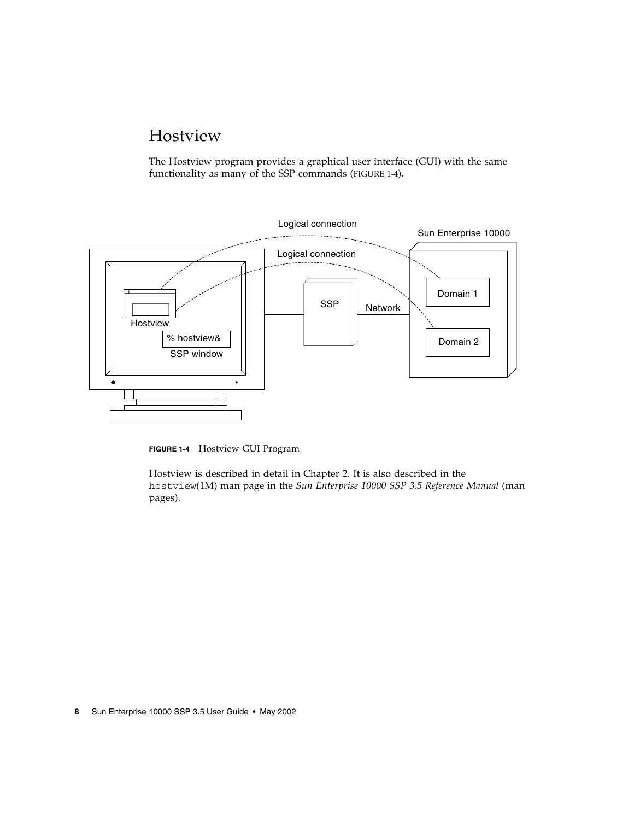### <span id="page-27-0"></span>Hostview

The Hostview program provides a graphical user interface (GUI) with the same functionality as many of the SSP commands [\(FIGURE 1-4\)](#page-27-1).



<span id="page-27-1"></span>**FIGURE 1-4** Hostview GUI Program

Hostview is described in detail in [Chapter 2.](#page-28-1) It is also described in the hostview(1M) man page in the *Sun Enterprise 10000 SSP 3.5 Reference Manual* (man pages).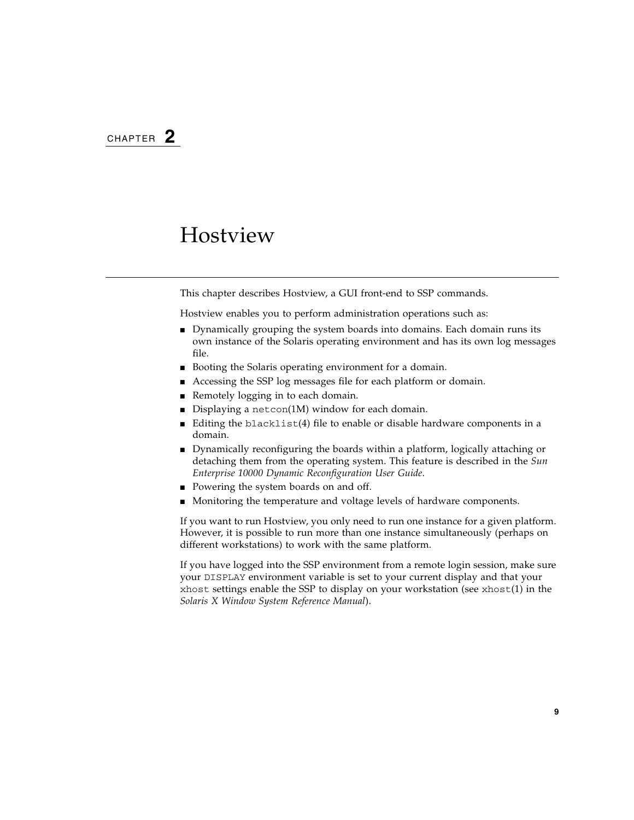### <span id="page-28-1"></span><span id="page-28-0"></span>Hostview

This chapter describes Hostview, a GUI front-end to SSP commands.

Hostview enables you to perform administration operations such as:

- Dynamically grouping the system boards into domains. Each domain runs its own instance of the Solaris operating environment and has its own log messages file.
- Booting the Solaris operating environment for a domain.
- Accessing the SSP log messages file for each platform or domain.
- Remotely logging in to each domain.
- Displaying a netcon(1M) window for each domain.
- Editing the blacklist(4) file to enable or disable hardware components in a domain.
- Dynamically reconfiguring the boards within a platform, logically attaching or detaching them from the operating system. This feature is described in the *Sun Enterprise 10000 Dynamic Reconfiguration User Guide*.
- Powering the system boards on and off.
- Monitoring the temperature and voltage levels of hardware components.

If you want to run Hostview, you only need to run one instance for a given platform. However, it is possible to run more than one instance simultaneously (perhaps on different workstations) to work with the same platform.

If you have logged into the SSP environment from a remote login session, make sure your DISPLAY environment variable is set to your current display and that your xhost settings enable the SSP to display on your workstation (see xhost(1) in the *Solaris X Window System Reference Manual*).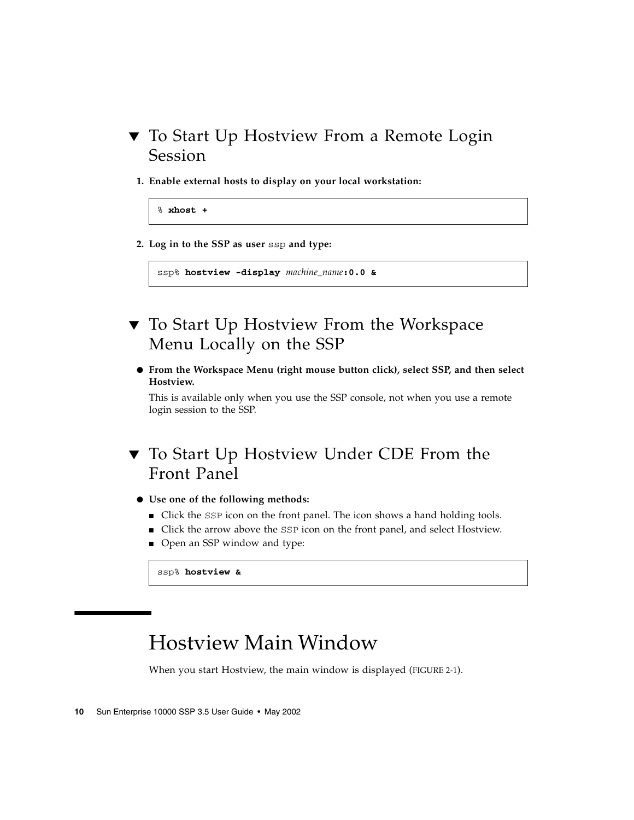- <span id="page-29-0"></span>▼ To Start Up Hostview From a Remote Login Session
	- **1. Enable external hosts to display on your local workstation:**

```
% xhost +
```
**2. Log in to the SSP as user** ssp **and type:**

```
ssp% hostview -display machine_name:0.0 &
```
- <span id="page-29-1"></span>▼ To Start Up Hostview From the Workspace Menu Locally on the SSP
	- **From the Workspace Menu (right mouse button click), select SSP, and then select Hostview.**

This is available only when you use the SSP console, not when you use a remote login session to the SSP.

- <span id="page-29-2"></span>▼ To Start Up Hostview Under CDE From the Front Panel
	- **Use one of the following methods:**
		- Click the SSP icon on the front panel. The icon shows a hand holding tools.
		- Click the arrow above the SSP icon on the front panel, and select Hostview.
		- Open an SSP window and type:

ssp% **hostview &**

### <span id="page-29-3"></span>Hostview Main Window

When you start Hostview, the main window is displayed ([FIGURE 2-1\)](#page-30-0).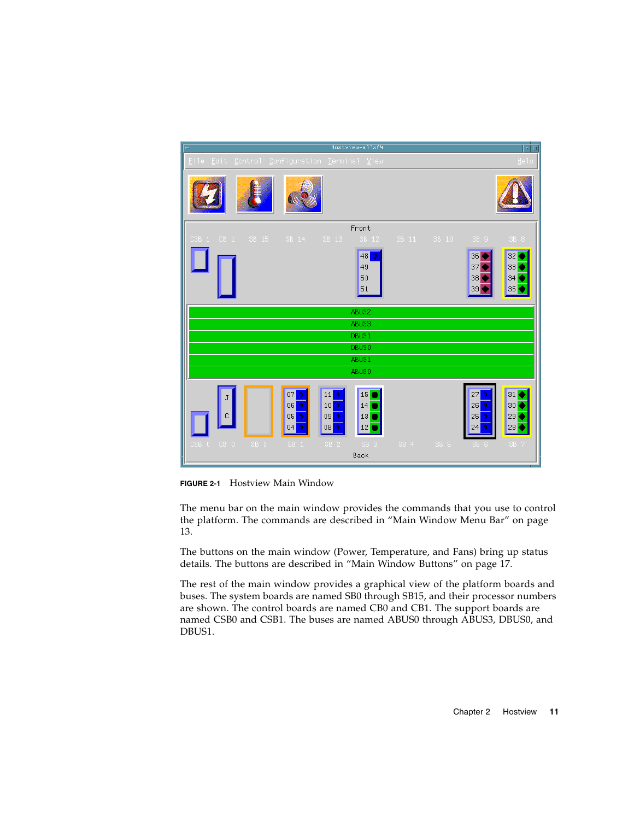| $\equiv$                                      | Hostview-allxf4                                                                                             |                                  |                         | $\overline{\blacksquare}$           |
|-----------------------------------------------|-------------------------------------------------------------------------------------------------------------|----------------------------------|-------------------------|-------------------------------------|
| Eile Edit Control Configuration Terminal View |                                                                                                             |                                  |                         | Help                                |
|                                               |                                                                                                             |                                  |                         |                                     |
|                                               |                                                                                                             | Front                            |                         |                                     |
| SB 15<br>CSB 1 CB 1                           | SB 14<br>SB 13                                                                                              | SB 12<br>SB 11                   | SB 10<br>SB 9           | SB <sub>8</sub>                     |
|                                               |                                                                                                             | 48<br>-9<br>49<br>50<br>51       | 36<br>37<br>38<br>39    | 32<br>33<br>34<br> 35               |
|                                               |                                                                                                             | ABUS2                            |                         |                                     |
|                                               |                                                                                                             | ABUS3                            |                         |                                     |
|                                               |                                                                                                             | DBUS1                            |                         |                                     |
|                                               |                                                                                                             | <b>DBUS0</b>                     |                         |                                     |
|                                               |                                                                                                             | ABUS1<br>ABUS0                   |                         |                                     |
|                                               |                                                                                                             |                                  |                         |                                     |
|                                               | 07<br>$11$ $\overline{\phantom{a}}$<br>h<br>$10$ <sup>2</sup><br>06<br>ŋ<br>$09$ $2$<br>05<br>h<br>08<br>04 | 15<br>14<br>$13$ $\bullet$<br>12 | 27<br>26<br>25          | 31<br>30 <sup>°</sup><br> 29 <br>28 |
| CSB 0 CB 0<br>SB 0                            | SB 2<br>SB <sub>1</sub>                                                                                     | SB 3<br>$SS\overline{4}$<br>Back | SB <sub>5</sub><br>SB 6 | SB <sub>7</sub>                     |

<span id="page-30-0"></span>**FIGURE 2-1** Hostview Main Window

The menu bar on the main window provides the commands that you use to control the platform. The commands are described in ["Main Window Menu Bar" on page](#page-32-1) [13.](#page-32-1)

The buttons on the main window (Power, Temperature, and Fans) bring up status details. The buttons are described in ["Main Window Buttons" on page 17.](#page-36-0)

The rest of the main window provides a graphical view of the platform boards and buses. The system boards are named SB0 through SB15, and their processor numbers are shown. The control boards are named CB0 and CB1. The support boards are named CSB0 and CSB1. The buses are named ABUS0 through ABUS3, DBUS0, and DBUS1.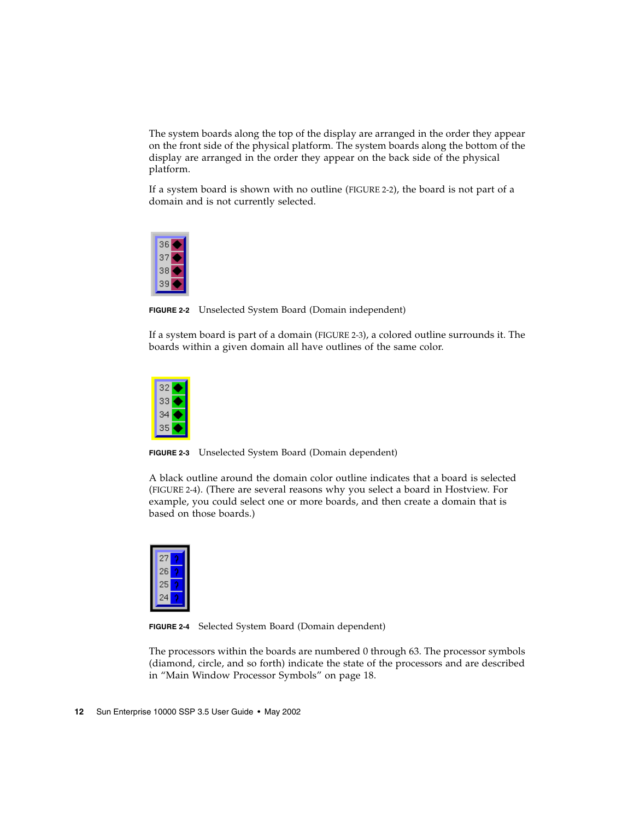The system boards along the top of the display are arranged in the order they appear on the front side of the physical platform. The system boards along the bottom of the display are arranged in the order they appear on the back side of the physical platform.

If a system board is shown with no outline ([FIGURE 2-2](#page-31-0)), the board is not part of a domain and is not currently selected.



**FIGURE 2-2** Unselected System Board (Domain independent)

<span id="page-31-0"></span>If a system board is part of a domain [\(FIGURE 2-3\)](#page-31-1), a colored outline surrounds it. The boards within a given domain all have outlines of the same color.



**FIGURE 2-3** Unselected System Board (Domain dependent)

<span id="page-31-1"></span>A black outline around the domain color outline indicates that a board is selected [\(FIGURE 2-4](#page-31-2)). (There are several reasons why you select a board in Hostview. For example, you could select one or more boards, and then create a domain that is based on those boards.)



**FIGURE 2-4** Selected System Board (Domain dependent)

<span id="page-31-2"></span>The processors within the boards are numbered 0 through 63. The processor symbols (diamond, circle, and so forth) indicate the state of the processors and are described in ["Main Window Processor Symbols" on page 18](#page-37-0).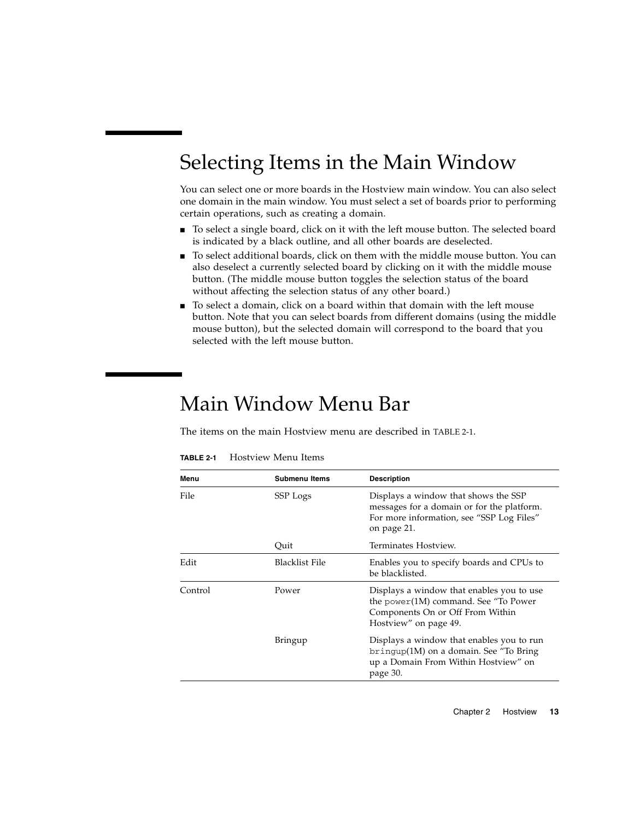## <span id="page-32-0"></span>Selecting Items in the Main Window

You can select one or more boards in the Hostview main window. You can also select one domain in the main window. You must select a set of boards prior to performing certain operations, such as creating a domain.

- To select a single board, click on it with the left mouse button. The selected board is indicated by a black outline, and all other boards are deselected.
- To select additional boards, click on them with the middle mouse button. You can also deselect a currently selected board by clicking on it with the middle mouse button. (The middle mouse button toggles the selection status of the board without affecting the selection status of any other board.)
- To select a domain, click on a board within that domain with the left mouse button. Note that you can select boards from different domains (using the middle mouse button), but the selected domain will correspond to the board that you selected with the left mouse button.

## <span id="page-32-1"></span>Main Window Menu Bar

The items on the main Hostview menu are described in [TABLE 2-1](#page-32-2).

| Menu    | <b>Submenu Items</b> | <b>Description</b>                                                                                                                             |
|---------|----------------------|------------------------------------------------------------------------------------------------------------------------------------------------|
| File    | SSP Logs             | Displays a window that shows the SSP<br>messages for a domain or for the platform.<br>For more information, see "SSP Log Files"<br>on page 21. |
|         | Quit                 | Terminates Hostview.                                                                                                                           |
| Edit    | Blacklist File       | Enables you to specify boards and CPUs to<br>be blacklisted.                                                                                   |
| Control | Power                | Displays a window that enables you to use<br>the power(1M) command. See "To Power<br>Components On or Off From Within<br>Hostview" on page 49. |
|         | <b>Bringup</b>       | Displays a window that enables you to run<br>$b$ ringup $(1M)$ on a domain. See "To Bring"<br>up a Domain From Within Hostview" on<br>page 30. |

<span id="page-32-2"></span>**TABLE 2-1** Hostview Menu Items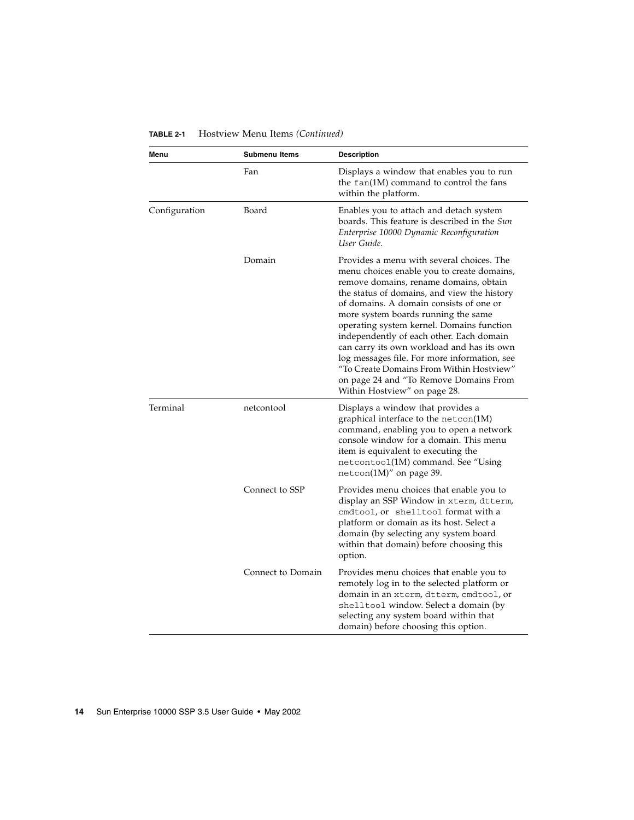| Menu          | <b>Submenu Items</b> | <b>Description</b>                                                                                                                                                                                                                                                                                                                                                                                                                                                                                                                                                              |
|---------------|----------------------|---------------------------------------------------------------------------------------------------------------------------------------------------------------------------------------------------------------------------------------------------------------------------------------------------------------------------------------------------------------------------------------------------------------------------------------------------------------------------------------------------------------------------------------------------------------------------------|
|               | Fan                  | Displays a window that enables you to run<br>the fan(1M) command to control the fans<br>within the platform.                                                                                                                                                                                                                                                                                                                                                                                                                                                                    |
| Configuration | Board                | Enables you to attach and detach system<br>boards. This feature is described in the Sun<br>Enterprise 10000 Dynamic Reconfiguration<br>User Guide.                                                                                                                                                                                                                                                                                                                                                                                                                              |
|               | Domain               | Provides a menu with several choices. The<br>menu choices enable you to create domains,<br>remove domains, rename domains, obtain<br>the status of domains, and view the history<br>of domains. A domain consists of one or<br>more system boards running the same<br>operating system kernel. Domains function<br>independently of each other. Each domain<br>can carry its own workload and has its own<br>log messages file. For more information, see<br>"To Create Domains From Within Hostview"<br>on page 24 and "To Remove Domains From<br>Within Hostview" on page 28. |
| Terminal      | netcontool           | Displays a window that provides a<br>graphical interface to the netcon(1M)<br>command, enabling you to open a network<br>console window for a domain. This menu<br>item is equivalent to executing the<br>netcontoo1(1M) command. See "Using<br>netcon(1M)" on page 39.                                                                                                                                                                                                                                                                                                         |
|               | Connect to SSP       | Provides menu choices that enable you to<br>display an SSP Window in xterm, dtterm,<br>cmdtool, or shelltool format with a<br>platform or domain as its host. Select a<br>domain (by selecting any system board<br>within that domain) before choosing this<br>option.                                                                                                                                                                                                                                                                                                          |
|               | Connect to Domain    | Provides menu choices that enable you to<br>remotely log in to the selected platform or<br>domain in an xterm, dtterm, cmdtool, or<br>shelltool window. Select a domain (by<br>selecting any system board within that<br>domain) before choosing this option.                                                                                                                                                                                                                                                                                                                   |

#### **TABLE 2-1** Hostview Menu Items *(Continued)*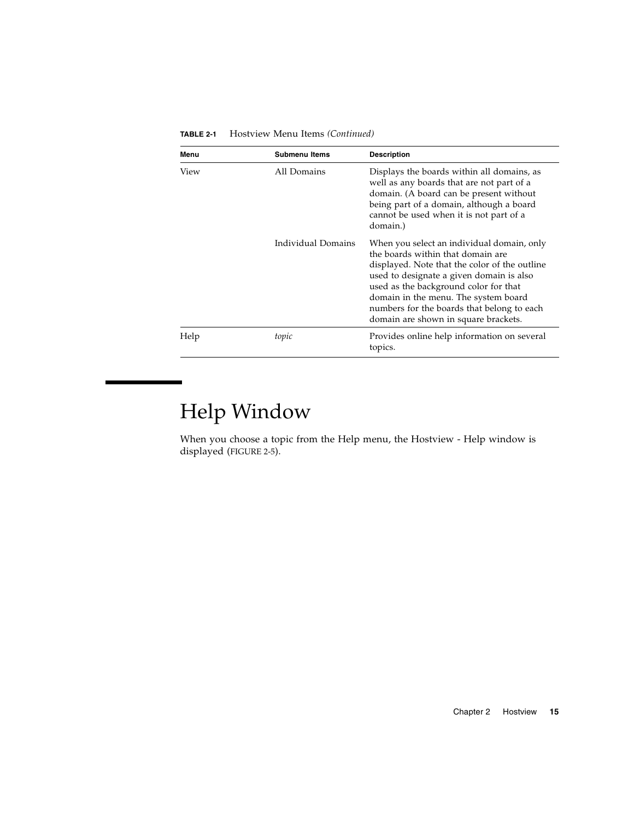| Menu | <b>Submenu Items</b> | <b>Description</b>                                                                                                                                                                                                                                                                                                                                  |
|------|----------------------|-----------------------------------------------------------------------------------------------------------------------------------------------------------------------------------------------------------------------------------------------------------------------------------------------------------------------------------------------------|
| View | All Domains          | Displays the boards within all domains, as<br>well as any boards that are not part of a<br>domain. (A board can be present without<br>being part of a domain, although a board<br>cannot be used when it is not part of a<br>domain.)                                                                                                               |
|      | Individual Domains   | When you select an individual domain, only<br>the boards within that domain are<br>displayed. Note that the color of the outline<br>used to designate a given domain is also<br>used as the background color for that<br>domain in the menu. The system board<br>numbers for the boards that belong to each<br>domain are shown in square brackets. |
| Help | topic                | Provides online help information on several<br>topics.                                                                                                                                                                                                                                                                                              |

**TABLE 2-1** Hostview Menu Items *(Continued)*

# Help Window

<span id="page-34-0"></span>

When you choose a topic from the Help menu, the Hostview - Help window is displayed ([FIGURE 2-5\)](#page-35-0).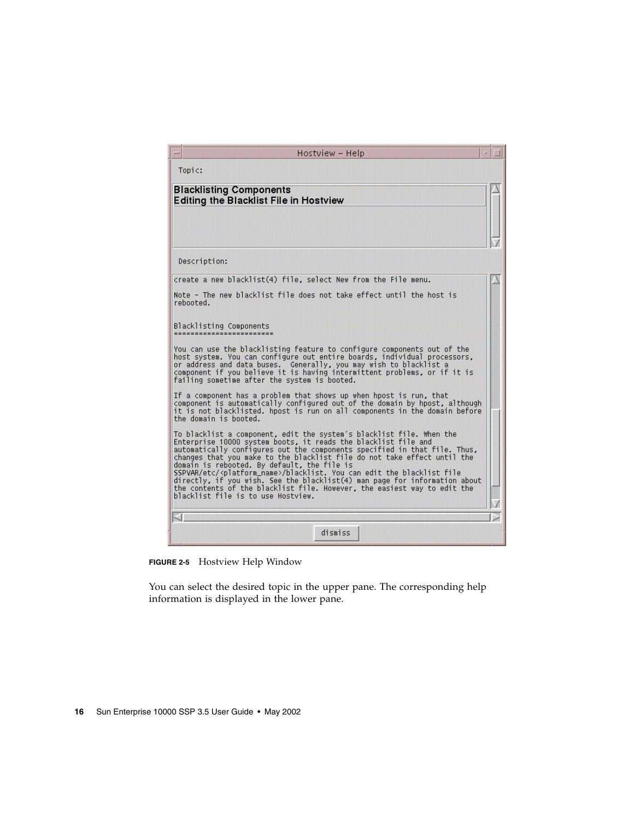| Hostview - Help                                                                                                                                                                                                                                                                                                                                                                                                                                                                                                                                                                                                                             |  |
|---------------------------------------------------------------------------------------------------------------------------------------------------------------------------------------------------------------------------------------------------------------------------------------------------------------------------------------------------------------------------------------------------------------------------------------------------------------------------------------------------------------------------------------------------------------------------------------------------------------------------------------------|--|
| Topic:                                                                                                                                                                                                                                                                                                                                                                                                                                                                                                                                                                                                                                      |  |
| <b>Blacklisting Components</b><br><b>Editing the Blacklist File in Hostview</b>                                                                                                                                                                                                                                                                                                                                                                                                                                                                                                                                                             |  |
|                                                                                                                                                                                                                                                                                                                                                                                                                                                                                                                                                                                                                                             |  |
| Description:                                                                                                                                                                                                                                                                                                                                                                                                                                                                                                                                                                                                                                |  |
| create a new blacklist(4) file, select New from the File menu.                                                                                                                                                                                                                                                                                                                                                                                                                                                                                                                                                                              |  |
| Note - The new blacklist file does not take effect until the host is<br>rehnnted.                                                                                                                                                                                                                                                                                                                                                                                                                                                                                                                                                           |  |
| Blacklisting Components                                                                                                                                                                                                                                                                                                                                                                                                                                                                                                                                                                                                                     |  |
| You can use the blacklisting feature to configure components out of the<br>host system. You can configure out entire boards, individual processors,<br>or address and data buses.  Generally, you may wish to blacklist a<br>component if you believe it is having intermittent problems, or if it is<br>failing sometime after the system is booted.                                                                                                                                                                                                                                                                                       |  |
| If a component has a problem that shows up when hpost is run, that<br>component is automatically configured out of the domain by hpost, although<br>it is not blacklisted, hpost is run on all components in the domain before<br>the domain is booted.                                                                                                                                                                                                                                                                                                                                                                                     |  |
| To blacklist a component, edit the system's blacklist file. When the<br>Enterprise 10000 system boots, it reads the blacklist file and<br>automatically configures out the components specified in that file. Thus,<br>changes that you make to the blacklist file do not take effect until the<br>domain is rebooted. By default, the file is<br>SSPVAR/etc/ <platform_name>/blacklist. You can edit the blacklist file<br/>directly, if you wish. See the blacklist(4) man page for information about<br/>the contents of the blacklist file. However, the easiest way to edit the<br/>blacklist file is to use Hostview.</platform_name> |  |
|                                                                                                                                                                                                                                                                                                                                                                                                                                                                                                                                                                                                                                             |  |
| 31                                                                                                                                                                                                                                                                                                                                                                                                                                                                                                                                                                                                                                          |  |
| dismiss                                                                                                                                                                                                                                                                                                                                                                                                                                                                                                                                                                                                                                     |  |

<span id="page-35-0"></span>**FIGURE 2-5** Hostview Help Window

You can select the desired topic in the upper pane. The corresponding help information is displayed in the lower pane.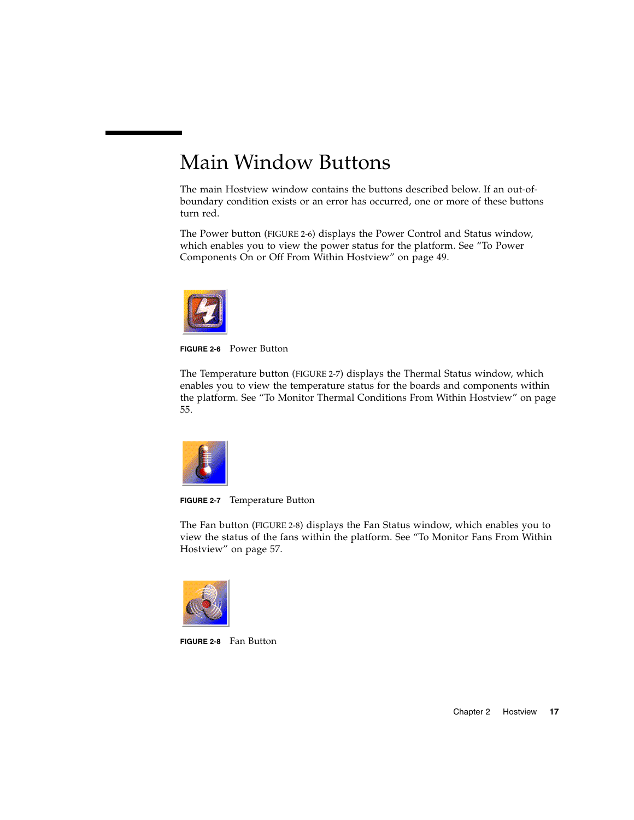# Main Window Buttons

The main Hostview window contains the buttons described below. If an out-ofboundary condition exists or an error has occurred, one or more of these buttons turn red.

The Power button [\(FIGURE 2-6\)](#page-36-0) displays the Power Control and Status window, which enables you to view the power status for the platform. See ["To Power](#page-68-0) [Components On or Off From Within Hostview" on page 49.](#page-68-0)



**FIGURE 2-6** Power Button

<span id="page-36-0"></span>The Temperature button [\(FIGURE 2-7\)](#page-36-1) displays the Thermal Status window, which enables you to view the temperature status for the boards and components within the platform. See ["To Monitor Thermal Conditions From Within Hostview" on page](#page-74-0) [55.](#page-74-0)



**FIGURE 2-7** Temperature Button

<span id="page-36-1"></span>The Fan button ([FIGURE 2-8\)](#page-36-2) displays the Fan Status window, which enables you to view the status of the fans within the platform. See ["To Monitor Fans From Within](#page-76-0) [Hostview" on page 57.](#page-76-0)

<span id="page-36-2"></span>

**FIGURE 2-8** Fan Button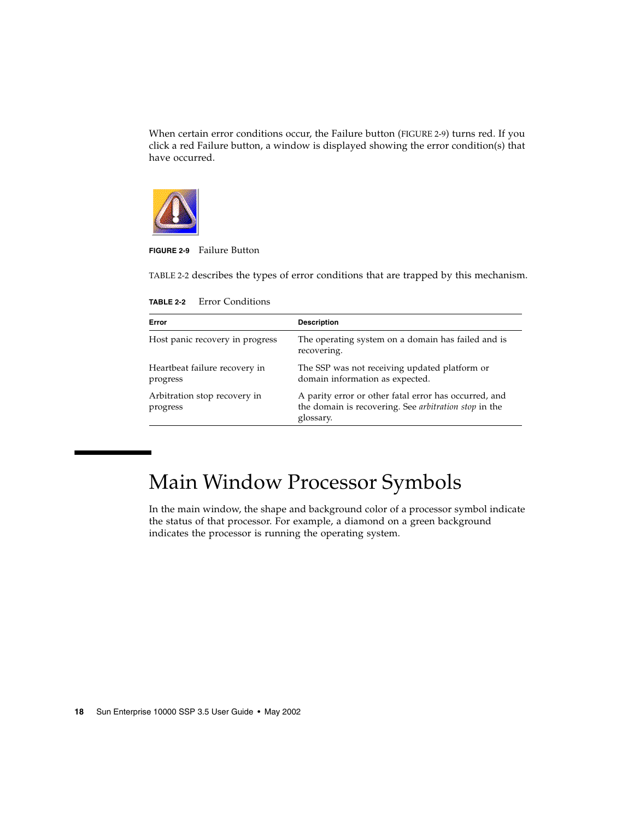When certain error conditions occur, the Failure button ([FIGURE 2-9\)](#page-37-0) turns red. If you click a red Failure button, a window is displayed showing the error condition(s) that have occurred.



<span id="page-37-0"></span>**FIGURE 2-9** Failure Button

[TABLE 2-2](#page-37-1) describes the types of error conditions that are trapped by this mechanism.

<span id="page-37-1"></span>

| Error                                     | <b>Description</b>                                                                                                                 |
|-------------------------------------------|------------------------------------------------------------------------------------------------------------------------------------|
| Host panic recovery in progress           | The operating system on a domain has failed and is<br>recovering.                                                                  |
| Heartbeat failure recovery in<br>progress | The SSP was not receiving updated platform or<br>domain information as expected.                                                   |
| Arbitration stop recovery in<br>progress  | A parity error or other fatal error has occurred, and<br>the domain is recovering. See <i>arbitration</i> stop in the<br>glossary. |

**TABLE 2-2** Error Conditions

# Main Window Processor Symbols

In the main window, the shape and background color of a processor symbol indicate the status of that processor. For example, a diamond on a green background indicates the processor is running the operating system.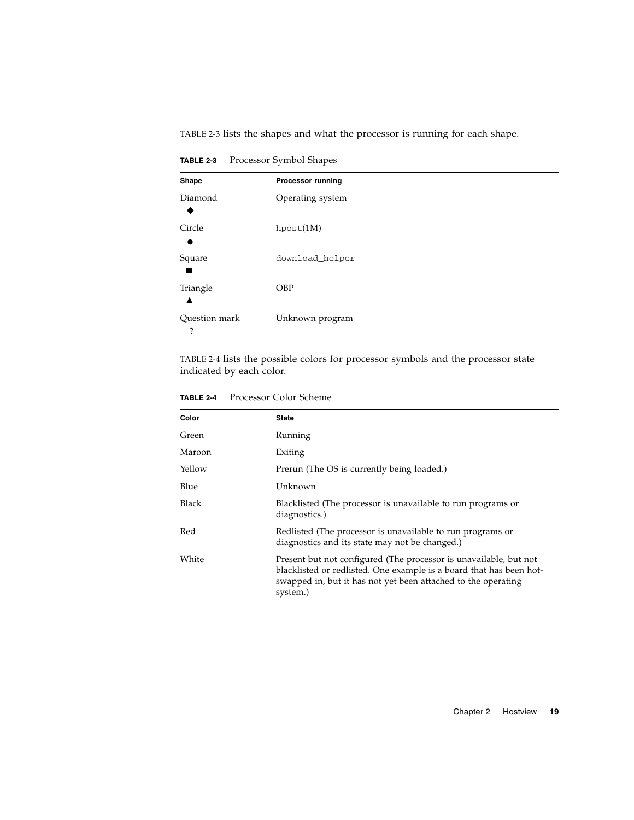[TABLE 2-3](#page-38-0) lists the shapes and what the processor is running for each shape.

| Shape              | <b>Processor running</b> |
|--------------------|--------------------------|
| Diamond            | Operating system         |
| Circle             | hpost(1M)                |
| Square             | download_helper          |
| Triangle           | <b>OBP</b>               |
| Question mark<br>? | Unknown program          |

<span id="page-38-0"></span>**TABLE 2-3** Processor Symbol Shapes

[TABLE 2-4](#page-38-1) lists the possible colors for processor symbols and the processor state indicated by each color.

| TABLE 2-4 | Processor Color Scheme |  |
|-----------|------------------------|--|
|           |                        |  |

<span id="page-38-1"></span>

| Color  | <b>State</b>                                                                                                                                                                                                          |
|--------|-----------------------------------------------------------------------------------------------------------------------------------------------------------------------------------------------------------------------|
| Green  | Running                                                                                                                                                                                                               |
| Maroon | Exiting                                                                                                                                                                                                               |
| Yellow | Prerun (The OS is currently being loaded.)                                                                                                                                                                            |
| Blue   | Unknown                                                                                                                                                                                                               |
| Black  | Blacklisted (The processor is unavailable to run programs or<br>diagnostics.)                                                                                                                                         |
| Red    | Redlisted (The processor is unavailable to run programs or<br>diagnostics and its state may not be changed.)                                                                                                          |
| White  | Present but not configured (The processor is unavailable, but not<br>blacklisted or redlisted. One example is a board that has been hot-<br>swapped in, but it has not yet been attached to the operating<br>system.) |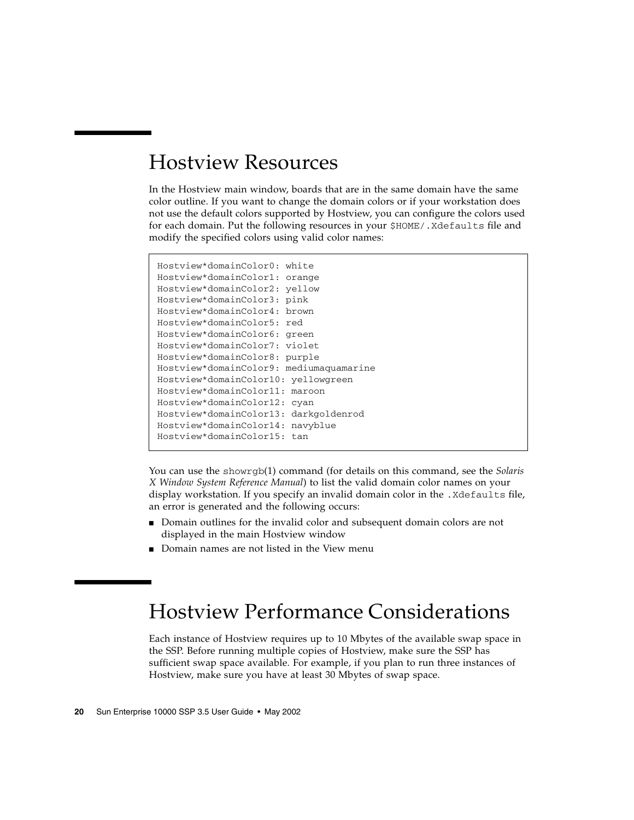# Hostview Resources

In the Hostview main window, boards that are in the same domain have the same color outline. If you want to change the domain colors or if your workstation does not use the default colors supported by Hostview, you can configure the colors used for each domain. Put the following resources in your \$HOME/.Xdefaults file and modify the specified colors using valid color names:

```
Hostview*domainColor0: white
Hostview*domainColor1: orange
Hostview*domainColor2: yellow
Hostview*domainColor3: pink
Hostview*domainColor4: brown
Hostview*domainColor5: red
Hostview*domainColor6: green
Hostview*domainColor7: violet
Hostview*domainColor8: purple
Hostview*domainColor9: mediumaquamarine
Hostview*domainColor10: yellowgreen
Hostview*domainColor11: maroon
Hostview*domainColor12: cyan
Hostview*domainColor13: darkgoldenrod
Hostview*domainColor14: navyblue
Hostview*domainColor15: tan
```
You can use the showrgb(1) command (for details on this command, see the *Solaris X Window System Reference Manual*) to list the valid domain color names on your display workstation. If you specify an invalid domain color in the .Xdefaults file, an error is generated and the following occurs:

- Domain outlines for the invalid color and subsequent domain colors are not displayed in the main Hostview window
- Domain names are not listed in the View menu

# Hostview Performance Considerations

Each instance of Hostview requires up to 10 Mbytes of the available swap space in the SSP. Before running multiple copies of Hostview, make sure the SSP has sufficient swap space available. For example, if you plan to run three instances of Hostview, make sure you have at least 30 Mbytes of swap space.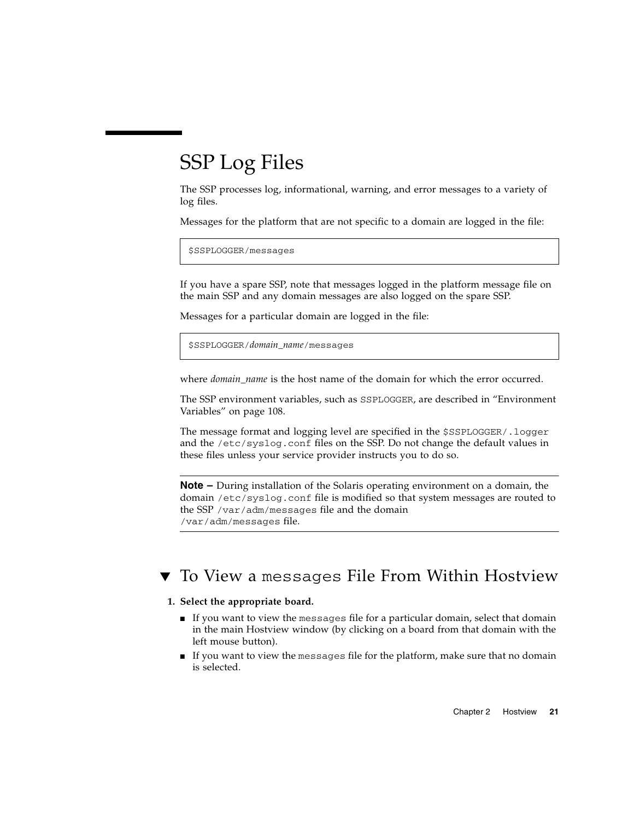# SSP Log Files

The SSP processes log, informational, warning, and error messages to a variety of log files.

Messages for the platform that are not specific to a domain are logged in the file:

```
$SSPLOGGER/messages
```
If you have a spare SSP, note that messages logged in the platform message file on the main SSP and any domain messages are also logged on the spare SSP.

Messages for a particular domain are logged in the file:

\$SSPLOGGER/*domain\_name*/messages

where *domain* name is the host name of the domain for which the error occurred.

The SSP environment variables, such as SSPLOGGER, are described in ["Environment](#page-127-0) [Variables" on page 108](#page-127-0).

The message format and logging level are specified in the \$SSPLOGGER/.logger and the /etc/syslog.conf files on the SSP. Do not change the default values in these files unless your service provider instructs you to do so.

**Note –** During installation of the Solaris operating environment on a domain, the domain /etc/syslog.conf file is modified so that system messages are routed to the SSP /var/adm/messages file and the domain /var/adm/messages file.

## ▼ To View a messages File From Within Hostview

### **1. Select the appropriate board.**

- If you want to view the messages file for a particular domain, select that domain in the main Hostview window (by clicking on a board from that domain with the left mouse button).
- If you want to view the messages file for the platform, make sure that no domain is selected.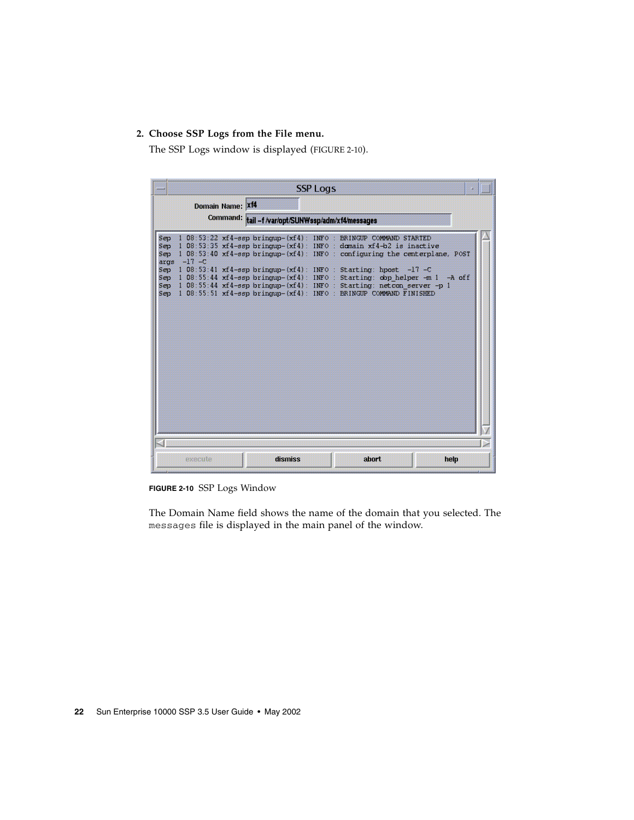### **2. Choose SSP Logs from the File menu.**

The SSP Logs window is displayed ([FIGURE 2-10](#page-41-0)).

|                                  |                 |                  |                                                    | <b>SSP Logs</b> |                                                                                                                                                                                                                                                                                                                                                                                                                                                                                                                                    |             |  |
|----------------------------------|-----------------|------------------|----------------------------------------------------|-----------------|------------------------------------------------------------------------------------------------------------------------------------------------------------------------------------------------------------------------------------------------------------------------------------------------------------------------------------------------------------------------------------------------------------------------------------------------------------------------------------------------------------------------------------|-------------|--|
|                                  |                 | Domain Name: Xf4 | Command: tail -f /var/opt/SUNWssp/adm/xf4/messages |                 |                                                                                                                                                                                                                                                                                                                                                                                                                                                                                                                                    |             |  |
| Sep<br>Sep.<br>Sep<br>Sep<br>Sep | $\arg s -17 -C$ |                  |                                                    |                 | 1 08:53:22 xf4-ssp brinqup-(xf4): INFO : BRINGUP COMMAND STARTED<br>$1.08:53:35$ xf4-ssp bringup- $(xf4):$ INFO: domain xf4-b2 is inactive<br>1 08:53:40 xf4-ssp bringup-(xf4): INFO : configuring the centerplane, POST<br>Sep 1 08:53:41 xf4-ssp bringup- $(xf4)$ : INFO : Starting: hpost -17 -C<br>Sep 1 08:55:44 xf4-ssp bringup- $(xf4)$ : INFO : Starting: obp helper -m 1<br>1 08:55:44 xf4-ssp brinqup- $(xf4)$ : INFO : Starting: netcon server -p 1<br>1 08:55:51 xf4-ssp bringup-(xf4): INFO: BRINGUP COMMAND FINISHED | $-A$ of $f$ |  |
|                                  | execute         |                  | dismiss                                            |                 | abort.                                                                                                                                                                                                                                                                                                                                                                                                                                                                                                                             | help        |  |

<span id="page-41-0"></span>**FIGURE 2-10** SSP Logs Window

The Domain Name field shows the name of the domain that you selected. The messages file is displayed in the main panel of the window.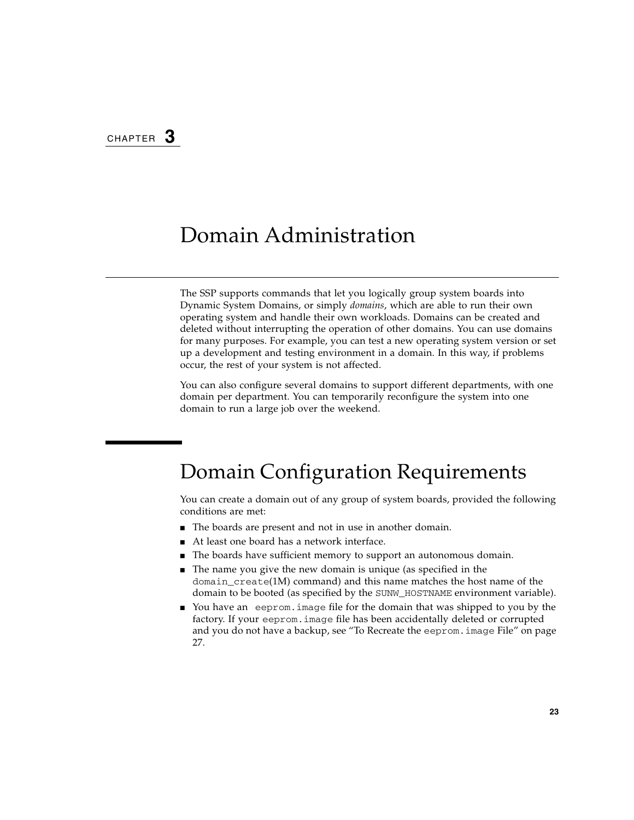# Domain Administration

The SSP supports commands that let you logically group system boards into Dynamic System Domains, or simply *domains*, which are able to run their own operating system and handle their own workloads. Domains can be created and deleted without interrupting the operation of other domains. You can use domains for many purposes. For example, you can test a new operating system version or set up a development and testing environment in a domain. In this way, if problems occur, the rest of your system is not affected.

You can also configure several domains to support different departments, with one domain per department. You can temporarily reconfigure the system into one domain to run a large job over the weekend.

# <span id="page-42-0"></span>Domain Configuration Requirements

You can create a domain out of any group of system boards, provided the following conditions are met:

- The boards are present and not in use in another domain.
- At least one board has a network interface.
- The boards have sufficient memory to support an autonomous domain.
- The name you give the new domain is unique (as specified in the domain\_create(1M) command) and this name matches the host name of the domain to be booted (as specified by the SUNW\_HOSTNAME environment variable).
- You have an eeprom.image file for the domain that was shipped to you by the factory. If your eeprom.image file has been accidentally deleted or corrupted and you do not have a backup, see ["To Recreate the](#page-46-0) eeprom.image File" on page [27.](#page-46-0)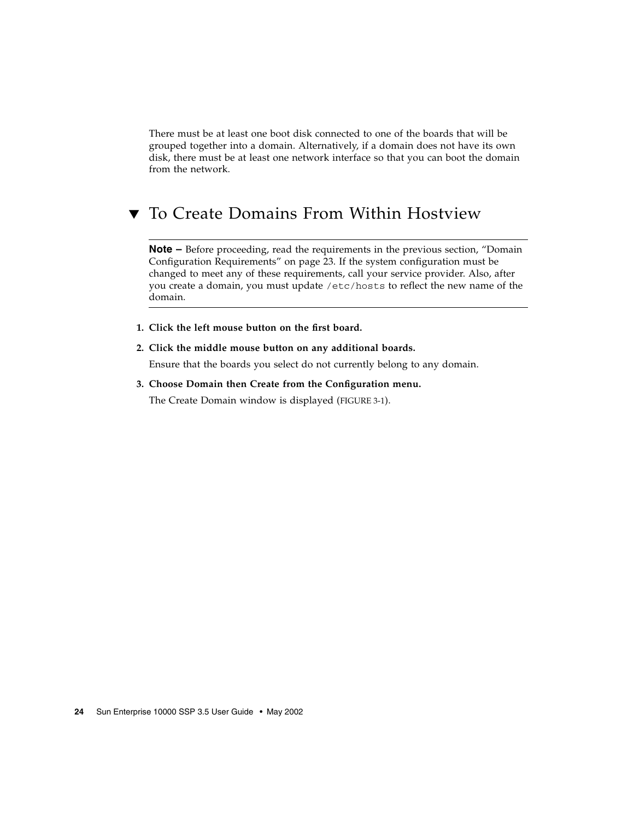There must be at least one boot disk connected to one of the boards that will be grouped together into a domain. Alternatively, if a domain does not have its own disk, there must be at least one network interface so that you can boot the domain from the network.

## ▼ To Create Domains From Within Hostview

**Note –** Before proceeding, read the requirements in the previous section, ["Domain](#page-42-0)" [Configuration Requirements" on page 23](#page-42-0). If the system configuration must be changed to meet any of these requirements, call your service provider. Also, after you create a domain, you must update /etc/hosts to reflect the new name of the domain.

- **1. Click the left mouse button on the first board.**
- **2. Click the middle mouse button on any additional boards.**

Ensure that the boards you select do not currently belong to any domain.

**3. Choose Domain then Create from the Configuration menu.**

The Create Domain window is displayed ([FIGURE 3-1\)](#page-44-0).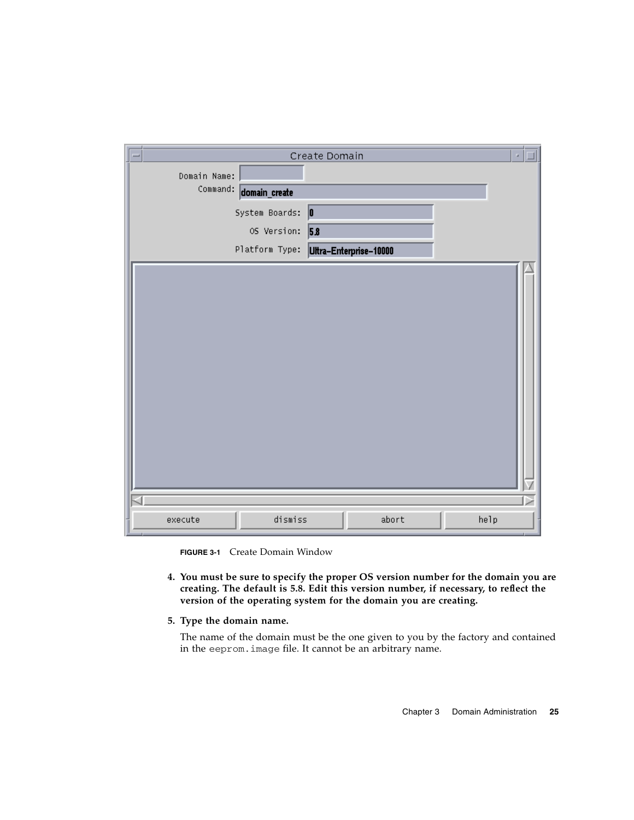|              |                | Create Domain          | a,   |
|--------------|----------------|------------------------|------|
| Domain Name: |                |                        |      |
| Command:     | domain_create  |                        |      |
|              | System Boards: | 0                      |      |
|              | OS Version:    | 5.8                    |      |
|              | Platform Type: | Ultra-Enterprise-10000 |      |
|              |                |                        |      |
| execute      | dismiss        | abort                  | help |

**FIGURE 3-1** Create Domain Window

- <span id="page-44-0"></span>**4. You must be sure to specify the proper OS version number for the domain you are creating. The default is 5.8. Edit this version number, if necessary, to reflect the version of the operating system for the domain you are creating.**
- **5. Type the domain name.**

The name of the domain must be the one given to you by the factory and contained in the eeprom.image file. It cannot be an arbitrary name.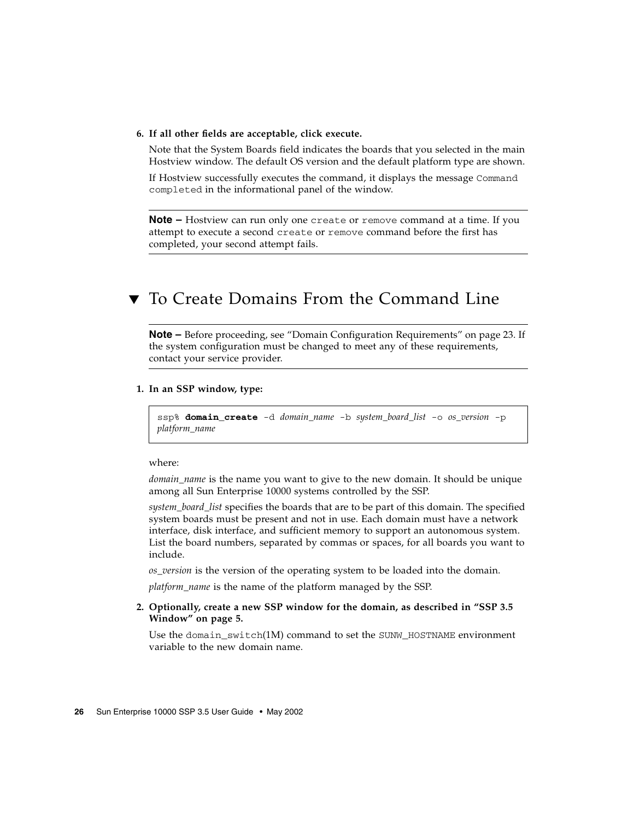### **6. If all other fields are acceptable, click execute.**

Note that the System Boards field indicates the boards that you selected in the main Hostview window. The default OS version and the default platform type are shown.

If Hostview successfully executes the command, it displays the message Command completed in the informational panel of the window.

**Note –** Hostview can run only one create or remove command at a time. If you attempt to execute a second create or remove command before the first has completed, your second attempt fails.

### ▼ To Create Domains From the Command Line

**Note –** Before proceeding, see ["Domain Configuration Requirements" on page 23.](#page-42-0) If the system configuration must be changed to meet any of these requirements, contact your service provider.

#### **1. In an SSP window, type:**

ssp% **domain\_create** -d *domain\_name* -b *system\_board\_list* -o *os\_version* -p *platform\_name*

#### where:

*domain\_name* is the name you want to give to the new domain. It should be unique among all Sun Enterprise 10000 systems controlled by the SSP.

*system\_board\_list* specifies the boards that are to be part of this domain. The specified system boards must be present and not in use. Each domain must have a network interface, disk interface, and sufficient memory to support an autonomous system. List the board numbers, separated by commas or spaces, for all boards you want to include.

*os\_version* is the version of the operating system to be loaded into the domain.

*platform\_name* is the name of the platform managed by the SSP.

### **2. Optionally, create a new SSP window for the domain, as described in ["SSP 3.5](#page-24-0) [Window" on page 5.](#page-24-0)**

Use the domain  $switch(1M)$  command to set the SUNW\_HOSTNAME environment variable to the new domain name.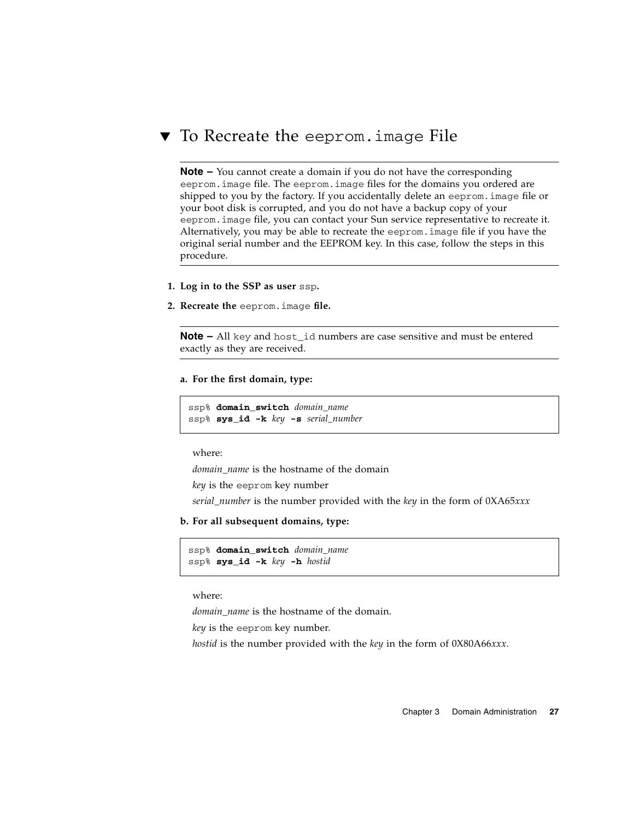### <span id="page-46-0"></span>To Recreate the eeprom.image File

**Note –** You cannot create a domain if you do not have the corresponding eeprom.image file. The eeprom.image files for the domains you ordered are shipped to you by the factory. If you accidentally delete an eeprom.image file or your boot disk is corrupted, and you do not have a backup copy of your eeprom.image file, you can contact your Sun service representative to recreate it. Alternatively, you may be able to recreate the eeprom.image file if you have the original serial number and the EEPROM key. In this case, follow the steps in this procedure.

- **1. Log in to the SSP as user** ssp**.**
- **2. Recreate the** eeprom.image **file.**

**Note –** All key and host id numbers are case sensitive and must be entered exactly as they are received.

**a. For the first domain, type:**

ssp% **domain\_switch** *domain\_name* ssp% **sys\_id -k** *key* **-s** *serial\_number*

where:

*domain\_name* is the hostname of the domain

*key* is the eeprom key number

*serial\_number* is the number provided with the *key* in the form of 0XA65*xxx*

**b. For all subsequent domains, type:**

```
ssp% domain_switch domain_name
ssp% sys_id -k key -h hostid
```
where:

*domain\_name* is the hostname of the domain.

*key* is the eeprom key number.

*hostid* is the number provided with the *key* in the form of 0X80A66*xxx*.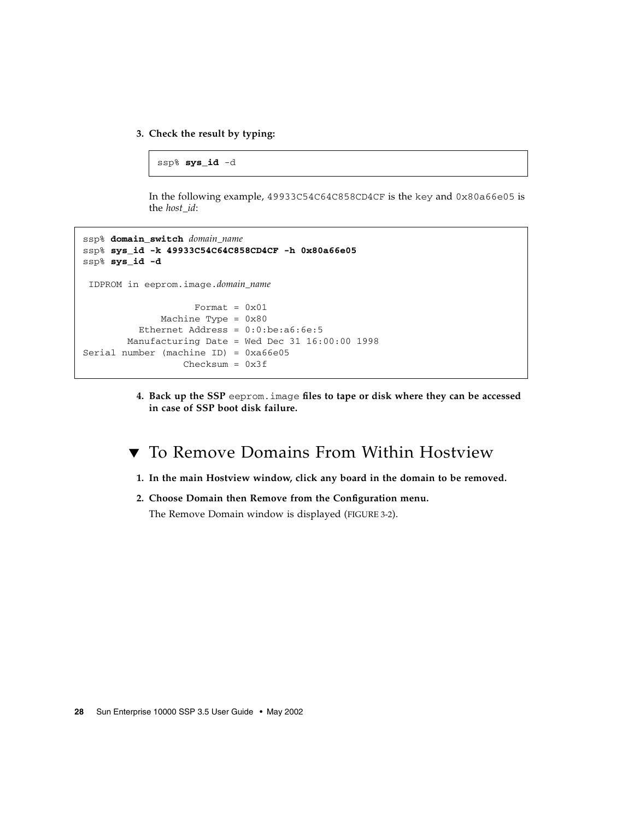### **3. Check the result by typing:**

#### ssp% **sys\_id** -d

In the following example, 49933C54C64C858CD4CF is the key and 0x80a66e05 is the *host\_id*:

```
ssp% domain_switch domain_name
ssp% sys_id -k 49933C54C64C858CD4CF -h 0x80a66e05
ssp% sys_id -d
  IDPROM in eeprom.image.domain_name
                    Format = 0 \times 01 Machine Type = 0x80
           Ethernet Address = 0:0:be:a6:6e:5
        Manufacturing Date = Wed Dec 31 16:00:00 1998
Serial number (machine ID) = 0xa66e05
                  Checksum = 0x3f
```
**4. Back up the SSP** eeprom.image **files to tape or disk where they can be accessed in case of SSP boot disk failure.**

### ▼ To Remove Domains From Within Hostview

- **1. In the main Hostview window, click any board in the domain to be removed.**
- **2. Choose Domain then Remove from the Configuration menu.**

The Remove Domain window is displayed ([FIGURE 3-2\)](#page-48-0).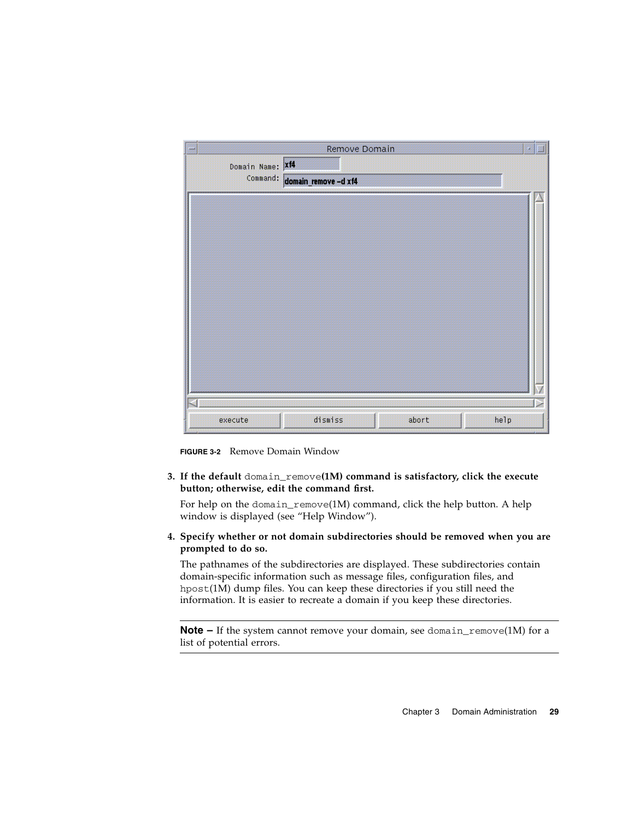| Remove Domain        |                                      |
|----------------------|--------------------------------------|
|                      |                                      |
| domain_remove -d xf4 |                                      |
|                      |                                      |
|                      |                                      |
|                      |                                      |
|                      |                                      |
|                      |                                      |
|                      |                                      |
|                      |                                      |
|                      |                                      |
|                      |                                      |
|                      |                                      |
|                      |                                      |
|                      |                                      |
|                      |                                      |
| dismiss<br>abort     |                                      |
|                      | Domain Name: Xf4<br>Command:<br>help |

**FIGURE 3-2** Remove Domain Window

<span id="page-48-0"></span>**3. If the default** domain\_remove**(1M) command is satisfactory, click the execute button; otherwise, edit the command first.**

For help on the domain\_remove(1M) command, click the help button. A help window is displayed (see ["Help Window"](#page-34-0)).

**4. Specify whether or not domain subdirectories should be removed when you are prompted to do so.**

The pathnames of the subdirectories are displayed. These subdirectories contain domain-specific information such as message files, configuration files, and hpost(1M) dump files. You can keep these directories if you still need the information. It is easier to recreate a domain if you keep these directories.

**Note –** If the system cannot remove your domain, see domain\_remove(1M) for a list of potential errors.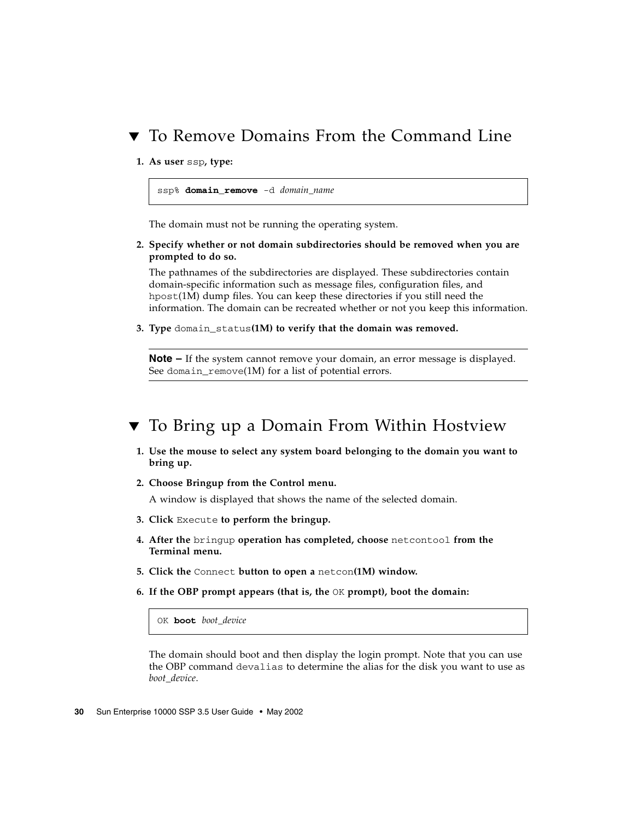## ▼ To Remove Domains From the Command Line

**1. As user** ssp**, type:**

```
ssp% domain_remove -d domain_name
```
The domain must not be running the operating system.

**2. Specify whether or not domain subdirectories should be removed when you are prompted to do so.**

The pathnames of the subdirectories are displayed. These subdirectories contain domain-specific information such as message files, configuration files, and hpost(1M) dump files. You can keep these directories if you still need the information. The domain can be recreated whether or not you keep this information.

**3. Type** domain\_status**(1M) to verify that the domain was removed.**

**Note –** If the system cannot remove your domain, an error message is displayed. See domain\_remove(1M) for a list of potential errors.

### <span id="page-49-1"></span><span id="page-49-0"></span>▼ To Bring up a Domain From Within Hostview

- **1. Use the mouse to select any system board belonging to the domain you want to bring up.**
- **2. Choose Bringup from the Control menu.**

A window is displayed that shows the name of the selected domain.

- **3. Click** Execute **to perform the bringup.**
- **4. After the** bringup **operation has completed, choose** netcontool **from the Terminal menu.**
- **5. Click the** Connect **button to open a** netcon**(1M) window.**
- **6. If the OBP prompt appears (that is, the** OK **prompt), boot the domain:**

OK **boot** *boot\_device*

The domain should boot and then display the login prompt. Note that you can use the OBP command devalias to determine the alias for the disk you want to use as *boot\_device*.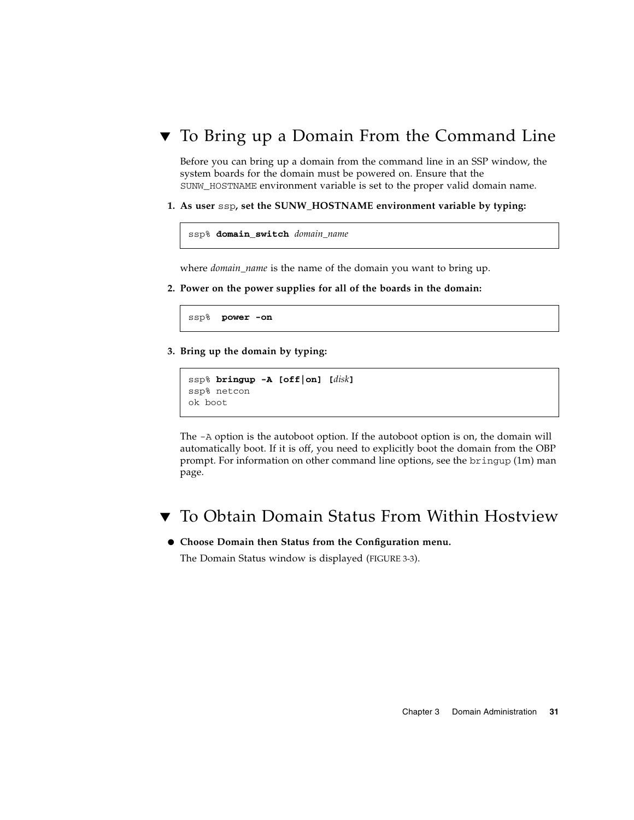### <span id="page-50-0"></span>▼ To Bring up a Domain From the Command Line

Before you can bring up a domain from the command line in an SSP window, the system boards for the domain must be powered on. Ensure that the SUNW\_HOSTNAME environment variable is set to the proper valid domain name.

**1. As user** ssp**, set the SUNW\_HOSTNAME environment variable by typing:**

```
ssp% domain_switch domain_name
```
where *domain\_name* is the name of the domain you want to bring up.

**2. Power on the power supplies for all of the boards in the domain:**

ssp% **power -on**

**3. Bring up the domain by typing:**

```
ssp% bringup -A [off|on] [disk]
ssp% netcon
ok boot
```
The -A option is the autoboot option. If the autoboot option is on, the domain will automatically boot. If it is off, you need to explicitly boot the domain from the OBP prompt. For information on other command line options, see the bringup (1m) man page.

▼ To Obtain Domain Status From Within Hostview

#### ● **Choose Domain then Status from the Configuration menu.**

The Domain Status window is displayed ([FIGURE 3-3](#page-51-0)).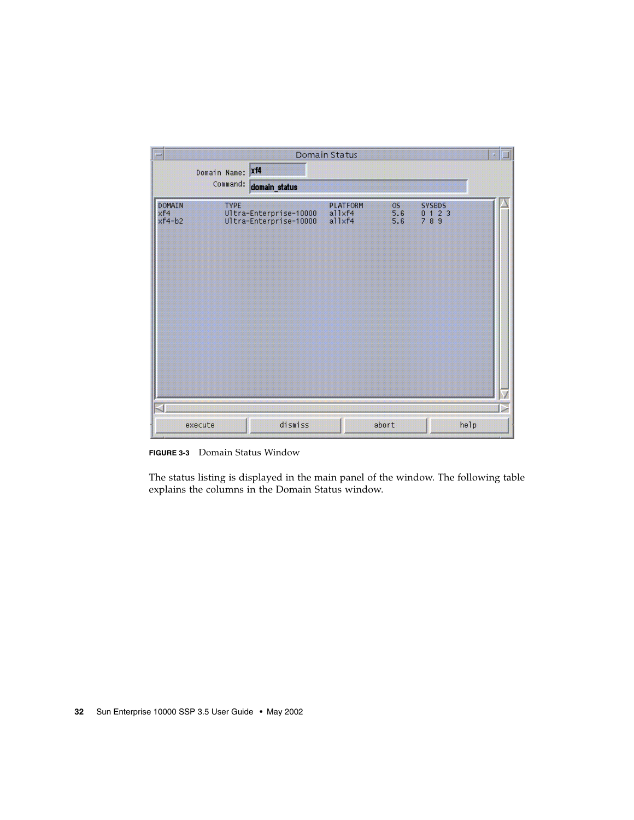| ₩                         |                              |                                                  | Domain Status                       |                  |                                                                               | p. |
|---------------------------|------------------------------|--------------------------------------------------|-------------------------------------|------------------|-------------------------------------------------------------------------------|----|
|                           | Domain Name: Xf4<br>Command: | domain_status                                    |                                     |                  |                                                                               |    |
| DOMAIN<br>xf4<br>$xf4-b2$ | <b>TYPE</b>                  | Ultra-Enterprise-10000<br>Ultra-Enterprise-10000 | <b>PLATFORM</b><br>allxf4<br>a11xf4 | OS<br>5.6<br>5.6 | <b>SYSBDS</b><br>$\begin{array}{cccc} 0 & 1 & 2 & 3 \\ 7 & 8 & 9 \end{array}$ |    |
|                           | execute                      | dismiss                                          |                                     | abort            | help                                                                          |    |

<span id="page-51-0"></span>**FIGURE 3-3** Domain Status Window

The status listing is displayed in the main panel of the window. The following table explains the columns in the Domain Status window.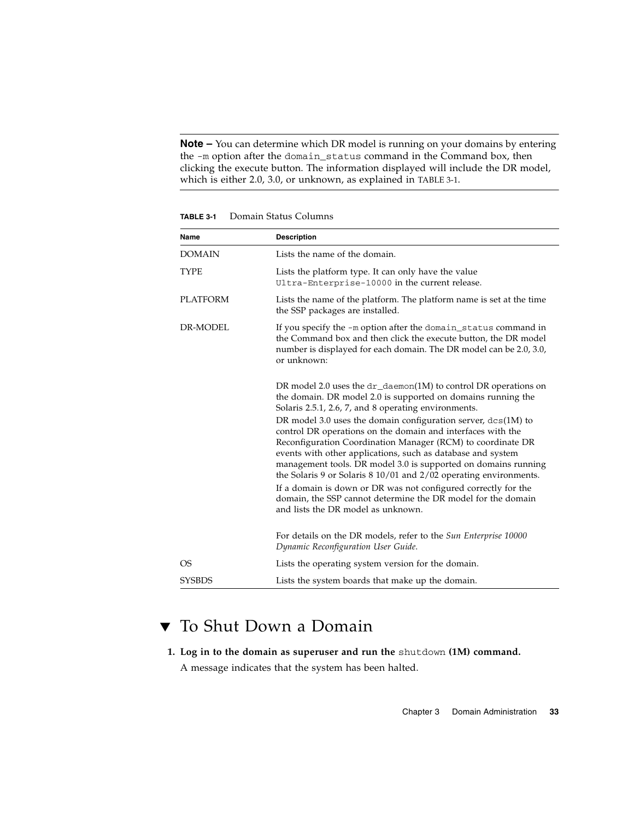**Note –** You can determine which DR model is running on your domains by entering the -m option after the domain\_status command in the Command box, then clicking the execute button. The information displayed will include the DR model, which is either 2.0, 3.0, or unknown, as explained in TABLE 3-1.

| Name            | <b>Description</b>                                                                                                                                                                                                                                                                                                                                                                                                                                                                                                                                                                                                                                                                                                                                                          |
|-----------------|-----------------------------------------------------------------------------------------------------------------------------------------------------------------------------------------------------------------------------------------------------------------------------------------------------------------------------------------------------------------------------------------------------------------------------------------------------------------------------------------------------------------------------------------------------------------------------------------------------------------------------------------------------------------------------------------------------------------------------------------------------------------------------|
| <b>DOMAIN</b>   | Lists the name of the domain.                                                                                                                                                                                                                                                                                                                                                                                                                                                                                                                                                                                                                                                                                                                                               |
| TYPE            | Lists the platform type. It can only have the value<br>Ultra-Enterprise-10000 in the current release.                                                                                                                                                                                                                                                                                                                                                                                                                                                                                                                                                                                                                                                                       |
| <b>PLATFORM</b> | Lists the name of the platform. The platform name is set at the time<br>the SSP packages are installed.                                                                                                                                                                                                                                                                                                                                                                                                                                                                                                                                                                                                                                                                     |
| DR-MODEL        | If you specify the -m option after the domain_status command in<br>the Command box and then click the execute button, the DR model<br>number is displayed for each domain. The DR model can be 2.0, 3.0,<br>or unknown:                                                                                                                                                                                                                                                                                                                                                                                                                                                                                                                                                     |
|                 | DR model 2.0 uses the $dr_d$ -daemon(1M) to control DR operations on<br>the domain. DR model 2.0 is supported on domains running the<br>Solaris 2.5.1, 2.6, 7, and 8 operating environments.<br>DR model 3.0 uses the domain configuration server, $dcs(1M)$ to<br>control DR operations on the domain and interfaces with the<br>Reconfiguration Coordination Manager (RCM) to coordinate DR<br>events with other applications, such as database and system<br>management tools. DR model 3.0 is supported on domains running<br>the Solaris 9 or Solaris 8 10/01 and 2/02 operating environments.<br>If a domain is down or DR was not configured correctly for the<br>domain, the SSP cannot determine the DR model for the domain<br>and lists the DR model as unknown. |
|                 | For details on the DR models, refer to the Sun Enterprise 10000<br>Dynamic Reconfiguration User Guide.                                                                                                                                                                                                                                                                                                                                                                                                                                                                                                                                                                                                                                                                      |
| OS.             | Lists the operating system version for the domain.                                                                                                                                                                                                                                                                                                                                                                                                                                                                                                                                                                                                                                                                                                                          |
| <b>SYSBDS</b>   | Lists the system boards that make up the domain.                                                                                                                                                                                                                                                                                                                                                                                                                                                                                                                                                                                                                                                                                                                            |

**TABLE 3-1** Domain Status Columns

### ▼ To Shut Down a Domain

**1. Log in to the domain as superuser and run the** shutdown **(1M) command.**

A message indicates that the system has been halted.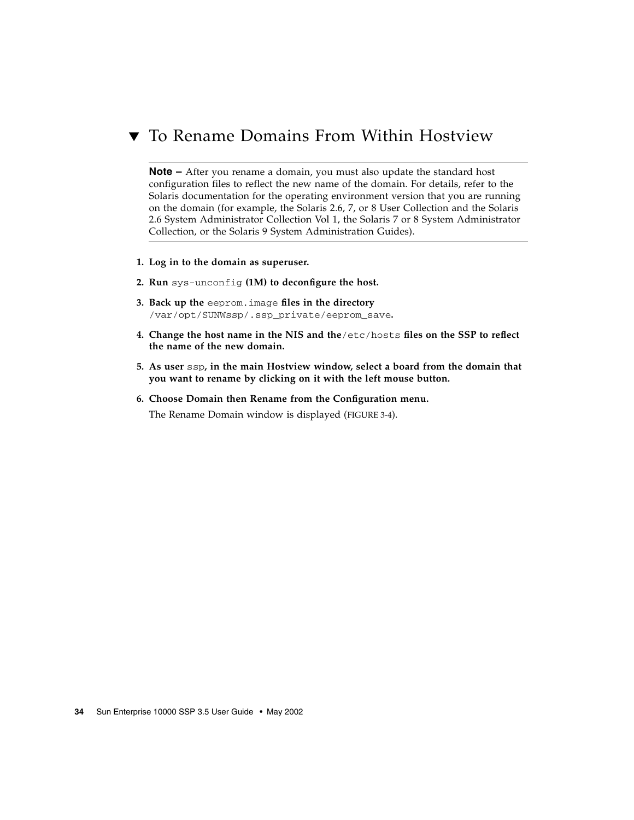## ▼ To Rename Domains From Within Hostview

**Note –** After you rename a domain, you must also update the standard host configuration files to reflect the new name of the domain. For details, refer to the Solaris documentation for the operating environment version that you are running on the domain (for example, the Solaris 2.6, 7, or 8 User Collection and the Solaris 2.6 System Administrator Collection Vol 1, the Solaris 7 or 8 System Administrator Collection, or the Solaris 9 System Administration Guides).

- **1. Log in to the domain as superuser.**
- **2. Run** sys-unconfig **(1M) to deconfigure the host.**
- **3. Back up the** eeprom.image **files in the directory** /var/opt/SUNWssp/.ssp\_private/eeprom\_save**.**
- **4. Change the host name in the NIS and the**/etc/hosts **files on the SSP to reflect the name of the new domain.**
- **5. As user** ssp**, in the main Hostview window, select a board from the domain that you want to rename by clicking on it with the left mouse button.**
- **6. Choose Domain then Rename from the Configuration menu.**

The Rename Domain window is displayed [\(FIGURE 3-4\)](#page-54-0).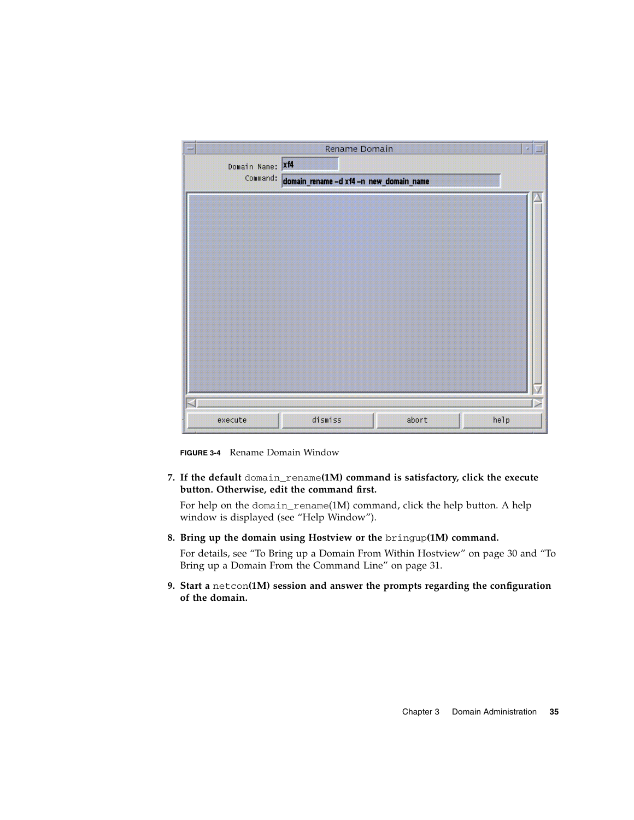| ₩                | Rename Domain                           |      |
|------------------|-----------------------------------------|------|
| Domain Name: Xf4 |                                         |      |
| Command:         | domain_rename -d xf4 -n new_domain_name |      |
|                  |                                         |      |
|                  |                                         |      |
|                  |                                         |      |
|                  |                                         |      |
|                  |                                         |      |
|                  |                                         |      |
|                  |                                         |      |
|                  |                                         |      |
|                  |                                         |      |
|                  |                                         |      |
|                  |                                         |      |
|                  |                                         |      |
|                  |                                         |      |
| execute          | dismiss<br>abort                        | help |

**FIGURE 3-4** Rename Domain Window

<span id="page-54-0"></span>**7. If the default** domain\_rename**(1M) command is satisfactory, click the execute button. Otherwise, edit the command first.**

For help on the domain\_rename(1M) command, click the help button. A help window is displayed (see ["Help Window"](#page-34-0)).

**8. Bring up the domain using Hostview or the** bringup**(1M) command.**

For details, see ["To Bring up a Domain From Within Hostview" on page 30](#page-49-0) and ["To](#page-50-0) [Bring up a Domain From the Command Line" on page 31](#page-50-0).

**9. Start a** netcon**(1M) session and answer the prompts regarding the configuration of the domain.**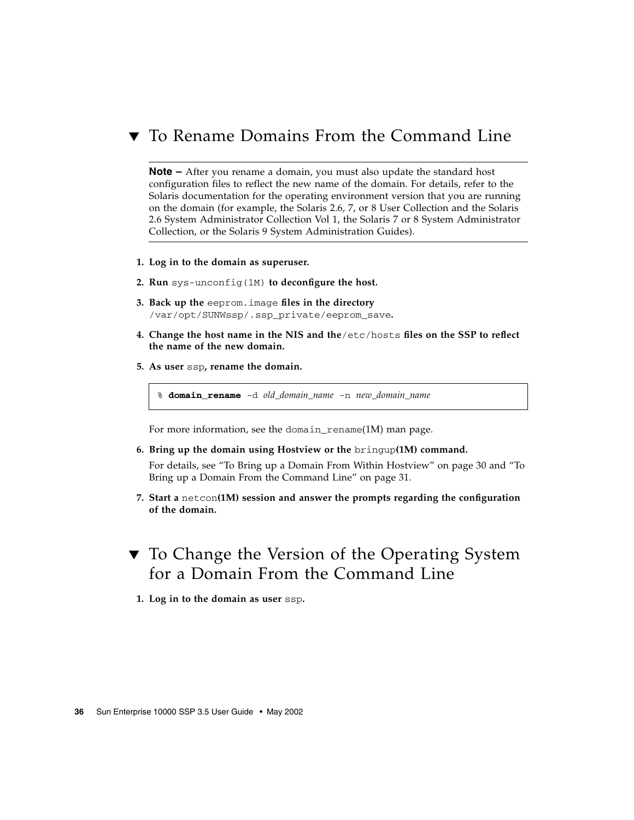## ▼ To Rename Domains From the Command Line

**Note –** After you rename a domain, you must also update the standard host configuration files to reflect the new name of the domain. For details, refer to the Solaris documentation for the operating environment version that you are running on the domain (for example, the Solaris 2.6, 7, or 8 User Collection and the Solaris 2.6 System Administrator Collection Vol 1, the Solaris 7 or 8 System Administrator Collection, or the Solaris 9 System Administration Guides).

- **1. Log in to the domain as superuser.**
- **2. Run** sys-unconfig(1M) **to deconfigure the host.**
- **3. Back up the** eeprom.image **files in the directory** /var/opt/SUNWssp/.ssp\_private/eeprom\_save**.**
- **4. Change the host name in the NIS and the**/etc/hosts **files on the SSP to reflect the name of the new domain.**
- **5. As user** ssp**, rename the domain.**

% **domain\_rename** -d *old\_domain\_name* -n *new\_domain\_name*

For more information, see the domain rename(1M) man page.

**6. Bring up the domain using Hostview or the** bringup**(1M) command.**

For details, see ["To Bring up a Domain From Within Hostview" on page 30](#page-49-0) and ["To](#page-50-0) [Bring up a Domain From the Command Line" on page 31](#page-50-0).

- **7. Start a** netcon**(1M) session and answer the prompts regarding the configuration of the domain.**
- ▼ To Change the Version of the Operating System for a Domain From the Command Line
	- **1. Log in to the domain as user** ssp**.**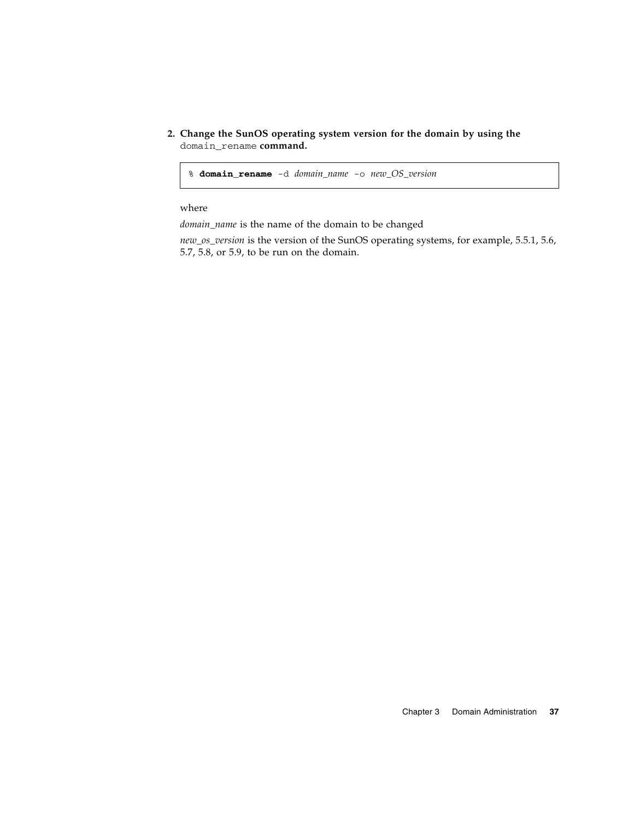**2. Change the SunOS operating system version for the domain by using the** domain\_rename **command.**

% **domain\_rename** -d *domain\_name* -o *new\_OS\_version*

#### where

*domain\_name* is the name of the domain to be changed

*new\_os\_version* is the version of the SunOS operating systems, for example, 5.5.1, 5.6, 5.7, 5.8, or 5.9, to be run on the domain.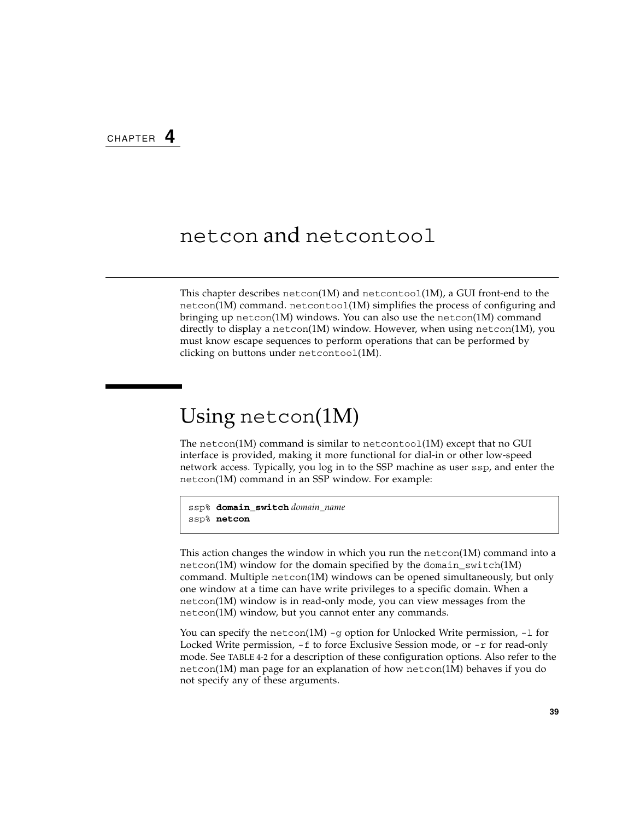## netcon and netcontool

This chapter describes netcon(1M) and netcontool(1M), a GUI front-end to the netcon(1M) command. netcontoo1(1M) simplifies the process of configuring and bringing up netcon(1M) windows. You can also use the netcon(1M) command directly to display a netcon(1M) window. However, when using netcon(1M), you must know escape sequences to perform operations that can be performed by clicking on buttons under netcontool(1M).

# Using netcon(1M)

The netcon(1M) command is similar to netcontool(1M) except that no GUI interface is provided, making it more functional for dial-in or other low-speed network access. Typically, you log in to the SSP machine as user ssp, and enter the netcon(1M) command in an SSP window. For example:

```
ssp% domain_switch domain_name
ssp% netcon
```
This action changes the window in which you run the netcon(1M) command into a netcon(1M) window for the domain specified by the domain  $s$ witch(1M) command. Multiple netcon(1M) windows can be opened simultaneously, but only one window at a time can have write privileges to a specific domain. When a netcon(1M) window is in read-only mode, you can view messages from the netcon(1M) window, but you cannot enter any commands.

You can specify the netcon(1M) -g option for Unlocked Write permission,  $-1$  for Locked Write permission,  $-f$  to force Exclusive Session mode, or  $-r$  for read-only mode. See TABLE 4-2 for a description of these configuration options. Also refer to the netcon(1M) man page for an explanation of how netcon(1M) behaves if you do not specify any of these arguments.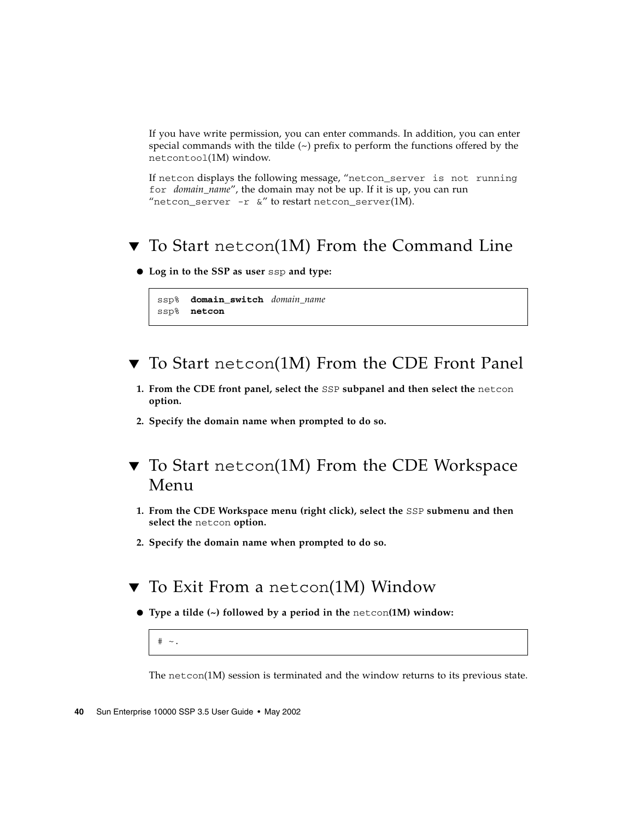If you have write permission, you can enter commands. In addition, you can enter special commands with the tilde  $(\sim)$  prefix to perform the functions offered by the netcontool(1M) window.

If netcon displays the following message, "netcon\_server is not running for *domain\_name*", the domain may not be up. If it is up, you can run "netcon\_server -r  $\&v$ " to restart netcon\_server(1M).

- ▼ To Start netcon(1M) From the Command Line
	- **Log in to the SSP as user** ssp **and type:**

```
ssp% domain_switch domain_name
ssp% netcon
```
- ▼ To Start netcon(1M) From the CDE Front Panel
	- **1. From the CDE front panel, select the** SSP **subpanel and then select the** netcon **option.**
	- **2. Specify the domain name when prompted to do so.**
- ▼ To Start netcon(1M) From the CDE Workspace Menu
	- **1. From the CDE Workspace menu (right click), select the** SSP **submenu and then select the** netcon **option.**
	- **2. Specify the domain name when prompted to do so.**
- ▼ To Exit From a netcon(1M) Window
	- **Type a tilde (~) followed by a period in the** netcon**(1M) window:**

 $\#$  ~

The netcon(1M) session is terminated and the window returns to its previous state.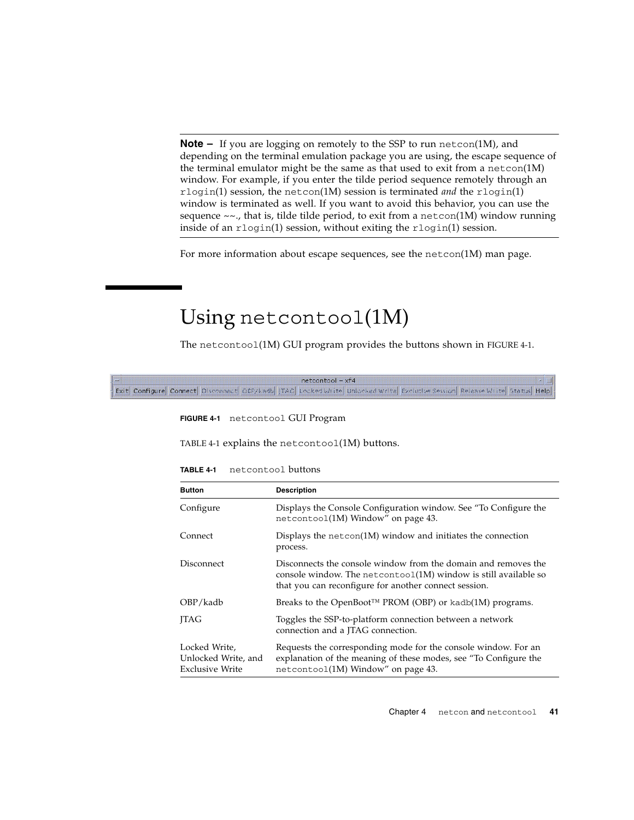**Note –** If you are logging on remotely to the SSP to run netcon(1M), and depending on the terminal emulation package you are using, the escape sequence of the terminal emulator might be the same as that used to exit from a netcon $(1M)$ window. For example, if you enter the tilde period sequence remotely through an rlogin(1) session, the netcon(1M) session is terminated *and* the rlogin(1) window is terminated as well. If you want to avoid this behavior, you can use the sequence  $\sim \sim$ , that is, tilde tilde period, to exit from a netcon(1M) window running inside of an rlogin(1) session, without exiting the rlogin(1) session.

For more information about escape sequences, see the netcon(1M) man page.

# Using netcontool(1M)

The netcontool(1M) GUI program provides the buttons shown in [FIGURE 4-1.](#page-60-0)

<span id="page-60-0"></span>

|  |                                                                                                                                      | $netcontrol - xf4$ |  |  |  |
|--|--------------------------------------------------------------------------------------------------------------------------------------|--------------------|--|--|--|
|  | Exit Configure Connect Disconnect OBP/Kadb ITAG Locked Write Unlocked Write Exclusive Session Release Write Status Help <del> </del> |                    |  |  |  |

**FIGURE 4-1** netcontool GUI Program

[TABLE 4-1](#page-60-1) explains the netcontool(1M) buttons.

| netcontool buttons<br>TABLE 4-1 |
|---------------------------------|
|                                 |

<span id="page-60-1"></span>

| <b>Button</b>                                                  | <b>Description</b>                                                                                                                                                                            |
|----------------------------------------------------------------|-----------------------------------------------------------------------------------------------------------------------------------------------------------------------------------------------|
| Configure                                                      | Displays the Console Configuration window. See "To Configure the<br>netcontoo1(1M) Window" on page 43.                                                                                        |
| Connect                                                        | Displays the netcon(1M) window and initiates the connection<br>process.                                                                                                                       |
| Disconnect                                                     | Disconnects the console window from the domain and removes the<br>console window. The netcontoo $1(1M)$ window is still available so<br>that you can reconfigure for another connect session. |
| OBP/kadb                                                       | Breaks to the OpenBoot <sup>TM</sup> PROM (OBP) or kadb(1M) programs.                                                                                                                         |
| <b>ITAG</b>                                                    | Toggles the SSP-to-platform connection between a network<br>connection and a JTAG connection.                                                                                                 |
| Locked Write,<br>Unlocked Write, and<br><b>Exclusive Write</b> | Requests the corresponding mode for the console window. For an<br>explanation of the meaning of these modes, see "To Configure the<br>netcontoo1(1M) Window" on page 43.                      |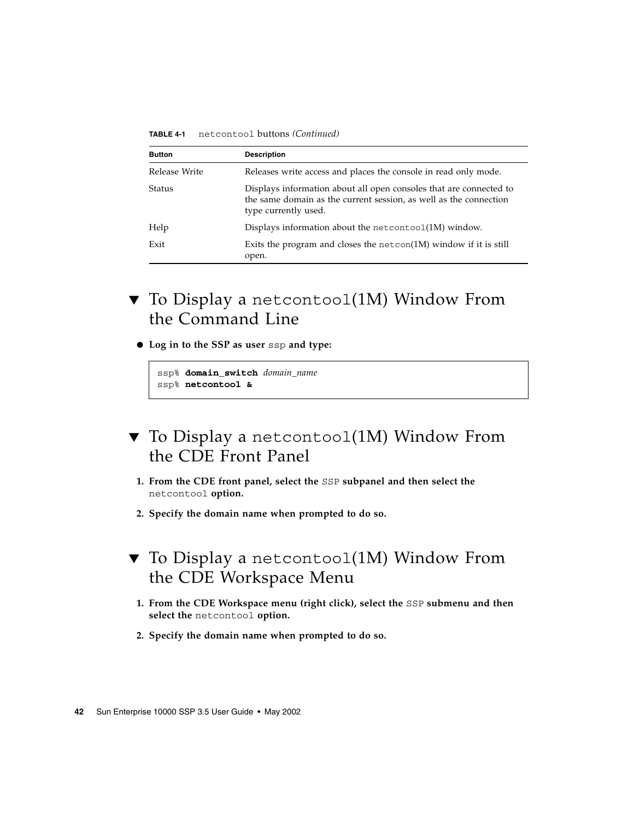| <b>Button</b> | <b>Description</b>                                                                                                                                              |
|---------------|-----------------------------------------------------------------------------------------------------------------------------------------------------------------|
| Release Write | Releases write access and places the console in read only mode.                                                                                                 |
| <b>Status</b> | Displays information about all open consoles that are connected to<br>the same domain as the current session, as well as the connection<br>type currently used. |
| Help          | Displays information about the netcontoo $1(1M)$ window.                                                                                                        |
| Exit          | Exits the program and closes the netcon $(1M)$ window if it is still<br>open.                                                                                   |

**TABLE 4-1** netcontool buttons *(Continued)*

- ▼ To Display a netcontool(1M) Window From the Command Line
	- **Log in to the SSP as user** ssp **and type:**

```
ssp% domain_switch domain_name
ssp% netcontool &
```
- ▼ To Display a netcontool(1M) Window From the CDE Front Panel
	- **1. From the CDE front panel, select the** SSP **subpanel and then select the** netcontool **option.**
	- **2. Specify the domain name when prompted to do so.**
- ▼ To Display a netcontool(1M) Window From the CDE Workspace Menu
	- **1. From the CDE Workspace menu (right click), select the** SSP **submenu and then select the** netcontool **option.**
	- **2. Specify the domain name when prompted to do so.**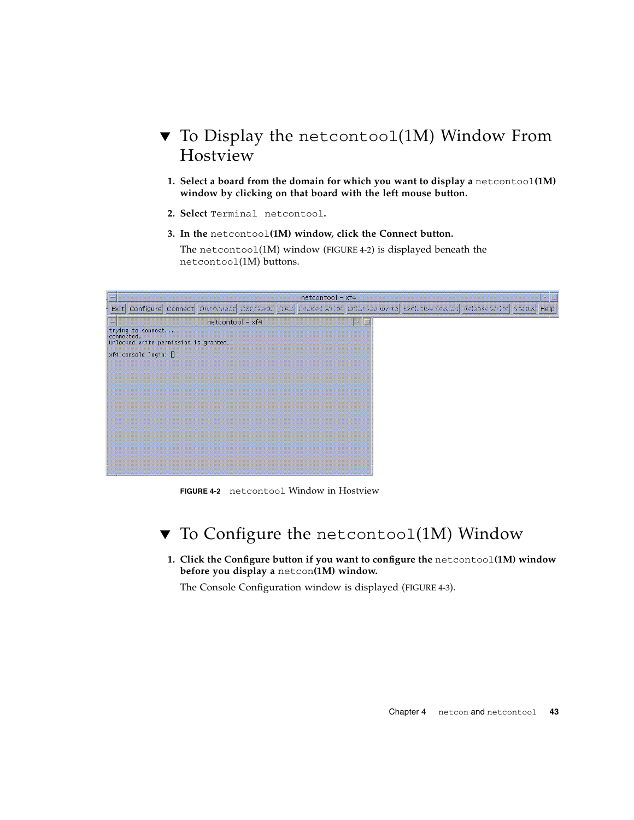## ▼ To Display the netcontool(1M) Window From Hostview

- **1. Select a board from the domain for which you want to display a** netcontool**(1M) window by clicking on that board with the left mouse button.**
- **2. Select** Terminal netcontool**.**
- **3. In the** netcontool**(1M) window, click the Connect button.**

The netcontool(1M) window [\(FIGURE 4-2\)](#page-62-1) is displayed beneath the netcontool(1M) buttons.

| <b>IEEE</b> | $netcontool - xf4$                                                                                                      | 環圈 |
|-------------|-------------------------------------------------------------------------------------------------------------------------|----|
|             | Exit Configure Connect Disconnect OEF/kadb JTAG Locked Write Unlocked Write Exclusive Session Release Write Status Help |    |
| °₿.         | $netcontool - xf4$<br>龖<br>IШ                                                                                           |    |
|             | trying to connect<br>connected.<br>Unlocked write permission is granted.                                                |    |
|             | $xf4$ console login: $\Box$                                                                                             |    |
|             |                                                                                                                         |    |
|             |                                                                                                                         |    |
|             |                                                                                                                         |    |
|             |                                                                                                                         |    |
|             |                                                                                                                         |    |
|             |                                                                                                                         |    |
|             |                                                                                                                         |    |
|             |                                                                                                                         |    |
|             |                                                                                                                         |    |

**FIGURE 4-2** netcontool Window in Hostview

## <span id="page-62-1"></span><span id="page-62-0"></span>▼ To Configure the netcontool(1M) Window

**1. Click the Configure button if you want to configure the** netcontool**(1M) window before you display a** netcon**(1M) window.**

The Console Configuration window is displayed [\(FIGURE 4-3\)](#page-63-0).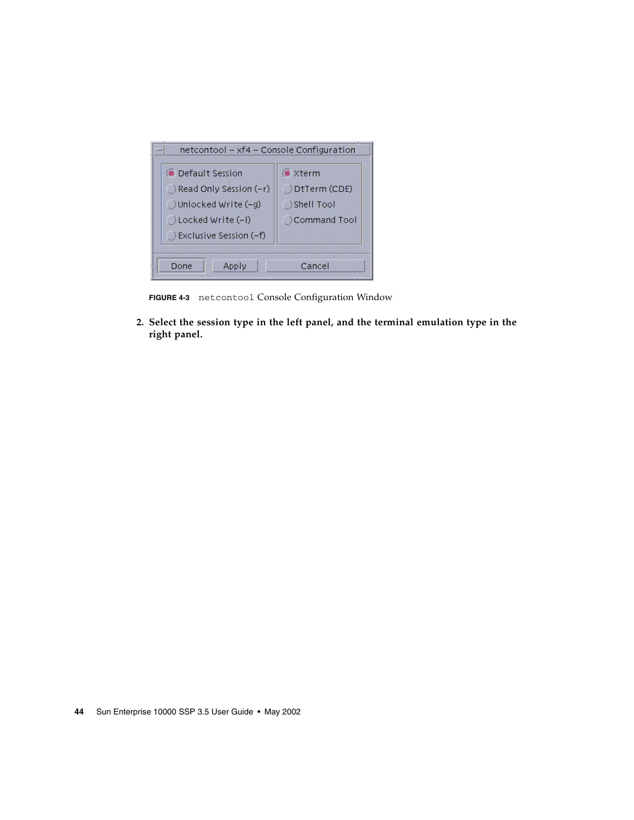| netcontool - xf4 - Console Configuration |  |  |  |  |
|------------------------------------------|--|--|--|--|
| <b>xterm</b>                             |  |  |  |  |
| DtTerm (CDE)                             |  |  |  |  |
| <b>Shell Tool</b>                        |  |  |  |  |
| Command Tool                             |  |  |  |  |
|                                          |  |  |  |  |
|                                          |  |  |  |  |
| Cancel                                   |  |  |  |  |
|                                          |  |  |  |  |

**FIGURE 4-3** netcontool Console Configuration Window

<span id="page-63-0"></span>**2. Select the session type in the left panel, and the terminal emulation type in the right panel.**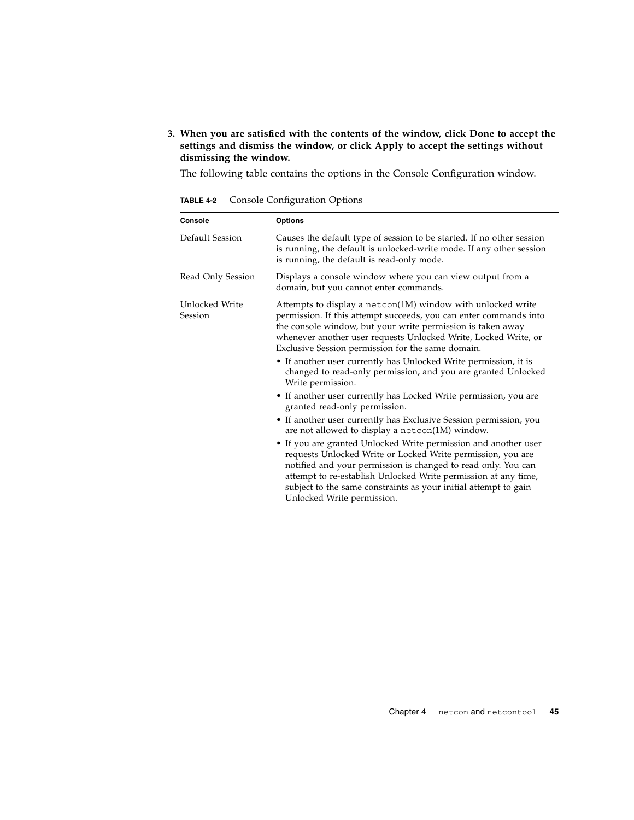### **3. When you are satisfied with the contents of the window, click Done to accept the settings and dismiss the window, or click Apply to accept the settings without dismissing the window.**

The following table contains the options in the Console Configuration window.

| Console                   | <b>Options</b>                                                                                                                                                                                                                                                                                                                                                     |
|---------------------------|--------------------------------------------------------------------------------------------------------------------------------------------------------------------------------------------------------------------------------------------------------------------------------------------------------------------------------------------------------------------|
| Default Session           | Causes the default type of session to be started. If no other session<br>is running, the default is unlocked-write mode. If any other session<br>is running, the default is read-only mode.                                                                                                                                                                        |
| Read Only Session         | Displays a console window where you can view output from a<br>domain, but you cannot enter commands.                                                                                                                                                                                                                                                               |
| Unlocked Write<br>Session | Attempts to display a netcon(1M) window with unlocked write<br>permission. If this attempt succeeds, you can enter commands into<br>the console window, but your write permission is taken away<br>whenever another user requests Unlocked Write, Locked Write, or<br>Exclusive Session permission for the same domain.                                            |
|                           | • If another user currently has Unlocked Write permission, it is<br>changed to read-only permission, and you are granted Unlocked<br>Write permission.                                                                                                                                                                                                             |
|                           | • If another user currently has Locked Write permission, you are<br>granted read-only permission.                                                                                                                                                                                                                                                                  |
|                           | • If another user currently has Exclusive Session permission, you<br>are not allowed to display a netcon(1M) window.                                                                                                                                                                                                                                               |
|                           | • If you are granted Unlocked Write permission and another user<br>requests Unlocked Write or Locked Write permission, you are<br>notified and your permission is changed to read only. You can<br>attempt to re-establish Unlocked Write permission at any time,<br>subject to the same constraints as your initial attempt to gain<br>Unlocked Write permission. |

**TABLE 4-2** Console Configuration Options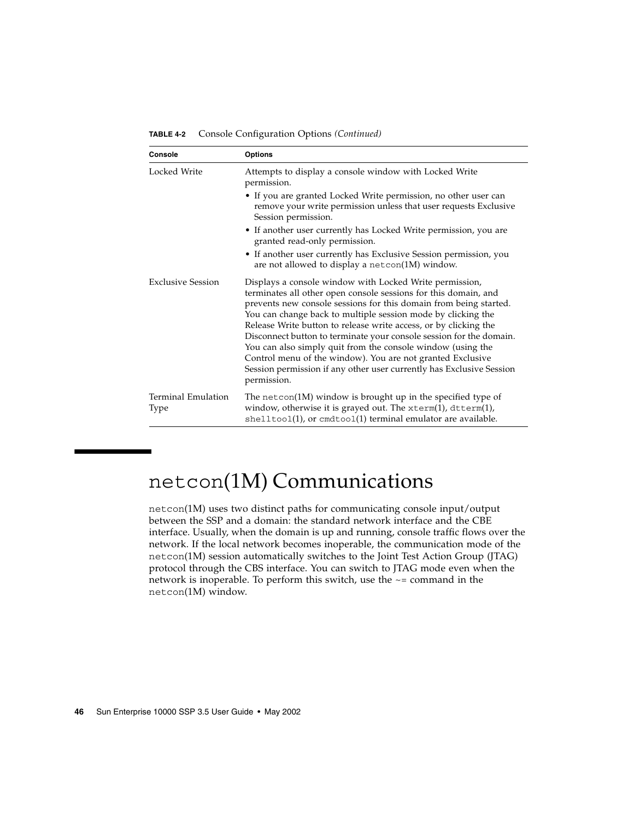| Console                    | <b>Options</b>                                                                                                                                                                                                                                                                                                                                                                                                                                                                                                                                                                                                                 |
|----------------------------|--------------------------------------------------------------------------------------------------------------------------------------------------------------------------------------------------------------------------------------------------------------------------------------------------------------------------------------------------------------------------------------------------------------------------------------------------------------------------------------------------------------------------------------------------------------------------------------------------------------------------------|
| Locked Write               | Attempts to display a console window with Locked Write<br>permission.                                                                                                                                                                                                                                                                                                                                                                                                                                                                                                                                                          |
|                            | • If you are granted Locked Write permission, no other user can<br>remove your write permission unless that user requests Exclusive<br>Session permission.                                                                                                                                                                                                                                                                                                                                                                                                                                                                     |
|                            | • If another user currently has Locked Write permission, you are<br>granted read-only permission.                                                                                                                                                                                                                                                                                                                                                                                                                                                                                                                              |
|                            | • If another user currently has Exclusive Session permission, you<br>are not allowed to display a netcon(1M) window.                                                                                                                                                                                                                                                                                                                                                                                                                                                                                                           |
| <b>Exclusive Session</b>   | Displays a console window with Locked Write permission,<br>terminates all other open console sessions for this domain, and<br>prevents new console sessions for this domain from being started.<br>You can change back to multiple session mode by clicking the<br>Release Write button to release write access, or by clicking the<br>Disconnect button to terminate your console session for the domain.<br>You can also simply quit from the console window (using the<br>Control menu of the window). You are not granted Exclusive<br>Session permission if any other user currently has Exclusive Session<br>permission. |
| Terminal Emulation<br>Type | The netcon(1M) window is brought up in the specified type of<br>window, otherwise it is grayed out. The xterm(1), dtterm(1),<br>$shell$ tool(1), or cmdtool(1) terminal emulator are available.                                                                                                                                                                                                                                                                                                                                                                                                                                |

**TABLE 4-2** Console Configuration Options *(Continued)*

# netcon(1M) Communications

netcon(1M) uses two distinct paths for communicating console input/output between the SSP and a domain: the standard network interface and the CBE interface. Usually, when the domain is up and running, console traffic flows over the network. If the local network becomes inoperable, the communication mode of the netcon(1M) session automatically switches to the Joint Test Action Group (JTAG) protocol through the CBS interface. You can switch to JTAG mode even when the network is inoperable. To perform this switch, use the ~= command in the netcon(1M) window.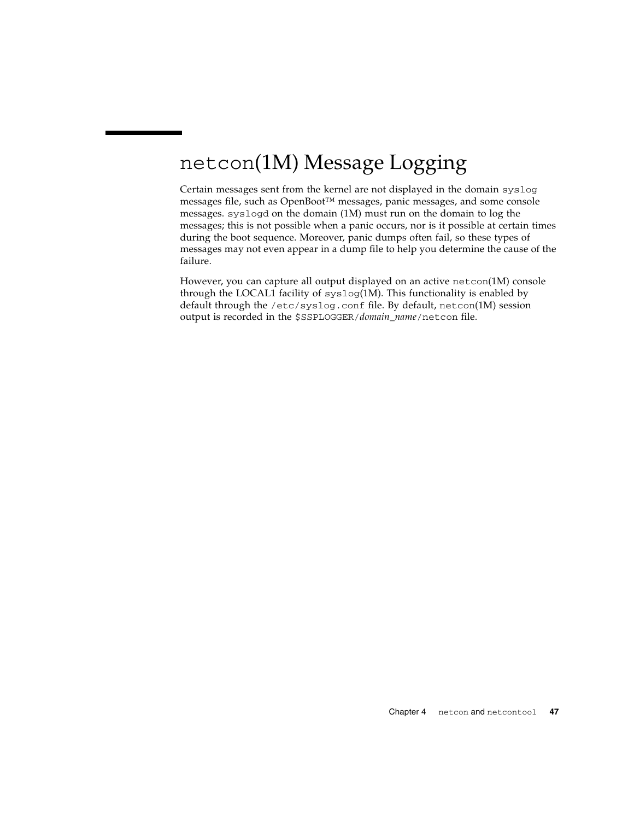# netcon(1M) Message Logging

Certain messages sent from the kernel are not displayed in the domain syslog messages file, such as OpenBoot™ messages, panic messages, and some console messages. syslogd on the domain (1M) must run on the domain to log the messages; this is not possible when a panic occurs, nor is it possible at certain times during the boot sequence. Moreover, panic dumps often fail, so these types of messages may not even appear in a dump file to help you determine the cause of the failure.

However, you can capture all output displayed on an active netcon(1M) console through the LOCAL1 facility of syslog(1M). This functionality is enabled by default through the /etc/syslog.conf file. By default, netcon(1M) session output is recorded in the \$SSPLOGGER/*domain\_name*/netcon file.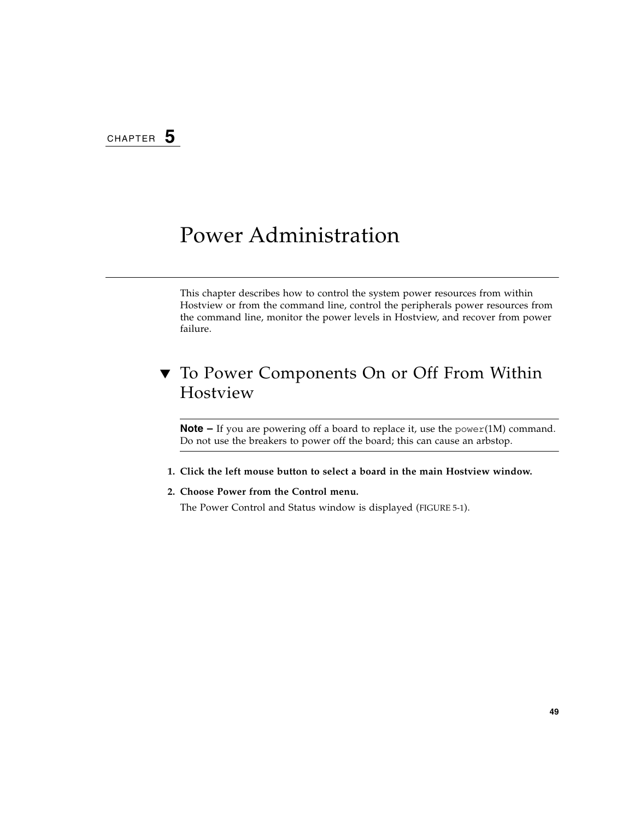# Power Administration

This chapter describes how to control the system power resources from within Hostview or from the command line, control the peripherals power resources from the command line, monitor the power levels in Hostview, and recover from power failure.

## <span id="page-68-0"></span>▼ To Power Components On or Off From Within Hostview

**Note –** If you are powering off a board to replace it, use the power(1M) command. Do not use the breakers to power off the board; this can cause an arbstop.

- **1. Click the left mouse button to select a board in the main Hostview window.**
- **2. Choose Power from the Control menu.**

The Power Control and Status window is displayed [\(FIGURE 5-1](#page-69-0)).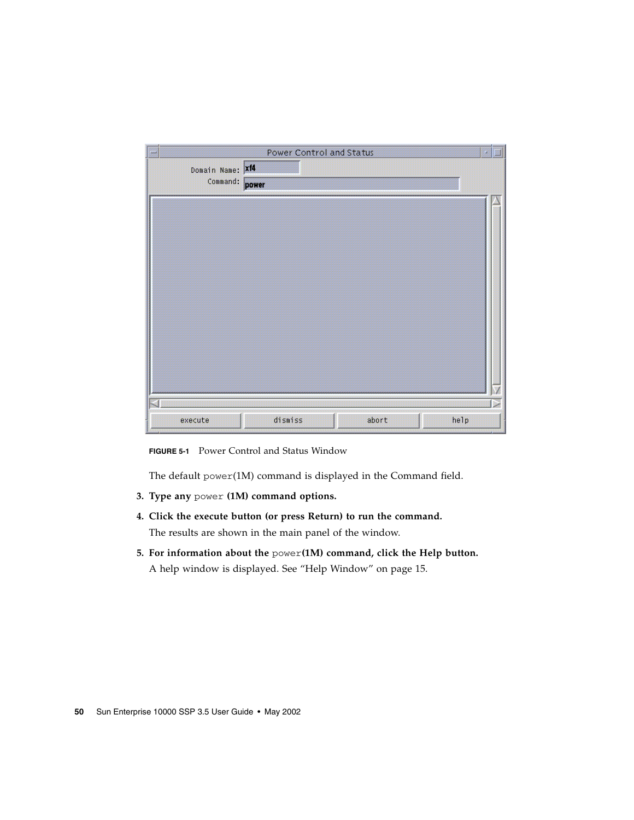| 豐                | Power Control and Status<br>я |  |
|------------------|-------------------------------|--|
| Domain Name: Xf4 |                               |  |
| Command:         | power                         |  |
|                  |                               |  |
|                  |                               |  |
|                  |                               |  |
|                  |                               |  |
|                  |                               |  |
|                  |                               |  |
|                  |                               |  |
|                  |                               |  |
|                  |                               |  |
|                  |                               |  |
|                  |                               |  |
|                  |                               |  |
|                  |                               |  |
| execute          | dismiss<br>abort<br>help      |  |

<span id="page-69-0"></span>**FIGURE 5-1** Power Control and Status Window

The default power(1M) command is displayed in the Command field.

- **3. Type any** power **(1M) command options.**
- **4. Click the execute button (or press Return) to run the command.** The results are shown in the main panel of the window.
- **5. For information about the** power**(1M) command, click the Help button.** A help window is displayed. See ["Help Window" on page 15.](#page-34-0)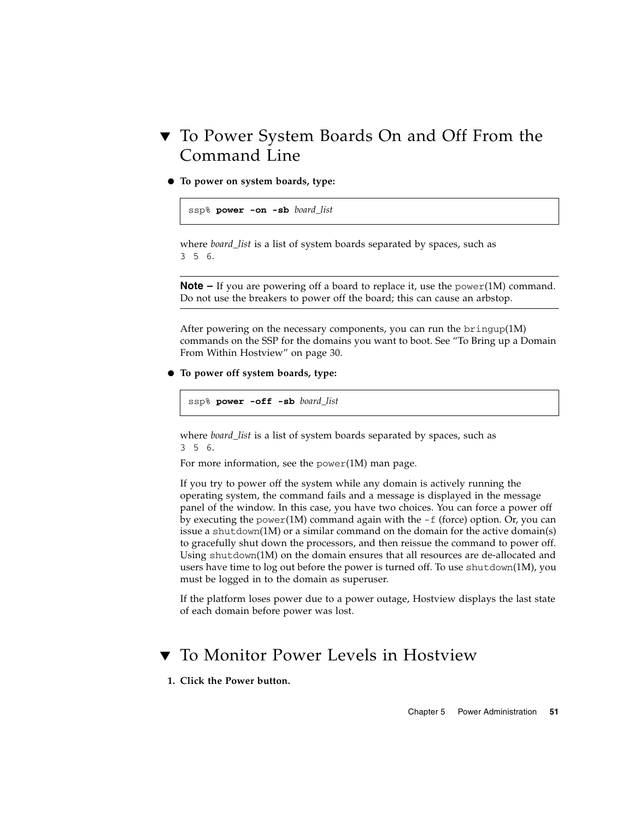## ▼ To Power System Boards On and Off From the Command Line

● **To power on system boards, type:**

```
ssp% power -on -sb board_list
```
where *board\_list* is a list of system boards separated by spaces, such as 356.

**Note –** If you are powering off a board to replace it, use the power(1M) command. Do not use the breakers to power off the board; this can cause an arbstop.

After powering on the necessary components, you can run the  $\text{bringup}(1M)$ commands on the SSP for the domains you want to boot. See ["To Bring up a Domain](#page-49-1) [From Within Hostview" on page 30.](#page-49-1)

● **To power off system boards, type:**

ssp% **power -off -sb** *board\_list*

where *board\_list* is a list of system boards separated by spaces, such as 356.

For more information, see the power(1M) man page.

If you try to power off the system while any domain is actively running the operating system, the command fails and a message is displayed in the message panel of the window. In this case, you have two choices. You can force a power off by executing the power(1M) command again with the  $-f$  (force) option. Or, you can issue a shutdown(1M) or a similar command on the domain for the active domain(s) to gracefully shut down the processors, and then reissue the command to power off. Using shutdown(1M) on the domain ensures that all resources are de-allocated and users have time to log out before the power is turned off. To use shutdown(1M), you must be logged in to the domain as superuser.

If the platform loses power due to a power outage, Hostview displays the last state of each domain before power was lost.

## ▼ To Monitor Power Levels in Hostview

**1. Click the Power button.**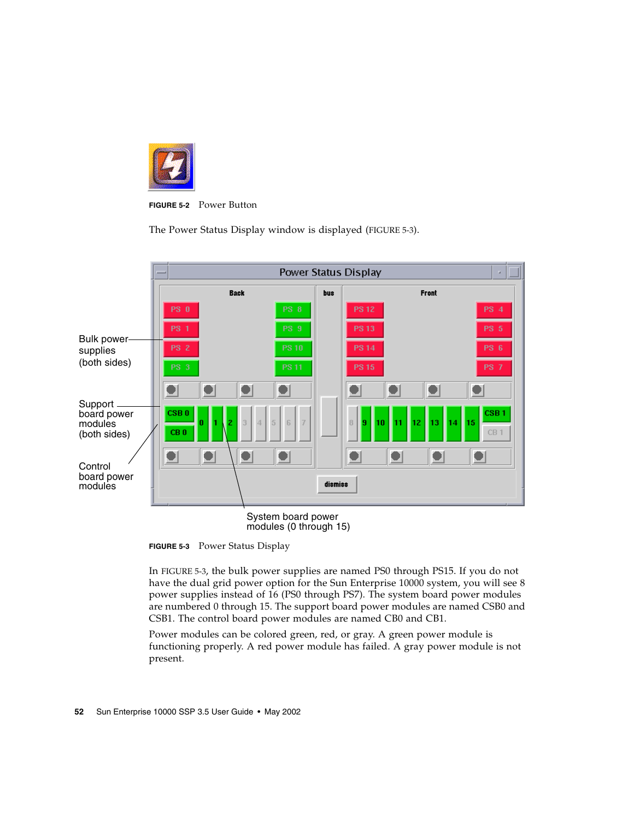

**FIGURE 5-2** Power Button

The Power Status Display window is displayed [\(FIGURE 5-3\)](#page-71-0).



System board power modules (0 through 15)

<span id="page-71-0"></span>**FIGURE 5-3** Power Status Display

In [FIGURE 5-3](#page-71-0), the bulk power supplies are named PS0 through PS15. If you do not have the dual grid power option for the Sun Enterprise 10000 system, you will see 8 power supplies instead of 16 (PS0 through PS7). The system board power modules are numbered 0 through 15. The support board power modules are named CSB0 and CSB1. The control board power modules are named CB0 and CB1.

Power modules can be colored green, red, or gray. A green power module is functioning properly. A red power module has failed. A gray power module is not present.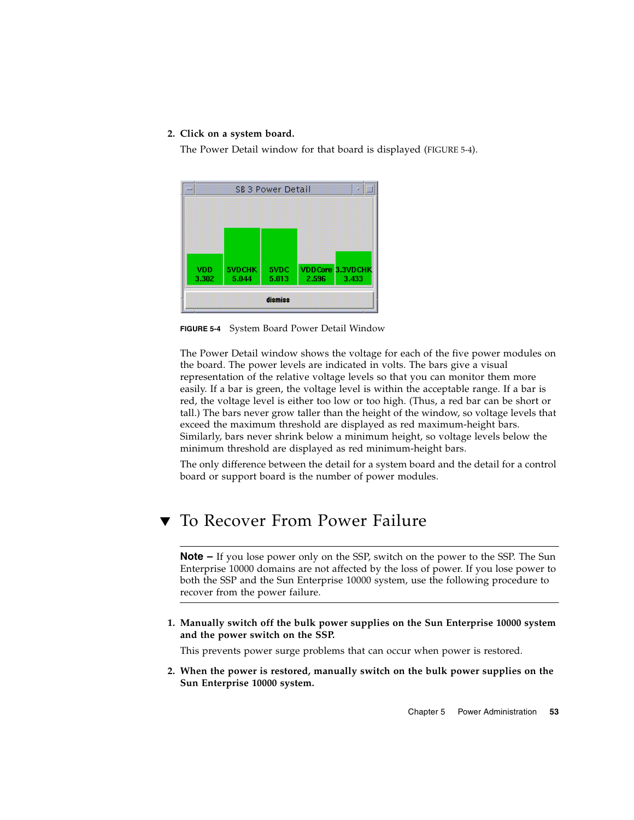#### **2. Click on a system board.**

The Power Detail window for that board is displayed ([FIGURE 5-4](#page-72-0)).



<span id="page-72-0"></span>**FIGURE 5-4** System Board Power Detail Window

The Power Detail window shows the voltage for each of the five power modules on the board. The power levels are indicated in volts. The bars give a visual representation of the relative voltage levels so that you can monitor them more easily. If a bar is green, the voltage level is within the acceptable range. If a bar is red, the voltage level is either too low or too high. (Thus, a red bar can be short or tall.) The bars never grow taller than the height of the window, so voltage levels that exceed the maximum threshold are displayed as red maximum-height bars. Similarly, bars never shrink below a minimum height, so voltage levels below the minimum threshold are displayed as red minimum-height bars.

The only difference between the detail for a system board and the detail for a control board or support board is the number of power modules.

## To Recover From Power Failure

**Note –** If you lose power only on the SSP, switch on the power to the SSP. The Sun Enterprise 10000 domains are not affected by the loss of power. If you lose power to both the SSP and the Sun Enterprise 10000 system, use the following procedure to recover from the power failure.

**1. Manually switch off the bulk power supplies on the Sun Enterprise 10000 system and the power switch on the SSP.**

This prevents power surge problems that can occur when power is restored.

**2. When the power is restored, manually switch on the bulk power supplies on the Sun Enterprise 10000 system.**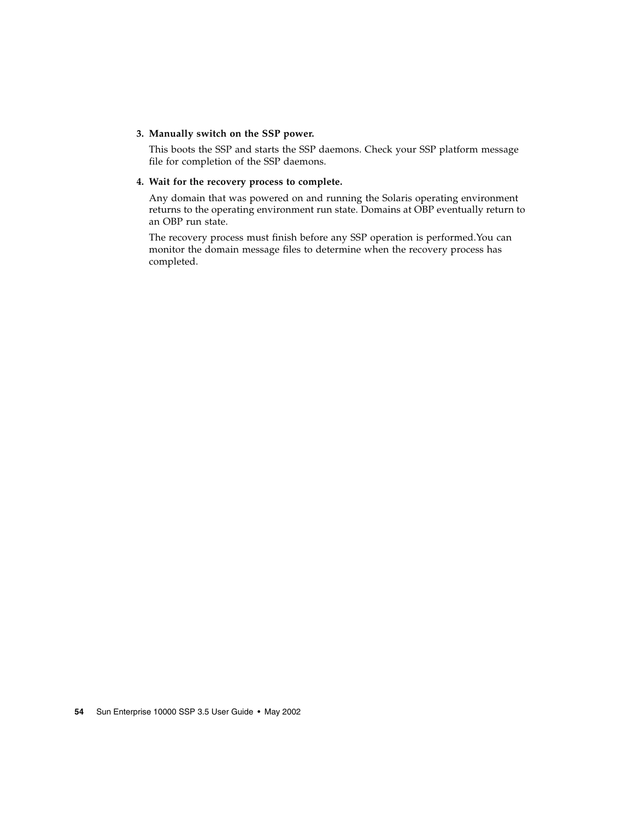#### **3. Manually switch on the SSP power.**

This boots the SSP and starts the SSP daemons. Check your SSP platform message file for completion of the SSP daemons.

#### **4. Wait for the recovery process to complete.**

Any domain that was powered on and running the Solaris operating environment returns to the operating environment run state. Domains at OBP eventually return to an OBP run state.

The recovery process must finish before any SSP operation is performed.You can monitor the domain message files to determine when the recovery process has completed.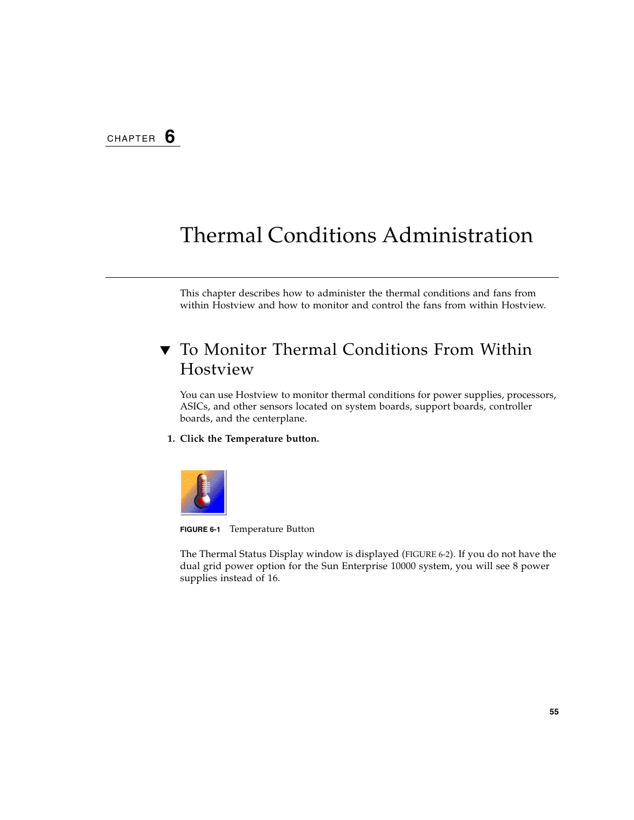# Thermal Conditions Administration

This chapter describes how to administer the thermal conditions and fans from within Hostview and how to monitor and control the fans from within Hostview.

# ▼ To Monitor Thermal Conditions From Within Hostview

You can use Hostview to monitor thermal conditions for power supplies, processors, ASICs, and other sensors located on system boards, support boards, controller boards, and the centerplane.

#### **1. Click the Temperature button.**



**FIGURE 6-1** Temperature Button

The Thermal Status Display window is displayed [\(FIGURE 6-2\)](#page-75-0). If you do not have the dual grid power option for the Sun Enterprise 10000 system, you will see 8 power supplies instead of 16.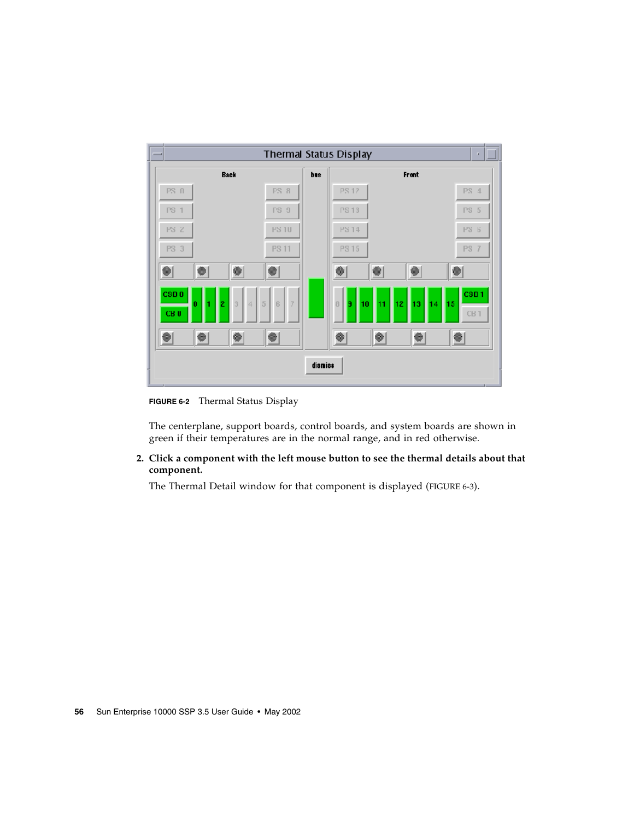

<span id="page-75-0"></span>**FIGURE 6-2** Thermal Status Display

The centerplane, support boards, control boards, and system boards are shown in green if their temperatures are in the normal range, and in red otherwise.

#### **2. Click a component with the left mouse button to see the thermal details about that component.**

The Thermal Detail window for that component is displayed ([FIGURE 6-3\)](#page-76-0).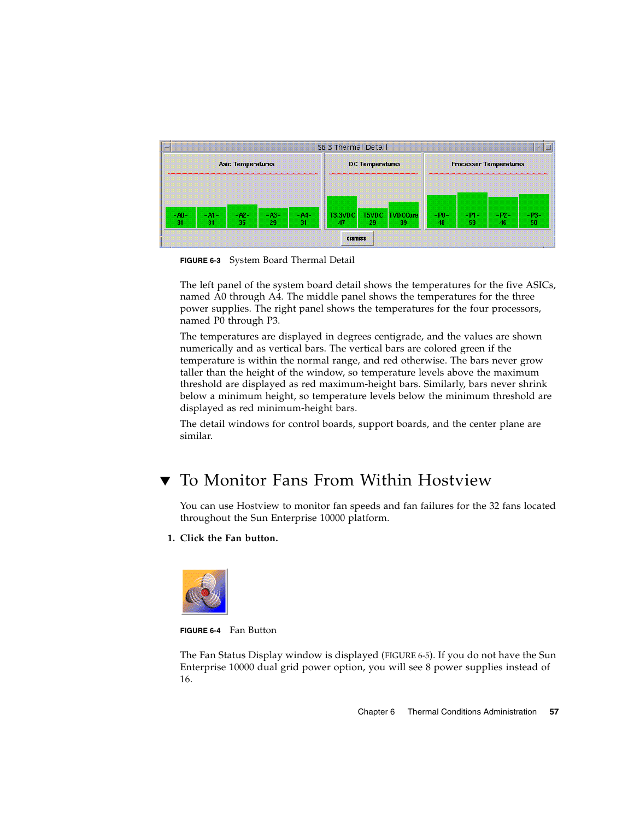

<span id="page-76-0"></span>**FIGURE 6-3** System Board Thermal Detail

The left panel of the system board detail shows the temperatures for the five ASICs, named A0 through A4. The middle panel shows the temperatures for the three power supplies. The right panel shows the temperatures for the four processors, named P0 through P3.

The temperatures are displayed in degrees centigrade, and the values are shown numerically and as vertical bars. The vertical bars are colored green if the temperature is within the normal range, and red otherwise. The bars never grow taller than the height of the window, so temperature levels above the maximum threshold are displayed as red maximum-height bars. Similarly, bars never shrink below a minimum height, so temperature levels below the minimum threshold are displayed as red minimum-height bars.

The detail windows for control boards, support boards, and the center plane are similar.

# ▼ To Monitor Fans From Within Hostview

You can use Hostview to monitor fan speeds and fan failures for the 32 fans located throughout the Sun Enterprise 10000 platform.

#### **1. Click the Fan button.**



**FIGURE 6-4** Fan Button

The Fan Status Display window is displayed ([FIGURE 6-5\)](#page-77-0). If you do not have the Sun Enterprise 10000 dual grid power option, you will see 8 power supplies instead of 16.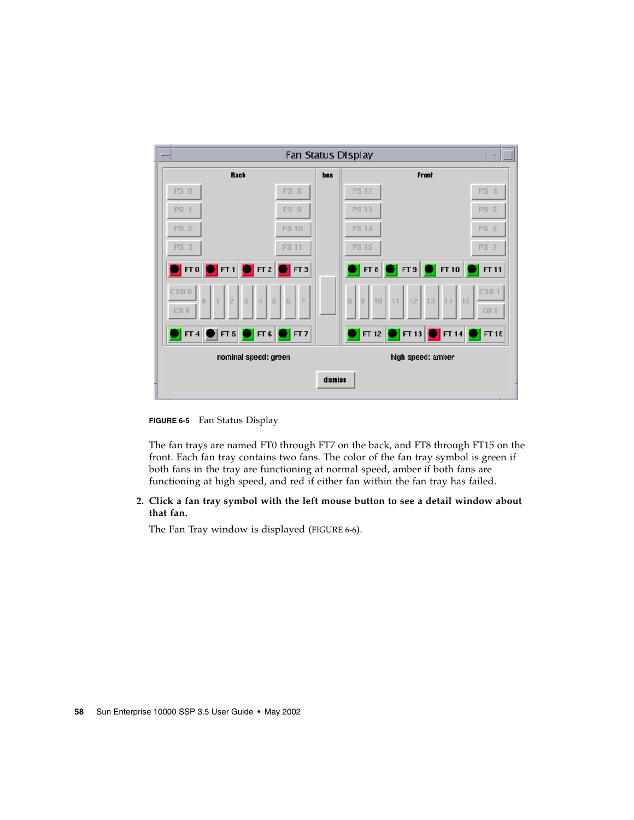| $-$ |                                                                                                                                                                                                    |            | Fan Status Display<br>п                                                                                         |
|-----|----------------------------------------------------------------------------------------------------------------------------------------------------------------------------------------------------|------------|-----------------------------------------------------------------------------------------------------------------|
|     | <b>Back</b>                                                                                                                                                                                        | <b>bus</b> | Frant                                                                                                           |
|     | PS 0<br>PS 8                                                                                                                                                                                       |            | <b>PS 12</b><br>PS 4                                                                                            |
|     | PS 9<br><b>PS 1</b>                                                                                                                                                                                |            | PS 5<br><b>PS 13</b>                                                                                            |
|     | <b>PS 2</b><br><b>PS 10</b>                                                                                                                                                                        |            | PS 14<br>PS 6                                                                                                   |
|     | <b>PS 3</b><br><b>PS 11</b>                                                                                                                                                                        |            | PS 15<br>PS 7                                                                                                   |
|     | $\blacksquare$ $\blacksquare$ $\blacksquare$ $\blacksquare$ $\blacksquare$ $\blacksquare$ $\blacksquare$ $\blacksquare$ $\blacksquare$ $\blacksquare$ $\blacksquare$ $\blacksquare$ $\blacksquare$ |            | $\begin{array}{ c c c }\hline \textbf{0} & \textbf{FT} & \textbf{10} & \textbf{0} \end{array}$<br>FT 8<br>FT 11 |
|     | CSB <sub>0</sub><br>$\frac{1}{5}$<br>$\overline{7}$<br>l G<br>$\begin{matrix} 0 \end{matrix}$<br>CB 0                                                                                              |            | CSB <sub>1</sub><br>9   10   11   12   13   14   15<br>8<br>CB1                                                 |
|     | $\blacksquare$ $\blacksquare$ $\blacksquare$<br>$   \mathsf{FT} 4  $<br>$\blacksquare$ $\blacksquare$ $\blacksquare$<br>$\blacksquare$                                                             |            | $   $ FT 13 $  $<br>$\blacksquare$ FT 14 $\blacksquare$<br>$  $ FT 12 $  $<br>$\blacksquare$ FT 15              |
|     | nominal speed: green                                                                                                                                                                               |            | high speed: amber                                                                                               |
|     |                                                                                                                                                                                                    | dismiss    |                                                                                                                 |

<span id="page-77-0"></span>**FIGURE 6-5** Fan Status Display

The fan trays are named FT0 through FT7 on the back, and FT8 through FT15 on the front. Each fan tray contains two fans. The color of the fan tray symbol is green if both fans in the tray are functioning at normal speed, amber if both fans are functioning at high speed, and red if either fan within the fan tray has failed.

#### **2. Click a fan tray symbol with the left mouse button to see a detail window about that fan.**

The Fan Tray window is displayed [\(FIGURE 6-6](#page-78-0)).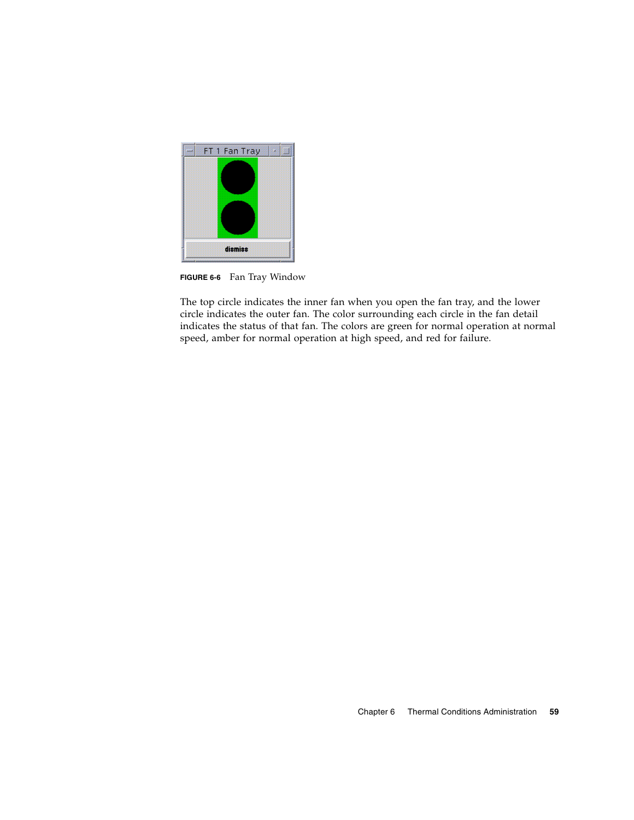

**FIGURE 6-6** Fan Tray Window

<span id="page-78-0"></span>The top circle indicates the inner fan when you open the fan tray, and the lower circle indicates the outer fan. The color surrounding each circle in the fan detail indicates the status of that fan. The colors are green for normal operation at normal speed, amber for normal operation at high speed, and red for failure.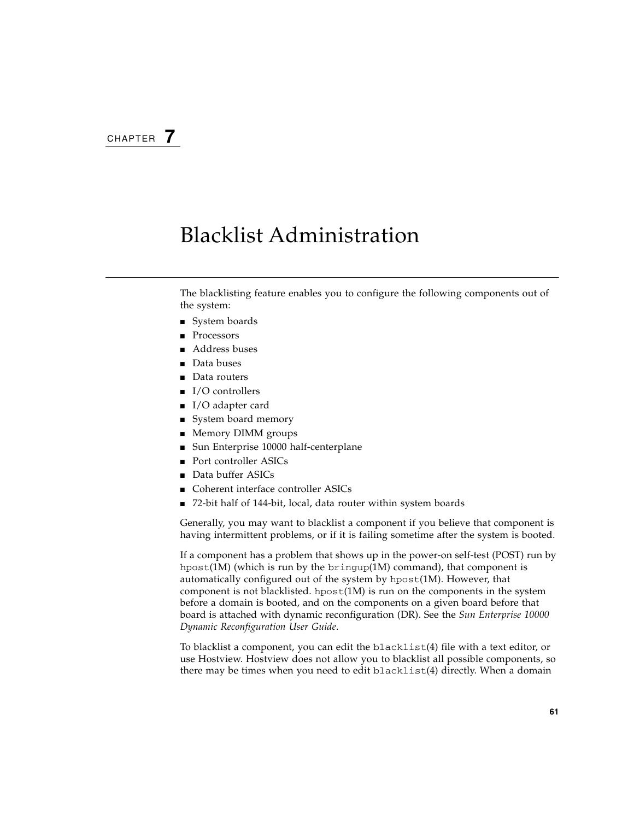# Blacklist Administration

The blacklisting feature enables you to configure the following components out of the system:

- System boards
- **Processors**
- Address buses
- Data buses
- Data routers
- I/O controllers
- I/O adapter card
- System board memory
- Memory DIMM groups
- Sun Enterprise 10000 half-centerplane
- Port controller ASICs
- Data buffer ASICs
- Coherent interface controller ASICs
- 72-bit half of 144-bit, local, data router within system boards

Generally, you may want to blacklist a component if you believe that component is having intermittent problems, or if it is failing sometime after the system is booted.

If a component has a problem that shows up in the power-on self-test (POST) run by hpost(1M) (which is run by the bringup(1M) command), that component is automatically configured out of the system by hpost(1M). However, that component is not blacklisted. hpost $(1M)$  is run on the components in the system before a domain is booted, and on the components on a given board before that board is attached with dynamic reconfiguration (DR). See the *Sun Enterprise 10000 Dynamic Reconfiguration User Guide*.

To blacklist a component, you can edit the blacklist(4) file with a text editor, or use Hostview. Hostview does not allow you to blacklist all possible components, so there may be times when you need to edit blacklist(4) directly. When a domain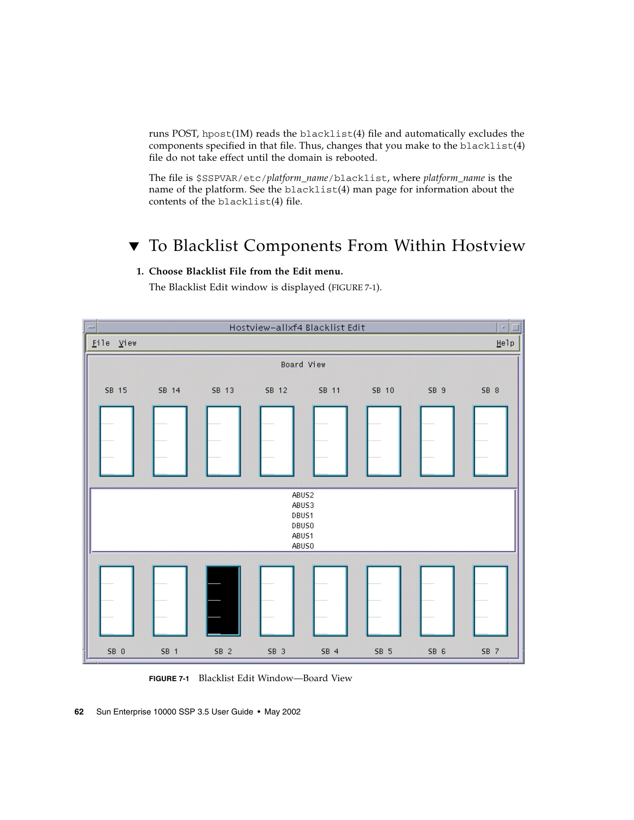runs POST, hpost $(1M)$  reads the blacklist $(4)$  file and automatically excludes the components specified in that file. Thus, changes that you make to the blacklist(4) file do not take effect until the domain is rebooted.

The file is \$SSPVAR/etc/*platform\_name*/blacklist, where *platform\_name* is the name of the platform. See the blacklist(4) man page for information about the contents of the blacklist(4) file.

# ▼ To Blacklist Components From Within Hostview

#### **1. Choose Blacklist File from the Edit menu.**

The Blacklist Edit window is displayed [\(FIGURE 7-1\)](#page-81-0).



<span id="page-81-0"></span>**FIGURE 7-1** Blacklist Edit Window—Board View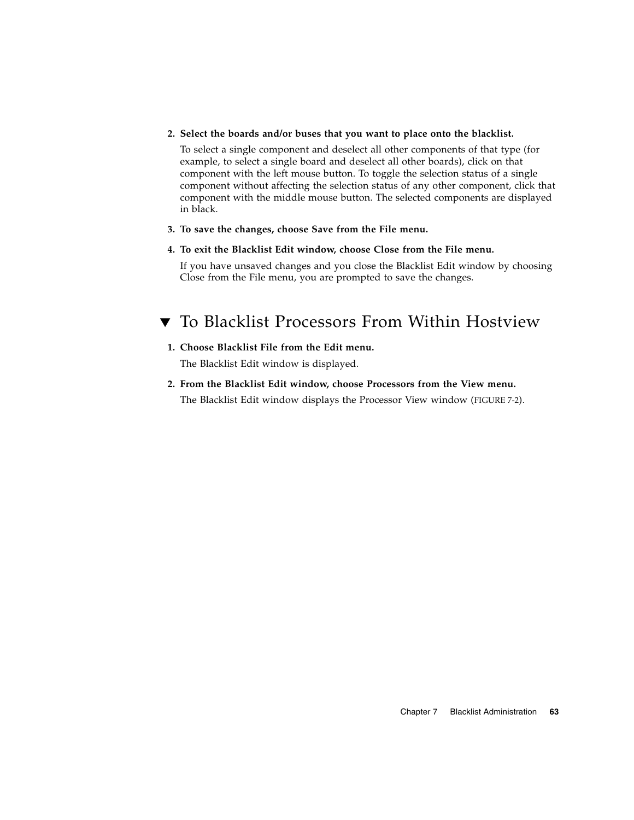#### **2. Select the boards and/or buses that you want to place onto the blacklist.**

To select a single component and deselect all other components of that type (for example, to select a single board and deselect all other boards), click on that component with the left mouse button. To toggle the selection status of a single component without affecting the selection status of any other component, click that component with the middle mouse button. The selected components are displayed in black.

**3. To save the changes, choose Save from the File menu.**

#### **4. To exit the Blacklist Edit window, choose Close from the File menu.**

If you have unsaved changes and you close the Blacklist Edit window by choosing Close from the File menu, you are prompted to save the changes.

# ▼ To Blacklist Processors From Within Hostview

### **1. Choose Blacklist File from the Edit menu.**

The Blacklist Edit window is displayed.

**2. From the Blacklist Edit window, choose Processors from the View menu.** The Blacklist Edit window displays the Processor View window [\(FIGURE 7-2](#page-83-0)).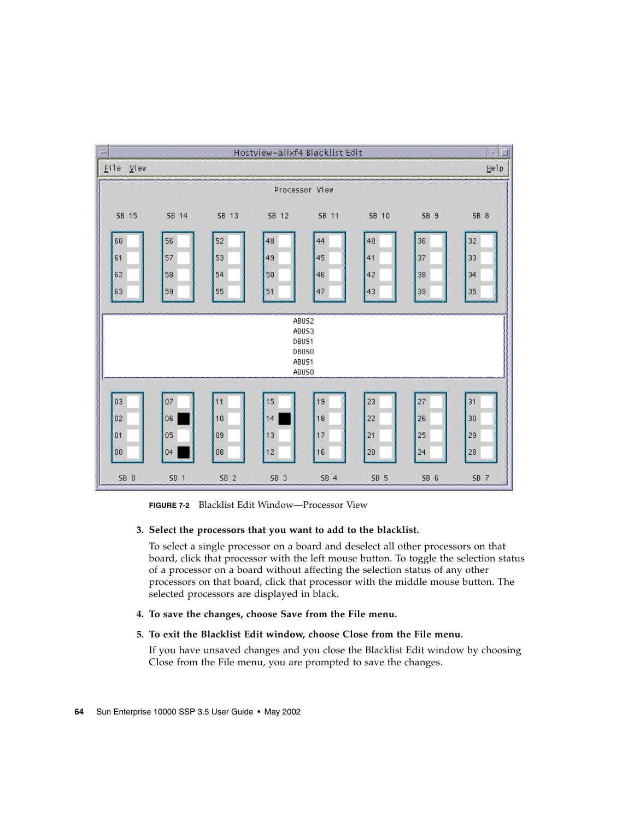

**FIGURE 7-2** Blacklist Edit Window—Processor View

#### <span id="page-83-0"></span>**3. Select the processors that you want to add to the blacklist.**

To select a single processor on a board and deselect all other processors on that board, click that processor with the left mouse button. To toggle the selection status of a processor on a board without affecting the selection status of any other processors on that board, click that processor with the middle mouse button. The selected processors are displayed in black.

#### **4. To save the changes, choose Save from the File menu.**

#### **5. To exit the Blacklist Edit window, choose Close from the File menu.**

If you have unsaved changes and you close the Blacklist Edit window by choosing Close from the File menu, you are prompted to save the changes.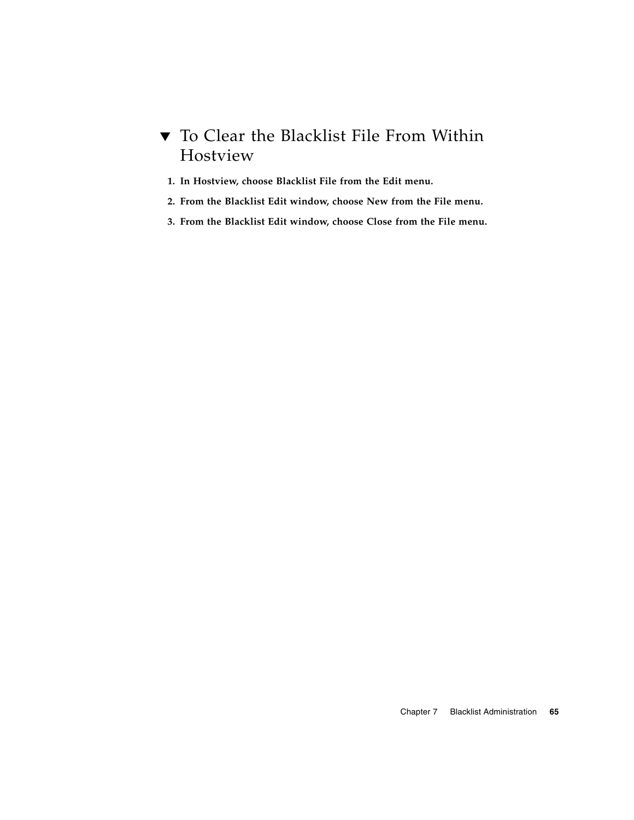## ▼ To Clear the Blacklist File From Within Hostview

- **1. In Hostview, choose Blacklist File from the Edit menu.**
- **2. From the Blacklist Edit window, choose New from the File menu.**
- **3. From the Blacklist Edit window, choose Close from the File menu.**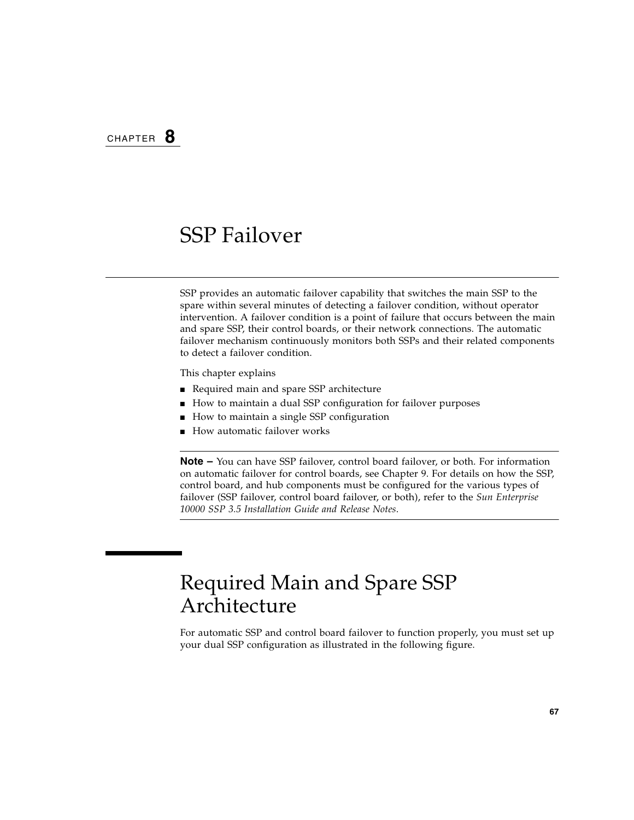# SSP Failover

SSP provides an automatic failover capability that switches the main SSP to the spare within several minutes of detecting a failover condition, without operator intervention. A failover condition is a point of failure that occurs between the main and spare SSP, their control boards, or their network connections. The automatic failover mechanism continuously monitors both SSPs and their related components to detect a failover condition.

This chapter explains

- Required main and spare SSP architecture
- How to maintain a dual SSP configuration for failover purposes
- How to maintain a single SSP configuration
- How automatic failover works

**Note –** You can have SSP failover, control board failover, or both. For information on automatic failover for control boards, see [Chapter 9.](#page-108-0) For details on how the SSP, control board, and hub components must be configured for the various types of failover (SSP failover, control board failover, or both), refer to the *Sun Enterprise 10000 SSP 3.5 Installation Guide and Release Notes*.

# Required Main and Spare SSP Architecture

For automatic SSP and control board failover to function properly, you must set up your dual SSP configuration as illustrated in the following figure.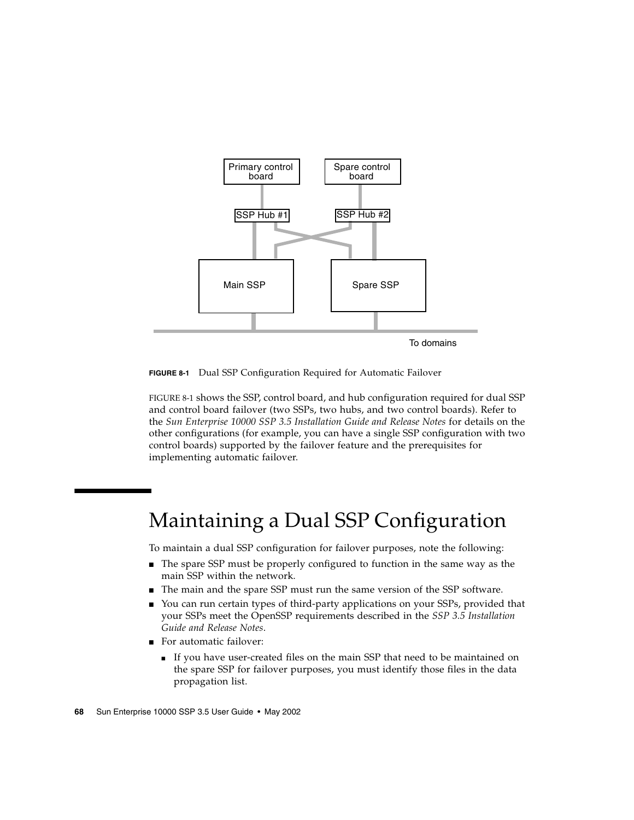

<span id="page-87-0"></span>**FIGURE 8-1** Dual SSP Configuration Required for Automatic Failover

[FIGURE 8-1](#page-87-0) shows the SSP, control board, and hub configuration required for dual SSP and control board failover (two SSPs, two hubs, and two control boards). Refer to the *Sun Enterprise 10000 SSP 3.5 Installation Guide and Release Notes* for details on the other configurations (for example, you can have a single SSP configuration with two control boards) supported by the failover feature and the prerequisites for implementing automatic failover.

# Maintaining a Dual SSP Configuration

To maintain a dual SSP configuration for failover purposes, note the following:

- The spare SSP must be properly configured to function in the same way as the main SSP within the network.
- The main and the spare SSP must run the same version of the SSP software.
- You can run certain types of third-party applications on your SSPs, provided that your SSPs meet the OpenSSP requirements described in the *SSP 3.5 Installation Guide and Release Notes*.
- For automatic failover:
	- If you have user-created files on the main SSP that need to be maintained on the spare SSP for failover purposes, you must identify those files in the data propagation list.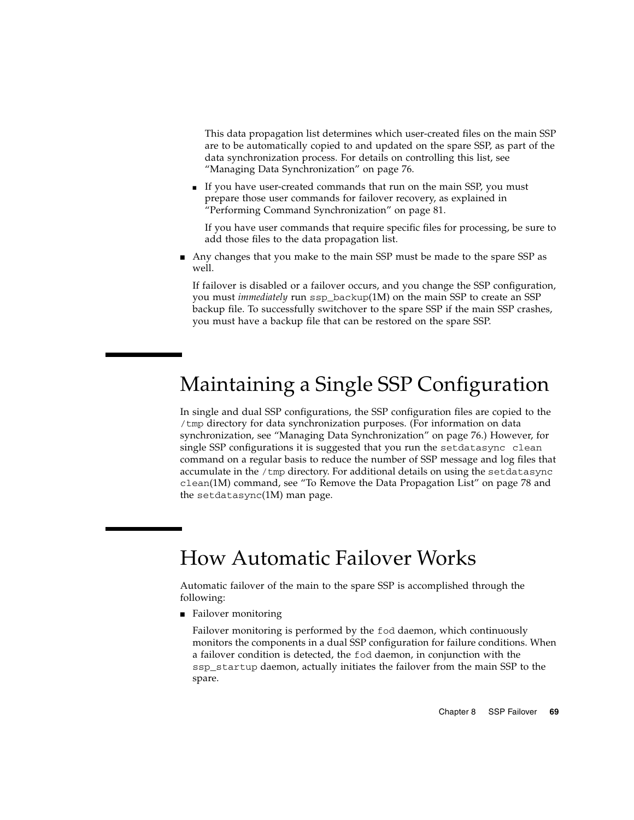This data propagation list determines which user-created files on the main SSP are to be automatically copied to and updated on the spare SSP, as part of the data synchronization process. For details on controlling this list, see ["Managing Data Synchronization" on page 76.](#page-95-0)

■ If you have user-created commands that run on the main SSP, you must prepare those user commands for failover recovery, as explained in ["Performing Command Synchronization" on page 81](#page-100-0).

If you have user commands that require specific files for processing, be sure to add those files to the data propagation list.

■ Any changes that you make to the main SSP must be made to the spare SSP as well.

If failover is disabled or a failover occurs, and you change the SSP configuration, you must *immediately* run ssp\_backup(1M) on the main SSP to create an SSP backup file. To successfully switchover to the spare SSP if the main SSP crashes, you must have a backup file that can be restored on the spare SSP.

# Maintaining a Single SSP Configuration

In single and dual SSP configurations, the SSP configuration files are copied to the /tmp directory for data synchronization purposes. (For information on data synchronization, see ["Managing Data Synchronization" on page 76.](#page-95-0)) However, for single SSP configurations it is suggested that you run the setdatasync clean command on a regular basis to reduce the number of SSP message and log files that accumulate in the  $/$ tmp directory. For additional details on using the setdatasync clean(1M) command, see ["To Remove the Data Propagation List" on page 78](#page-97-0) and the setdatasync(1M) man page.

# How Automatic Failover Works

Automatic failover of the main to the spare SSP is accomplished through the following:

■ Failover monitoring

Failover monitoring is performed by the fod daemon, which continuously monitors the components in a dual SSP configuration for failure conditions. When a failover condition is detected, the fod daemon, in conjunction with the ssp\_startup daemon, actually initiates the failover from the main SSP to the spare.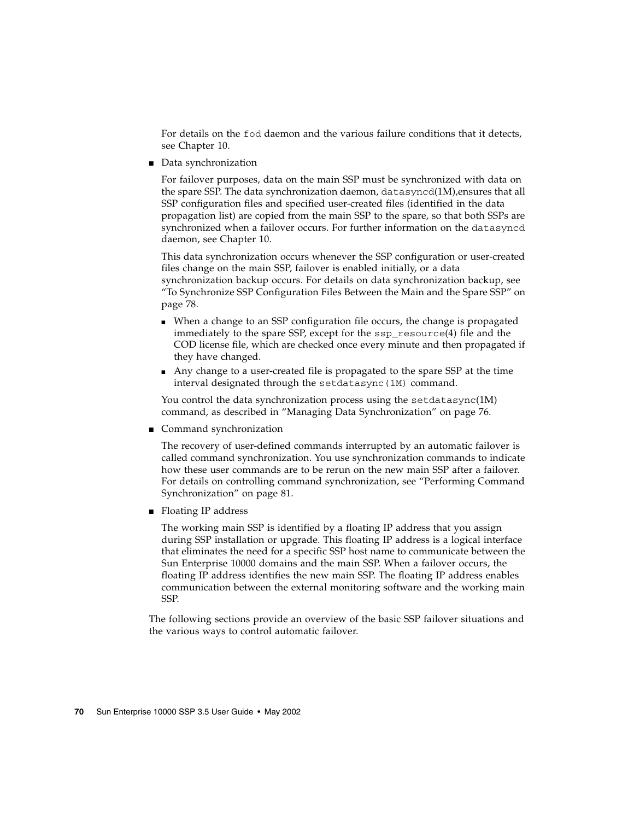For details on the fod daemon and the various failure conditions that it detects, see [Chapter 10.](#page-114-0)

■ Data synchronization

For failover purposes, data on the main SSP must be synchronized with data on the spare SSP. The data synchronization daemon, datasyncd(1M),ensures that all SSP configuration files and specified user-created files (identified in the data propagation list) are copied from the main SSP to the spare, so that both SSPs are synchronized when a failover occurs. For further information on the datasyncd daemon, see [Chapter 10](#page-114-0).

This data synchronization occurs whenever the SSP configuration or user-created files change on the main SSP, failover is enabled initially, or a data synchronization backup occurs. For details on data synchronization backup, see ["To Synchronize SSP Configuration Files Between the Main and the Spare SSP" on](#page-97-1) [page 78](#page-97-1).

- When a change to an SSP configuration file occurs, the change is propagated immediately to the spare SSP, except for the ssp\_resource(4) file and the COD license file, which are checked once every minute and then propagated if they have changed.
- Any change to a user-created file is propagated to the spare SSP at the time interval designated through the setdatasync(1M) command.

You control the data synchronization process using the setdatasync $(1M)$ command, as described in ["Managing Data Synchronization" on page 76](#page-95-0).

■ Command synchronization

The recovery of user-defined commands interrupted by an automatic failover is called command synchronization. You use synchronization commands to indicate how these user commands are to be rerun on the new main SSP after a failover. For details on controlling command synchronization, see ["Performing Command](#page-100-0) [Synchronization" on page 81](#page-100-0).

■ Floating IP address

The working main SSP is identified by a floating IP address that you assign during SSP installation or upgrade. This floating IP address is a logical interface that eliminates the need for a specific SSP host name to communicate between the Sun Enterprise 10000 domains and the main SSP. When a failover occurs, the floating IP address identifies the new main SSP. The floating IP address enables communication between the external monitoring software and the working main SSP.

The following sections provide an overview of the basic SSP failover situations and the various ways to control automatic failover.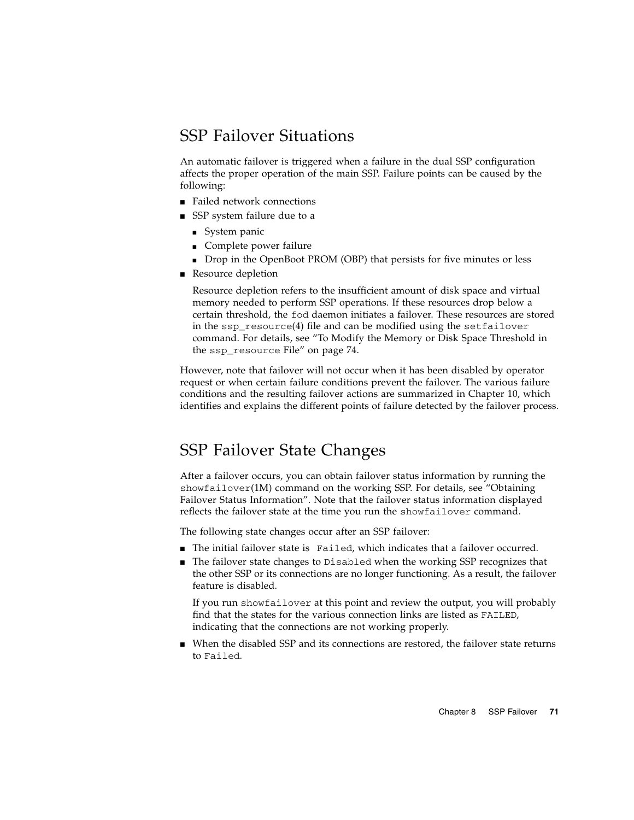## SSP Failover Situations

An automatic failover is triggered when a failure in the dual SSP configuration affects the proper operation of the main SSP. Failure points can be caused by the following:

- Failed network connections
- SSP system failure due to a
	- System panic
	- Complete power failure
	- Drop in the OpenBoot PROM (OBP) that persists for five minutes or less
- Resource depletion

Resource depletion refers to the insufficient amount of disk space and virtual memory needed to perform SSP operations. If these resources drop below a certain threshold, the fod daemon initiates a failover. These resources are stored in the  $ssp\_resource(4)$  file and can be modified using the setfailover command. For details, see ["To Modify the Memory or Disk Space Threshold in](#page-93-0) the ssp\_resource [File" on page 74.](#page-93-0)

However, note that failover will not occur when it has been disabled by operator request or when certain failure conditions prevent the failover. The various failure conditions and the resulting failover actions are summarized in [Chapter 10,](#page-114-0) which identifies and explains the different points of failure detected by the failover process.

## <span id="page-90-0"></span>SSP Failover State Changes

After a failover occurs, you can obtain failover status information by running the showfailover(1M) command on the working SSP. For details, see ["Obtaining](#page-94-0) [Failover Status Information".](#page-94-0) Note that the failover status information displayed reflects the failover state at the time you run the showfailover command.

The following state changes occur after an SSP failover:

- The initial failover state is Failed, which indicates that a failover occurred.
- The failover state changes to Disabled when the working SSP recognizes that the other SSP or its connections are no longer functioning. As a result, the failover feature is disabled.

If you run showfailover at this point and review the output, you will probably find that the states for the various connection links are listed as FAILED, indicating that the connections are not working properly.

■ When the disabled SSP and its connections are restored, the failover state returns to Failed.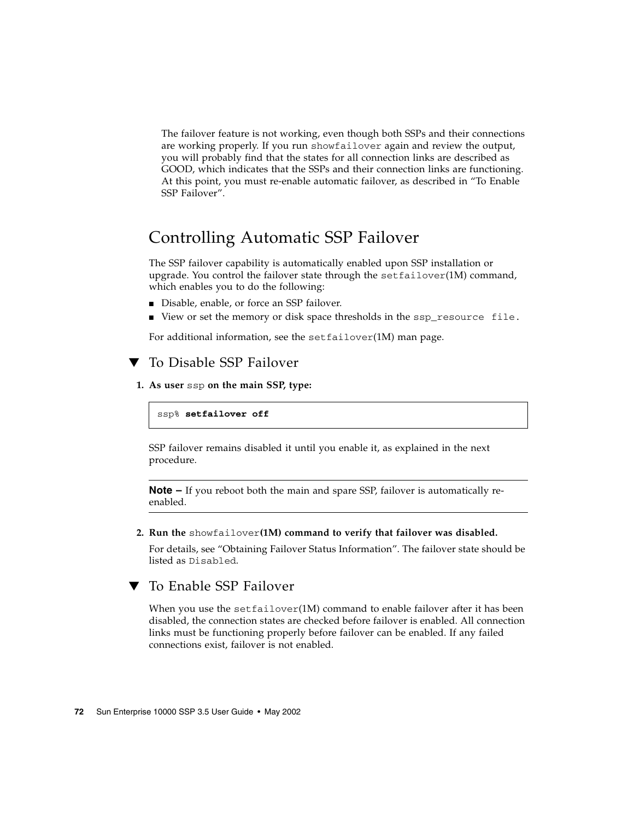The failover feature is not working, even though both SSPs and their connections are working properly. If you run showfailover again and review the output, you will probably find that the states for all connection links are described as GOOD, which indicates that the SSPs and their connection links are functioning. At this point, you must re-enable automatic failover, as described in ["To Enable](#page-91-0) [SSP Failover".](#page-91-0)

## Controlling Automatic SSP Failover

The SSP failover capability is automatically enabled upon SSP installation or upgrade. You control the failover state through the  $setfailure(1M)$  command, which enables you to do the following:

- Disable, enable, or force an SSP failover.
- View or set the memory or disk space thresholds in the ssp\_resource file.

For additional information, see the setfailover(1M) man page.

### ▼ To Disable SSP Failover

**1. As user** ssp **on the main SSP, type:**

ssp% **setfailover off**

SSP failover remains disabled it until you enable it, as explained in the next procedure.

**Note –** If you reboot both the main and spare SSP, failover is automatically reenabled.

#### **2. Run the** showfailover**(1M) command to verify that failover was disabled.**

For details, see ["Obtaining Failover Status Information".](#page-94-0) The failover state should be listed as Disabled.

### <span id="page-91-0"></span>▼ To Enable SSP Failover

When you use the set  $f$ ailover $(1M)$  command to enable failover after it has been disabled, the connection states are checked before failover is enabled. All connection links must be functioning properly before failover can be enabled. If any failed connections exist, failover is not enabled.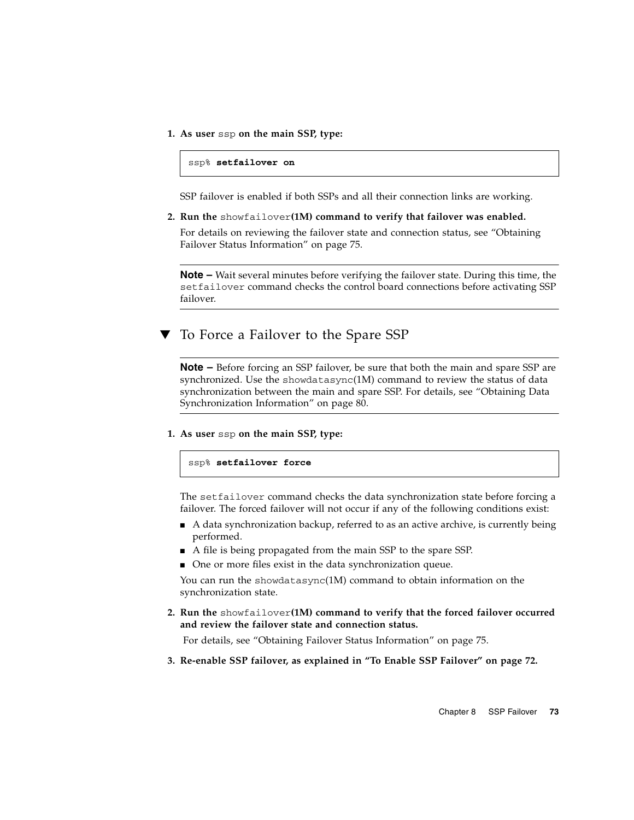**1. As user** ssp **on the main SSP, type:**

ssp% **setfailover on**

SSP failover is enabled if both SSPs and all their connection links are working.

**2. Run the** showfailover**(1M) command to verify that failover was enabled.**

For details on reviewing the failover state and connection status, see ["Obtaining](#page-94-0) [Failover Status Information" on page 75.](#page-94-0)

**Note –** Wait several minutes before verifying the failover state. During this time, the setfailover command checks the control board connections before activating SSP failover.

▼ To Force a Failover to the Spare SSP

**Note –** Before forcing an SSP failover, be sure that both the main and spare SSP are synchronized. Use the showdatasync(1M) command to review the status of data synchronization between the main and spare SSP. For details, see ["Obtaining Data](#page-99-0) [Synchronization Information" on page 80.](#page-99-0)

**1. As user** ssp **on the main SSP, type:**

ssp% **setfailover force**

The setfailover command checks the data synchronization state before forcing a failover. The forced failover will not occur if any of the following conditions exist:

- A data synchronization backup, referred to as an active archive, is currently being performed.
- A file is being propagated from the main SSP to the spare SSP.
- One or more files exist in the data synchronization queue.

You can run the showdatasync(1M) command to obtain information on the synchronization state.

**2. Run the** showfailover**(1M) command to verify that the forced failover occurred and review the failover state and connection status.**

For details, see ["Obtaining Failover Status Information" on page 75.](#page-94-0)

**3. Re-enable SSP failover, as explained in ["To Enable SSP Failover" on page 72](#page-91-0).**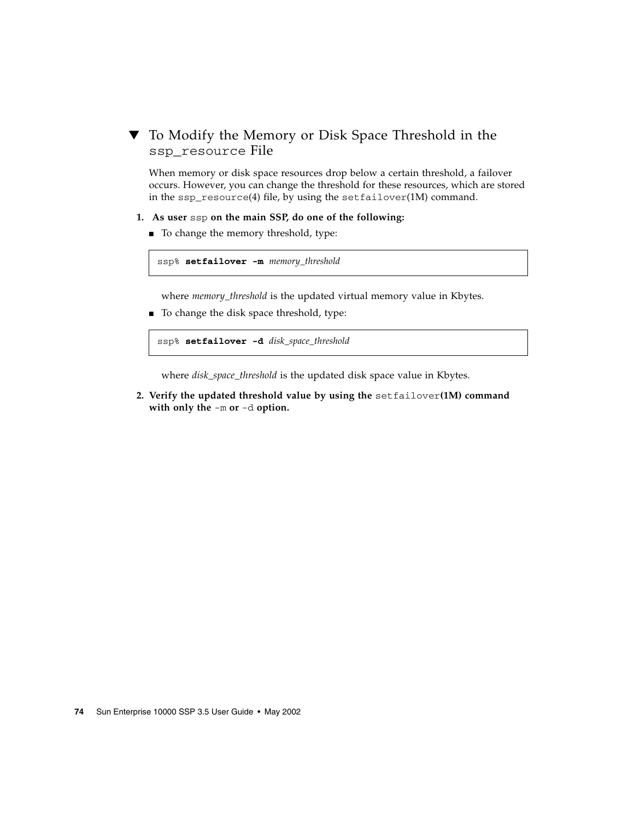### <span id="page-93-0"></span>To Modify the Memory or Disk Space Threshold in the ssp\_resource File

When memory or disk space resources drop below a certain threshold, a failover occurs. However, you can change the threshold for these resources, which are stored in the ssp\_resource(4) file, by using the setfailover(1M) command.

- **1. As user** ssp **on the main SSP, do one of the following:**
	- To change the memory threshold, type:

```
ssp% setfailover -m memory_threshold
```
where *memory\_threshold* is the updated virtual memory value in Kbytes.

■ To change the disk space threshold, type:

ssp% **setfailover -d** *disk\_space\_threshold*

where *disk\_space\_threshold* is the updated disk space value in Kbytes.

**2. Verify the updated threshold value by using the** setfailover**(1M) command with only the** -m **or** -d **option.**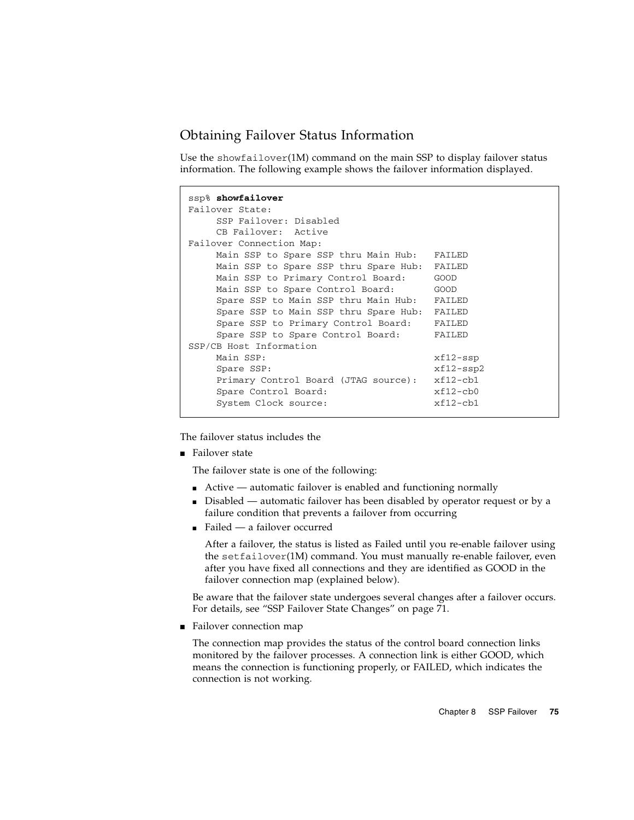### <span id="page-94-0"></span>Obtaining Failover Status Information

Use the showfailover $(1M)$  command on the main SSP to display failover status information. The following example shows the failover information displayed.

```
ssp% showfailover
Failover State:
    SSP Failover: Disabled
    CB Failover: Active
Failover Connection Map:
   Main SSP to Spare SSP thru Main Hub: FAILED
    Main SSP to Spare SSP thru Spare Hub: FAILED
    Main SSP to Primary Control Board: GOOD
    Main SSP to Spare Control Board: GOOD
    Spare SSP to Main SSP thru Main Hub: FAILED
    Spare SSP to Main SSP thru Spare Hub: FAILED
    Spare SSP to Primary Control Board: FAILED
    Spare SSP to Spare Control Board: FAILED
SSP/CB Host Information
    Main SSP: xf12-sspSpare SSP: xf12-ssp2
    Primary Control Board (JTAG source): xf12-cb1
    Spare Control Board: xf12-cb0
    System Clock source: xf12-cb1
```
The failover status includes the

■ Failover state

The failover state is one of the following:

- Active automatic failover is enabled and functioning normally
- Disabled automatic failover has been disabled by operator request or by a failure condition that prevents a failover from occurring
- Failed a failover occurred

After a failover, the status is listed as Failed until you re-enable failover using the setfailover(1M) command. You must manually re-enable failover, even after you have fixed all connections and they are identified as GOOD in the failover connection map (explained below).

Be aware that the failover state undergoes several changes after a failover occurs. For details, see ["SSP Failover State Changes" on page 71.](#page-90-0)

■ Failover connection map

The connection map provides the status of the control board connection links monitored by the failover processes. A connection link is either GOOD, which means the connection is functioning properly, or FAILED, which indicates the connection is not working.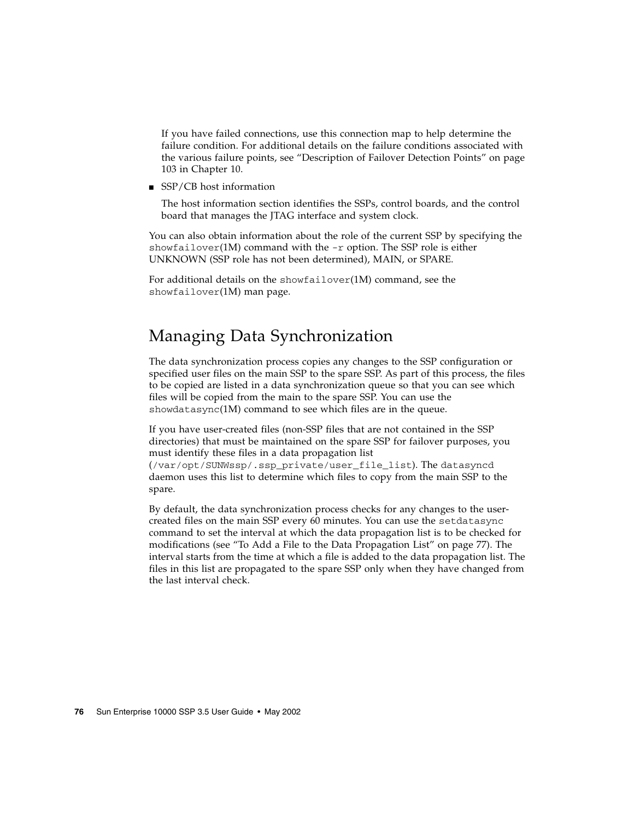If you have failed connections, use this connection map to help determine the failure condition. For additional details on the failure conditions associated with the various failure points, see ["Description of Failover Detection Points" on page](#page-122-0) [103](#page-122-0) in [Chapter 10](#page-114-0).

■ SSP/CB host information

The host information section identifies the SSPs, control boards, and the control board that manages the JTAG interface and system clock.

You can also obtain information about the role of the current SSP by specifying the showfailover(1M) command with the  $-r$  option. The SSP role is either UNKNOWN (SSP role has not been determined), MAIN, or SPARE.

For additional details on the showfailover(1M) command, see the showfailover(1M) man page.

## <span id="page-95-0"></span>Managing Data Synchronization

The data synchronization process copies any changes to the SSP configuration or specified user files on the main SSP to the spare SSP. As part of this process, the files to be copied are listed in a data synchronization queue so that you can see which files will be copied from the main to the spare SSP. You can use the showdatasync(1M) command to see which files are in the queue.

If you have user-created files (non-SSP files that are not contained in the SSP directories) that must be maintained on the spare SSP for failover purposes, you must identify these files in a data propagation list

(/var/opt/SUNWssp/.ssp\_private/user\_file\_list). The datasyncd daemon uses this list to determine which files to copy from the main SSP to the spare.

By default, the data synchronization process checks for any changes to the usercreated files on the main SSP every 60 minutes. You can use the setdatasync command to set the interval at which the data propagation list is to be checked for modifications (see ["To Add a File to the Data Propagation List" on page 77](#page-96-0)). The interval starts from the time at which a file is added to the data propagation list. The files in this list are propagated to the spare SSP only when they have changed from the last interval check.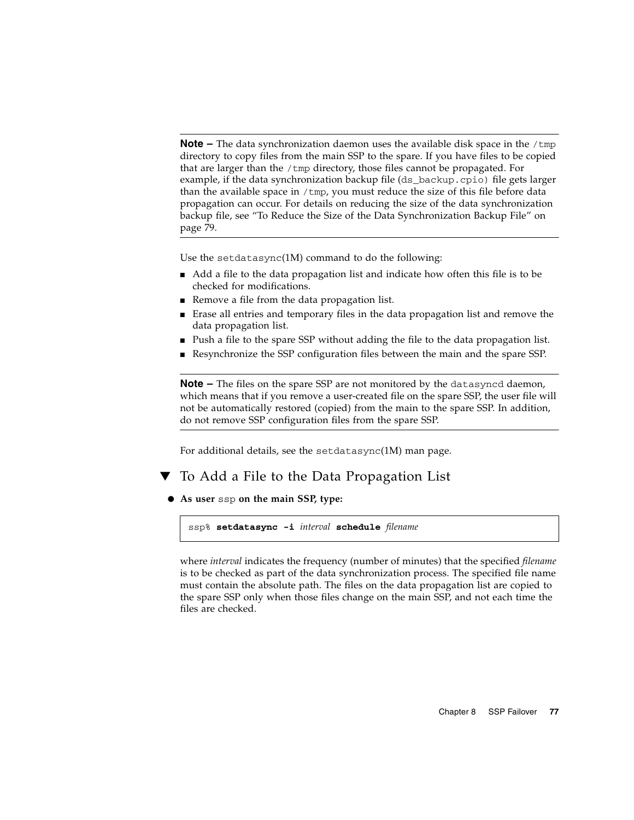**Note –** The data synchronization daemon uses the available disk space in the /tmp directory to copy files from the main SSP to the spare. If you have files to be copied that are larger than the /tmp directory, those files cannot be propagated. For example, if the data synchronization backup file (ds\_backup.cpio) file gets larger than the available space in /tmp, you must reduce the size of this file before data propagation can occur. For details on reducing the size of the data synchronization backup file, see ["To Reduce the Size of the Data Synchronization Backup File" on](#page-98-0) [page 79](#page-98-0).

Use the setdatasync(1M) command to do the following:

- Add a file to the data propagation list and indicate how often this file is to be checked for modifications.
- Remove a file from the data propagation list.
- Erase all entries and temporary files in the data propagation list and remove the data propagation list.
- Push a file to the spare SSP without adding the file to the data propagation list.
- Resynchronize the SSP configuration files between the main and the spare SSP.

**Note –** The files on the spare SSP are not monitored by the datasyncd daemon, which means that if you remove a user-created file on the spare SSP, the user file will not be automatically restored (copied) from the main to the spare SSP. In addition, do not remove SSP configuration files from the spare SSP.

For additional details, see the setdatasync(1M) man page.

### <span id="page-96-0"></span>To Add a File to the Data Propagation List

● **As user** ssp **on the main SSP, type:**

```
ssp% setdatasync -i interval schedule filename
```
where *interval* indicates the frequency (number of minutes) that the specified *filename* is to be checked as part of the data synchronization process. The specified file name must contain the absolute path. The files on the data propagation list are copied to the spare SSP only when those files change on the main SSP, and not each time the files are checked.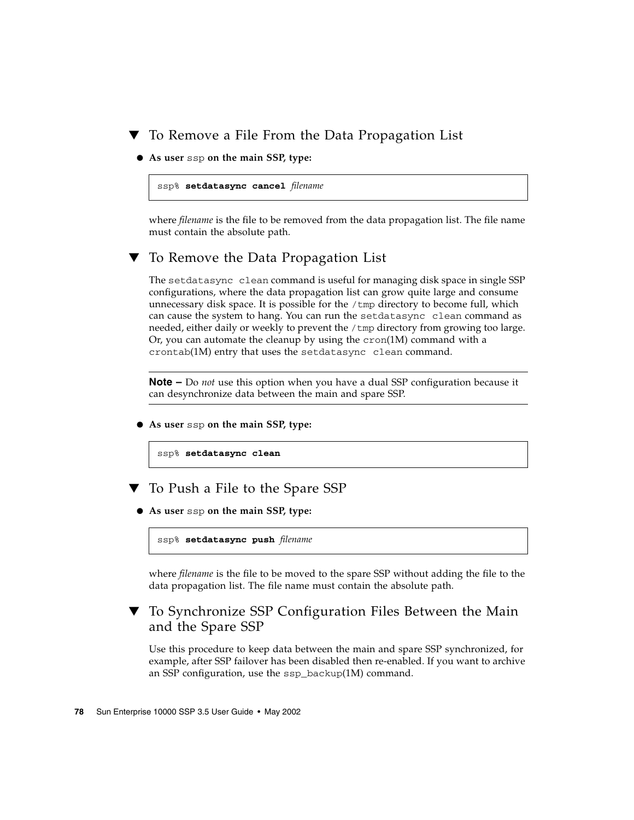### To Remove a File From the Data Propagation List

● **As user** ssp **on the main SSP, type:**

ssp% **setdatasync cancel** *filename*

where *filename* is the file to be removed from the data propagation list. The file name must contain the absolute path.

### <span id="page-97-0"></span>▼ To Remove the Data Propagation List

The setdatasync clean command is useful for managing disk space in single SSP configurations, where the data propagation list can grow quite large and consume unnecessary disk space. It is possible for the  $/\text{tmp}$  directory to become full, which can cause the system to hang. You can run the setdatasync clean command as needed, either daily or weekly to prevent the /tmp directory from growing too large. Or, you can automate the cleanup by using the  $cron(1M)$  command with a crontab(1M) entry that uses the setdatasync clean command.

**Note –** Do *not* use this option when you have a dual SSP configuration because it can desynchronize data between the main and spare SSP.

● **As user** ssp **on the main SSP, type:**

```
ssp% setdatasync clean
```
- To Push a File to the Spare SSP
- **As user** ssp **on the main SSP, type:**

ssp% **setdatasync push** *filename*

where *filename* is the file to be moved to the spare SSP without adding the file to the data propagation list. The file name must contain the absolute path.

### <span id="page-97-1"></span>▼ To Synchronize SSP Configuration Files Between the Main and the Spare SSP

Use this procedure to keep data between the main and spare SSP synchronized, for example, after SSP failover has been disabled then re-enabled. If you want to archive an SSP configuration, use the ssp\_backup(1M) command.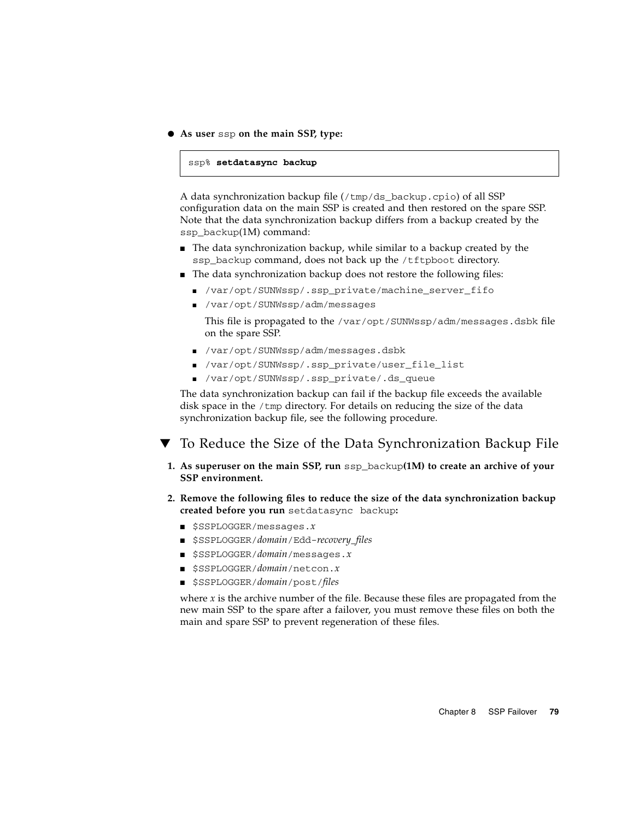● **As user** ssp **on the main SSP, type:**

```
ssp% setdatasync backup
```
A data synchronization backup file  $(\text{/tmp/ds-backup.cpio})$  of all SSP configuration data on the main SSP is created and then restored on the spare SSP. Note that the data synchronization backup differs from a backup created by the ssp\_backup(1M) command:

- The data synchronization backup, while similar to a backup created by the ssp\_backup command, does not back up the /tftpboot directory.
- The data synchronization backup does not restore the following files:
	- /var/opt/SUNWssp/.ssp\_private/machine\_server\_fifo
	- /var/opt/SUNWssp/adm/messages

This file is propagated to the /var/opt/SUNWssp/adm/messages.dsbk file on the spare SSP.

- /var/opt/SUNWssp/adm/messages.dsbk
- /var/opt/SUNWssp/.ssp\_private/user\_file\_list
- /var/opt/SUNWssp/.ssp\_private/.ds\_queue

The data synchronization backup can fail if the backup file exceeds the available disk space in the /tmp directory. For details on reducing the size of the data synchronization backup file, see the following procedure.

<span id="page-98-0"></span>To Reduce the Size of the Data Synchronization Backup File

- **1. As superuser on the main SSP, run** ssp\_backup**(1M) to create an archive of your SSP environment.**
- **2. Remove the following files to reduce the size of the data synchronization backup created before you run** setdatasync backup**:**
	- \$SSPLOGGER/messages.*x*
	- \$SSPLOGGER/*domain*/Edd-*recovery\_files*
	- \$SSPLOGGER/*domain*/messages.*x*
	- \$SSPLOGGER/*domain*/netcon.*x*
	- \$SSPLOGGER/*domain*/post/*files*

where *x* is the archive number of the file. Because these files are propagated from the new main SSP to the spare after a failover, you must remove these files on both the main and spare SSP to prevent regeneration of these files.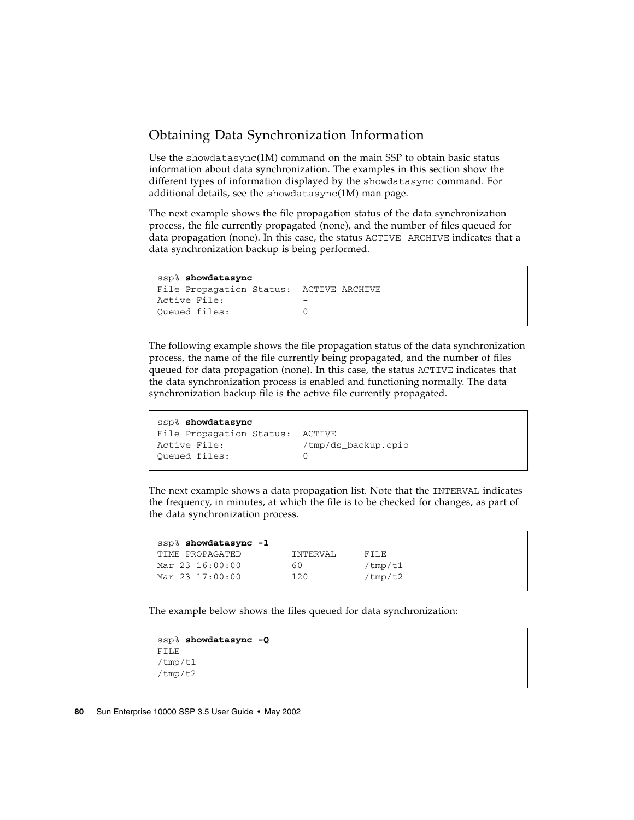## <span id="page-99-0"></span>Obtaining Data Synchronization Information

Use the showdatasync $(1M)$  command on the main SSP to obtain basic status information about data synchronization. The examples in this section show the different types of information displayed by the showdatasync command. For additional details, see the showdatasync(1M) man page.

The next example shows the file propagation status of the data synchronization process, the file currently propagated (none), and the number of files queued for data propagation (none). In this case, the status ACTIVE ARCHIVE indicates that a data synchronization backup is being performed.

```
ssp% showdatasync
File Propagation Status: ACTIVE ARCHIVE
Active File: -
Queued files: 0
```
The following example shows the file propagation status of the data synchronization process, the name of the file currently being propagated, and the number of files queued for data propagation (none). In this case, the status ACTIVE indicates that the data synchronization process is enabled and functioning normally. The data synchronization backup file is the active file currently propagated.

```
ssp% showdatasync
File Propagation Status: ACTIVE
Active File: /tmp/ds_backup.cpio
Queued files: 0
```
The next example shows a data propagation list. Note that the INTERVAL indicates the frequency, in minutes, at which the file is to be checked for changes, as part of the data synchronization process.

| ssp% showdatasync -1 |          |            |
|----------------------|----------|------------|
| TIME PROPAGATED      | INTERVAL | FTLE       |
| Mar 23 16:00:00      | 60       | / $tmp/t1$ |
| Mar 23 17:00:00      | 120      | /tmp/t2    |
|                      |          |            |

The example below shows the files queued for data synchronization:

```
ssp% showdatasync -Q
FILE
/tmp/t1
/tmp/t2
```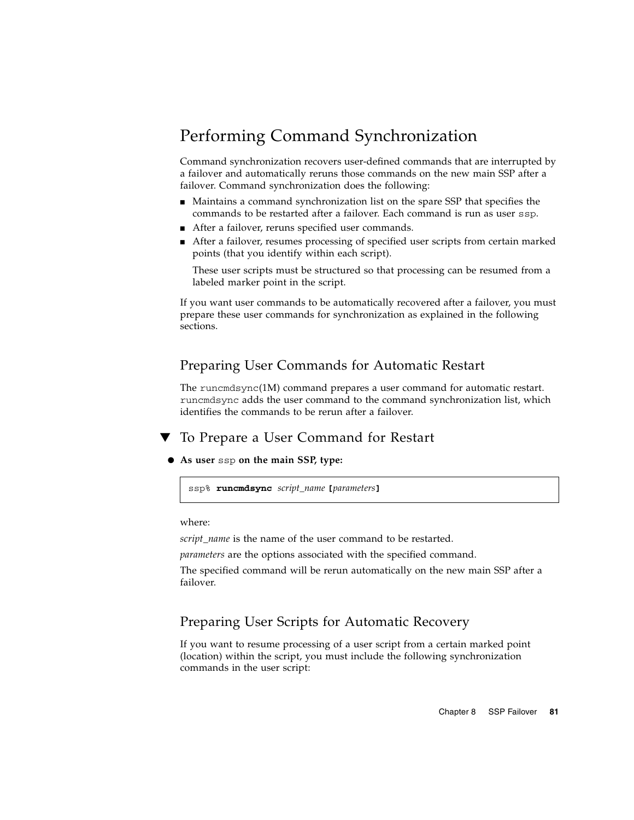# <span id="page-100-0"></span>Performing Command Synchronization

Command synchronization recovers user-defined commands that are interrupted by a failover and automatically reruns those commands on the new main SSP after a failover. Command synchronization does the following:

- Maintains a command synchronization list on the spare SSP that specifies the commands to be restarted after a failover. Each command is run as user ssp.
- After a failover, reruns specified user commands.
- After a failover, resumes processing of specified user scripts from certain marked points (that you identify within each script).

These user scripts must be structured so that processing can be resumed from a labeled marker point in the script.

If you want user commands to be automatically recovered after a failover, you must prepare these user commands for synchronization as explained in the following sections.

### Preparing User Commands for Automatic Restart

The runcmdsync(1M) command prepares a user command for automatic restart. runcmdsync adds the user command to the command synchronization list, which identifies the commands to be rerun after a failover.

### To Prepare a User Command for Restart

● **As user** ssp **on the main SSP, type:**

ssp% **runcmdsync** *script\_name* **[***parameters***]**

where:

*script\_name* is the name of the user command to be restarted.

*parameters* are the options associated with the specified command.

The specified command will be rerun automatically on the new main SSP after a failover.

### Preparing User Scripts for Automatic Recovery

If you want to resume processing of a user script from a certain marked point (location) within the script, you must include the following synchronization commands in the user script: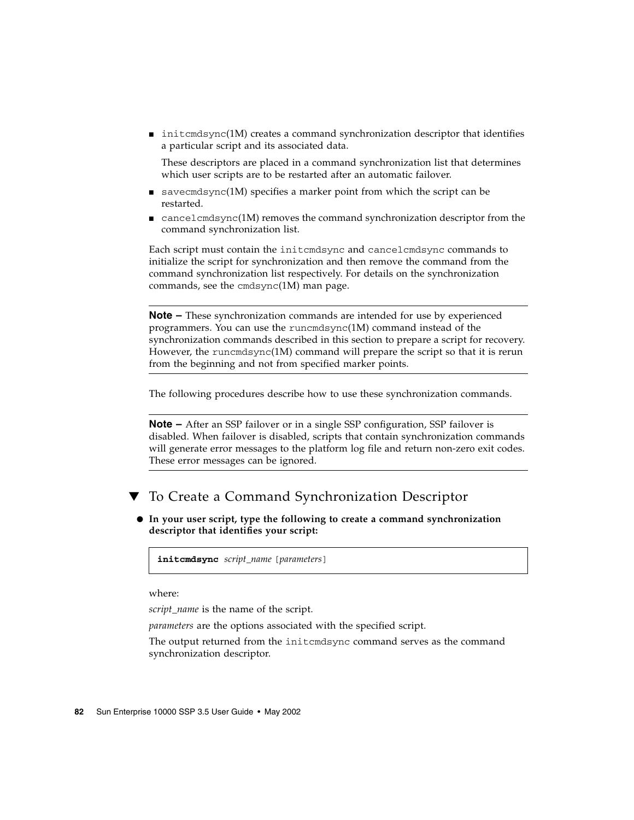■ initcmdsync(1M) creates a command synchronization descriptor that identifies a particular script and its associated data.

These descriptors are placed in a command synchronization list that determines which user scripts are to be restarted after an automatic failover.

- savecmdsync(1M) specifies a marker point from which the script can be restarted.
- $\blacksquare$  cancel cmdsync(1M) removes the command synchronization descriptor from the command synchronization list.

Each script must contain the initcmdsync and cancelcmdsync commands to initialize the script for synchronization and then remove the command from the command synchronization list respectively. For details on the synchronization commands, see the cmdsync(1M) man page.

**Note –** These synchronization commands are intended for use by experienced programmers. You can use the runcmdsync(1M) command instead of the synchronization commands described in this section to prepare a script for recovery. However, the runcmdsync(1M) command will prepare the script so that it is rerun from the beginning and not from specified marker points.

The following procedures describe how to use these synchronization commands.

**Note –** After an SSP failover or in a single SSP configuration, SSP failover is disabled. When failover is disabled, scripts that contain synchronization commands will generate error messages to the platform log file and return non-zero exit codes. These error messages can be ignored.

## ▼ To Create a Command Synchronization Descriptor

● **In your user script, type the following to create a command synchronization descriptor that identifies your script:**

**initcmdsync** *script\_name* [*parameters*]

where:

*script\_name* is the name of the script.

*parameters* are the options associated with the specified script.

The output returned from the initcmdsync command serves as the command synchronization descriptor.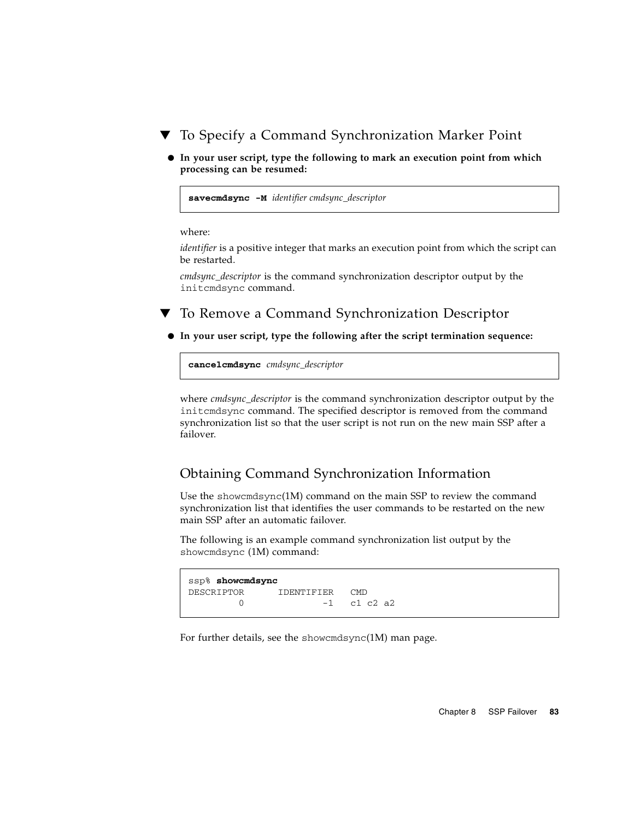- To Specify a Command Synchronization Marker Point
	- **In your user script, type the following to mark an execution point from which processing can be resumed:**

**savecmdsync -M** *identifier cmdsync\_descriptor*

where:

*identifier* is a positive integer that marks an execution point from which the script can be restarted.

*cmdsync\_descriptor* is the command synchronization descriptor output by the initcmdsync command.

To Remove a Command Synchronization Descriptor

● **In your user script, type the following after the script termination sequence:**

**cancelcmdsync** *cmdsync\_descriptor*

where *cmdsync\_descriptor* is the command synchronization descriptor output by the initcmdsync command. The specified descriptor is removed from the command synchronization list so that the user script is not run on the new main SSP after a failover.

### Obtaining Command Synchronization Information

Use the showcmdsync(1M) command on the main SSP to review the command synchronization list that identifies the user commands to be restarted on the new main SSP after an automatic failover.

The following is an example command synchronization list output by the showcmdsync (1M) command:

```
ssp% showcmdsync
DESCRIPTOR IDENTIFIER CMD
      0 -1 c1 c2 a2
```
For further details, see the showcmdsync(1M) man page.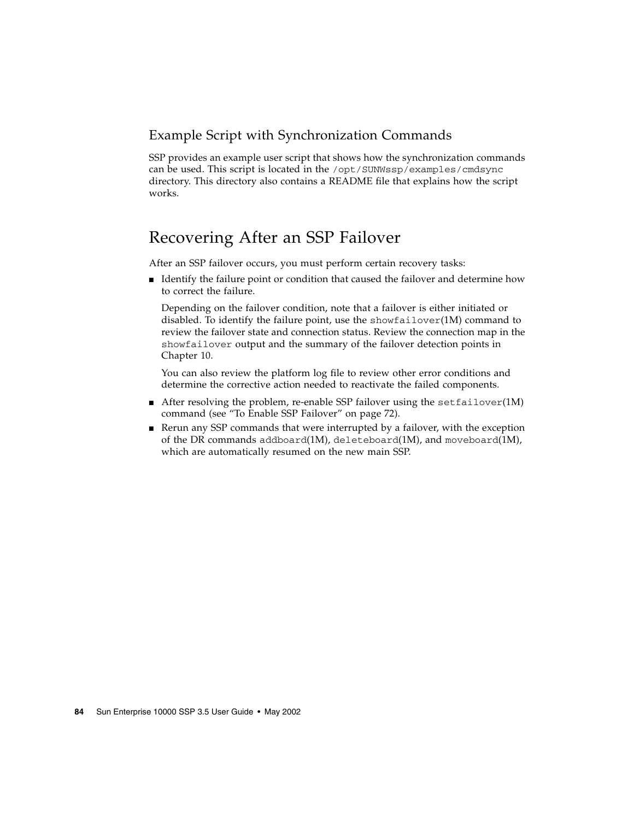## Example Script with Synchronization Commands

SSP provides an example user script that shows how the synchronization commands can be used. This script is located in the /opt/SUNWssp/examples/cmdsync directory. This directory also contains a README file that explains how the script works.

## Recovering After an SSP Failover

After an SSP failover occurs, you must perform certain recovery tasks:

■ Identify the failure point or condition that caused the failover and determine how to correct the failure.

Depending on the failover condition, note that a failover is either initiated or disabled. To identify the failure point, use the showfailover $(1M)$  command to review the failover state and connection status. Review the connection map in the showfailover output and the summary of the failover detection points in [Chapter 10](#page-114-0).

You can also review the platform log file to review other error conditions and determine the corrective action needed to reactivate the failed components.

- $\blacksquare$  After resolving the problem, re-enable SSP failover using the set failover(1M) command (see ["To Enable SSP Failover" on page 72\)](#page-91-0).
- Rerun any SSP commands that were interrupted by a failover, with the exception of the DR commands addboard(1M), deleteboard(1M), and moveboard(1M), which are automatically resumed on the new main SSP.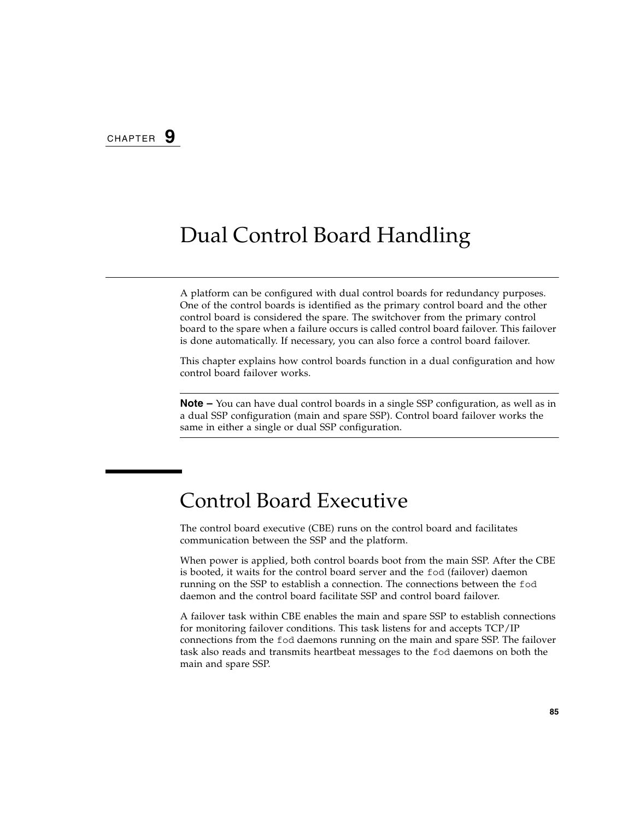# Dual Control Board Handling

A platform can be configured with dual control boards for redundancy purposes. One of the control boards is identified as the primary control board and the other control board is considered the spare. The switchover from the primary control board to the spare when a failure occurs is called control board failover. This failover is done automatically. If necessary, you can also force a control board failover.

This chapter explains how control boards function in a dual configuration and how control board failover works.

**Note –** You can have dual control boards in a single SSP configuration, as well as in a dual SSP configuration (main and spare SSP). Control board failover works the same in either a single or dual SSP configuration.

# Control Board Executive

The control board executive (CBE) runs on the control board and facilitates communication between the SSP and the platform.

When power is applied, both control boards boot from the main SSP. After the CBE is booted, it waits for the control board server and the fod (failover) daemon running on the SSP to establish a connection. The connections between the fod daemon and the control board facilitate SSP and control board failover.

A failover task within CBE enables the main and spare SSP to establish connections for monitoring failover conditions. This task listens for and accepts TCP/IP connections from the fod daemons running on the main and spare SSP. The failover task also reads and transmits heartbeat messages to the fod daemons on both the main and spare SSP.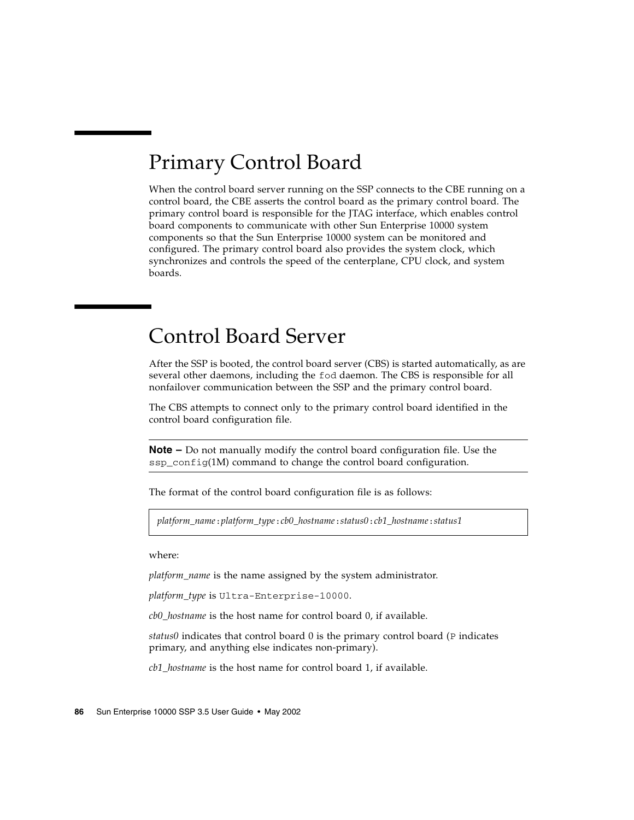# Primary Control Board

When the control board server running on the SSP connects to the CBE running on a control board, the CBE asserts the control board as the primary control board. The primary control board is responsible for the JTAG interface, which enables control board components to communicate with other Sun Enterprise 10000 system components so that the Sun Enterprise 10000 system can be monitored and configured. The primary control board also provides the system clock, which synchronizes and controls the speed of the centerplane, CPU clock, and system boards.

# Control Board Server

After the SSP is booted, the control board server (CBS) is started automatically, as are several other daemons, including the fod daemon. The CBS is responsible for all nonfailover communication between the SSP and the primary control board.

The CBS attempts to connect only to the primary control board identified in the control board configuration file.

**Note –** Do not manually modify the control board configuration file. Use the ssp\_config(1M) command to change the control board configuration.

The format of the control board configuration file is as follows:

*platform\_name*:*platform\_type*:*cb0\_hostname*:*status0*:*cb1\_hostname*:*status1*

where:

*platform\_name* is the name assigned by the system administrator.

*platform\_type* is Ultra-Enterprise-10000.

*cb0\_hostname* is the host name for control board 0, if available.

*status0* indicates that control board 0 is the primary control board (P indicates primary, and anything else indicates non-primary).

*cb1\_hostname* is the host name for control board 1, if available.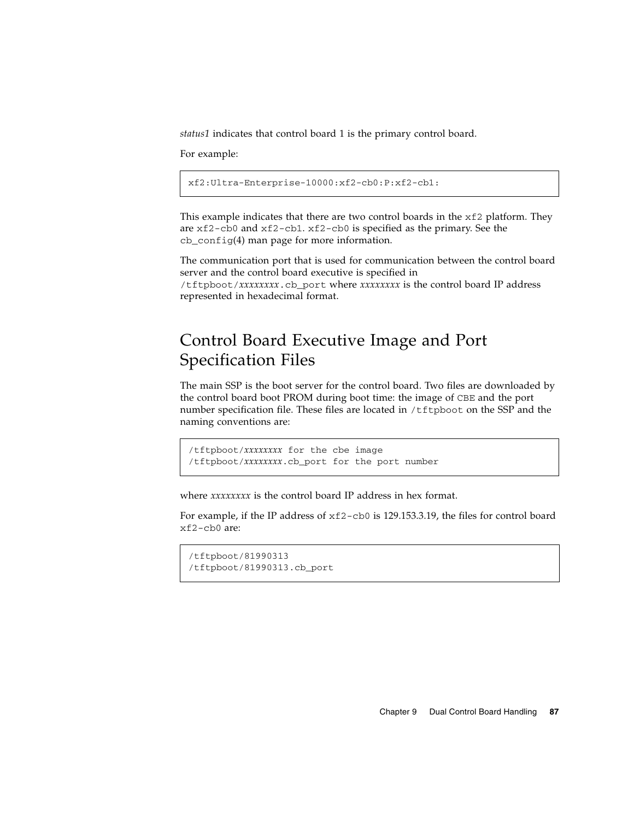*status1* indicates that control board 1 is the primary control board.

For example:

xf2:Ultra-Enterprise-10000:xf2-cb0:P:xf2-cb1:

This example indicates that there are two control boards in the  $xf2$  platform. They are xf2-cb0 and xf2-cb1. xf2-cb0 is specified as the primary. See the cb\_config(4) man page for more information.

The communication port that is used for communication between the control board server and the control board executive is specified in /tftpboot/*xxxxxxxx*.cb\_port where *xxxxxxxx* is the control board IP address represented in hexadecimal format.

# Control Board Executive Image and Port Specification Files

The main SSP is the boot server for the control board. Two files are downloaded by the control board boot PROM during boot time: the image of CBE and the port number specification file. These files are located in /tftpboot on the SSP and the naming conventions are:

/tftpboot/*xxxxxxxx* for the cbe image /tftpboot/*xxxxxxxx*.cb\_port for the port number

where *xxxxxxxx* is the control board IP address in hex format.

For example, if the IP address of xf2-cb0 is 129.153.3.19, the files for control board xf2-cb0 are:

```
/tftpboot/81990313
/tftpboot/81990313.cb_port
```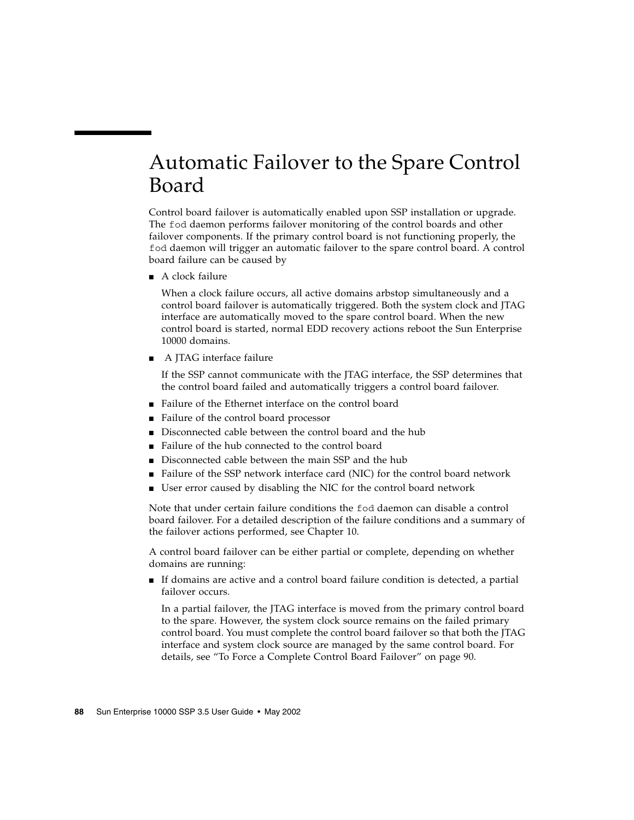# Automatic Failover to the Spare Control Board

Control board failover is automatically enabled upon SSP installation or upgrade. The fod daemon performs failover monitoring of the control boards and other failover components. If the primary control board is not functioning properly, the fod daemon will trigger an automatic failover to the spare control board. A control board failure can be caused by

■ A clock failure

When a clock failure occurs, all active domains arbstop simultaneously and a control board failover is automatically triggered. Both the system clock and JTAG interface are automatically moved to the spare control board. When the new control board is started, normal EDD recovery actions reboot the Sun Enterprise 10000 domains.

■ A JTAG interface failure

If the SSP cannot communicate with the JTAG interface, the SSP determines that the control board failed and automatically triggers a control board failover.

- Failure of the Ethernet interface on the control board
- Failure of the control board processor
- Disconnected cable between the control board and the hub
- Failure of the hub connected to the control board
- Disconnected cable between the main SSP and the hub
- Failure of the SSP network interface card (NIC) for the control board network
- User error caused by disabling the NIC for the control board network

Note that under certain failure conditions the fod daemon can disable a control board failover. For a detailed description of the failure conditions and a summary of the failover actions performed, see [Chapter 10.](#page-114-0)

A control board failover can be either partial or complete, depending on whether domains are running:

■ If domains are active and a control board failure condition is detected, a partial failover occurs.

In a partial failover, the JTAG interface is moved from the primary control board to the spare. However, the system clock source remains on the failed primary control board. You must complete the control board failover so that both the JTAG interface and system clock source are managed by the same control board. For details, see ["To Force a Complete Control Board Failover" on page 90.](#page-109-0)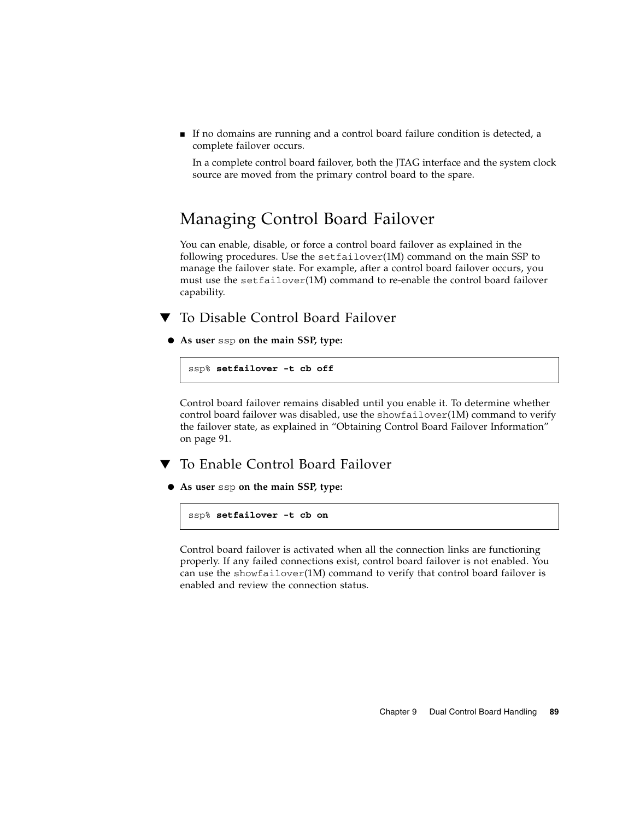<span id="page-108-2"></span>■ If no domains are running and a control board failure condition is detected, a complete failover occurs.

In a complete control board failover, both the JTAG interface and the system clock source are moved from the primary control board to the spare.

## Managing Control Board Failover

<span id="page-108-1"></span>You can enable, disable, or force a control board failover as explained in the following procedures. Use the setfailover(1M) command on the main SSP to manage the failover state. For example, after a control board failover occurs, you must use the setfailover(1M) command to re-enable the control board failover capability.

To Disable Control Board Failover

● **As user** ssp **on the main SSP, type:**

ssp% **setfailover -t cb off**

Control board failover remains disabled until you enable it. To determine whether control board failover was disabled, use the showfailover(1M) command to verify the failover state, as explained in ["Obtaining Control Board Failover Information"](#page-110-0) [on page 91](#page-110-0).

- <span id="page-108-0"></span>To Enable Control Board Failover
- **As user** ssp **on the main SSP, type:**

ssp% **setfailover -t cb on**

Control board failover is activated when all the connection links are functioning properly. If any failed connections exist, control board failover is not enabled. You can use the showfailover $(1M)$  command to verify that control board failover is enabled and review the connection status.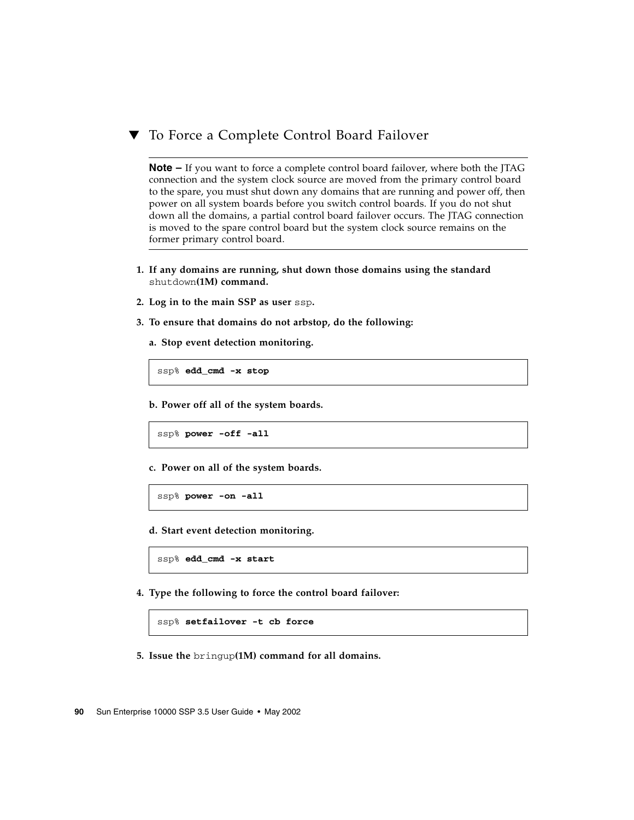### <span id="page-109-0"></span>To Force a Complete Control Board Failover

<span id="page-109-1"></span>**Note –** If you want to force a complete control board failover, where both the JTAG connection and the system clock source are moved from the primary control board to the spare, you must shut down any domains that are running and power off, then power on all system boards before you switch control boards. If you do not shut down all the domains, a partial control board failover occurs. The JTAG connection is moved to the spare control board but the system clock source remains on the former primary control board.

- **1. If any domains are running, shut down those domains using the standard** shutdown**(1M) command.**
- **2. Log in to the main SSP as user** ssp**.**
- **3. To ensure that domains do not arbstop, do the following:**
	- **a. Stop event detection monitoring.**

ssp% **edd\_cmd -x stop**

**b. Power off all of the system boards.**

ssp% **power -off -all**

**c. Power on all of the system boards.**

ssp% **power -on -all**

**d. Start event detection monitoring.**

ssp% **edd\_cmd -x start**

**4. Type the following to force the control board failover:**

ssp% **setfailover -t cb force**

**5. Issue the** bringup**(1M) command for all domains.**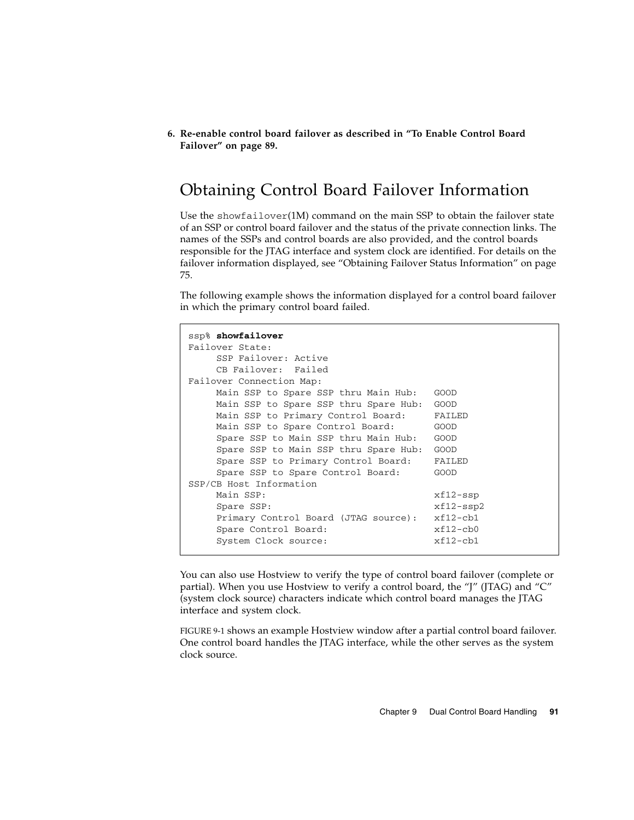**6. Re-enable control board failover as described in ["To Enable Control Board](#page-108-0) [Failover" on page 89.](#page-108-0)**

## <span id="page-110-0"></span>Obtaining Control Board Failover Information

<span id="page-110-1"></span>Use the showfailover(1M) command on the main SSP to obtain the failover state of an SSP or control board failover and the status of the private connection links. The names of the SSPs and control boards are also provided, and the control boards responsible for the JTAG interface and system clock are identified. For details on the failover information displayed, see ["Obtaining Failover Status Information" on page](#page-94-0) [75.](#page-94-0)

The following example shows the information displayed for a control board failover in which the primary control board failed.

```
ssp% showfailover
Failover State:
    SSP Failover: Active
    CB Failover: Failed
Failover Connection Map:
    Main SSP to Spare SSP thru Main Hub: GOOD
    Main SSP to Spare SSP thru Spare Hub: GOOD
    Main SSP to Primary Control Board: FAILED
   Main SSP to Spare Control Board: GOOD
    Spare SSP to Main SSP thru Main Hub: GOOD
    Spare SSP to Main SSP thru Spare Hub: GOOD
    Spare SSP to Primary Control Board: FAILED
    Spare SSP to Spare Control Board: GOOD
SSP/CB Host Information
   Main SSP: xf12-ssnSpare SSP: xf12-ssp2Primary Control Board (JTAG source): xf12-cb1
    Spare Control Board: xf12-cb0
    System Clock source: xf12-cb1
```
You can also use Hostview to verify the type of control board failover (complete or partial). When you use Hostview to verify a control board, the "J" (JTAG) and "C" (system clock source) characters indicate which control board manages the JTAG interface and system clock.

[FIGURE 9-1](#page-111-0) shows an example Hostview window after a partial control board failover. One control board handles the JTAG interface, while the other serves as the system clock source.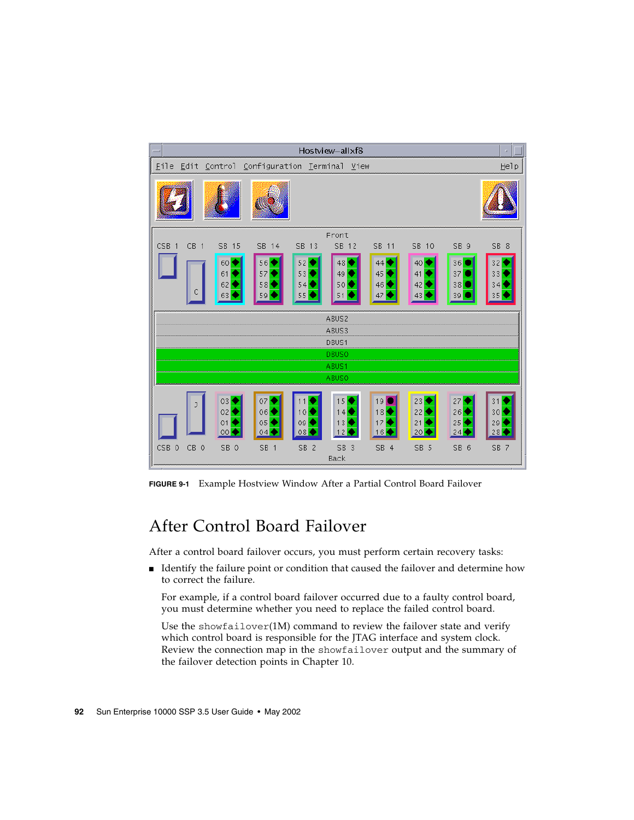

<span id="page-111-0"></span>**FIGURE 9-1** Example Hostview Window After a Partial Control Board Failover

## After Control Board Failover

<span id="page-111-1"></span>After a control board failover occurs, you must perform certain recovery tasks:

■ Identify the failure point or condition that caused the failover and determine how to correct the failure.

For example, if a control board failover occurred due to a faulty control board, you must determine whether you need to replace the failed control board.

Use the showfailover(1M) command to review the failover state and verify which control board is responsible for the JTAG interface and system clock. Review the connection map in the showfailover output and the summary of the failover detection points in [Chapter 10.](#page-114-0)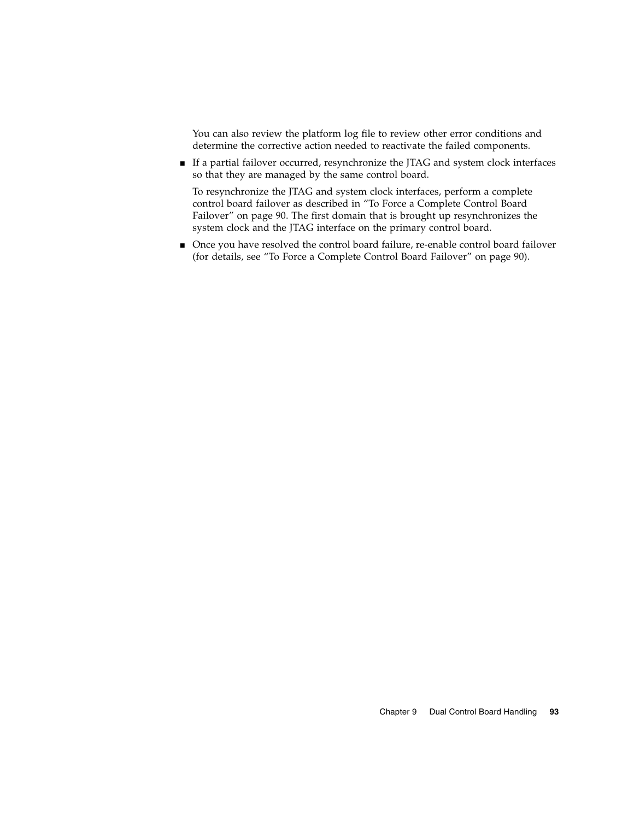You can also review the platform log file to review other error conditions and determine the corrective action needed to reactivate the failed components.

■ If a partial failover occurred, resynchronize the JTAG and system clock interfaces so that they are managed by the same control board.

To resynchronize the JTAG and system clock interfaces, perform a complete control board failover as described in ["To Force a Complete Control Board](#page-109-0) [Failover" on page 90](#page-109-0). The first domain that is brought up resynchronizes the system clock and the JTAG interface on the primary control board.

■ Once you have resolved the control board failure, re-enable control board failover (for details, see ["To Force a Complete Control Board Failover" on page 90](#page-109-0)).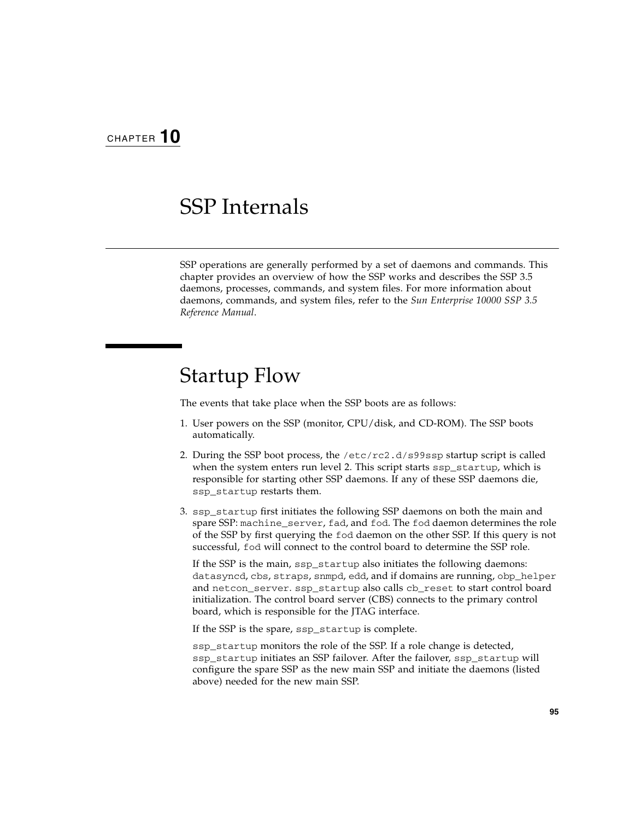# <span id="page-114-0"></span>SSP Internals

SSP operations are generally performed by a set of daemons and commands. This chapter provides an overview of how the SSP works and describes the SSP 3.5 daemons, processes, commands, and system files. For more information about daemons, commands, and system files, refer to the *Sun Enterprise 10000 SSP 3.5 Reference Manual*.

# <span id="page-114-1"></span>Startup Flow

The events that take place when the SSP boots are as follows:

- 1. User powers on the SSP (monitor, CPU/disk, and CD-ROM). The SSP boots automatically.
- 2. During the SSP boot process, the /etc/rc2.d/s99ssp startup script is called when the system enters run level 2. This script starts ssp\_startup, which is responsible for starting other SSP daemons. If any of these SSP daemons die, ssp\_startup restarts them.
- 3. ssp\_startup first initiates the following SSP daemons on both the main and spare SSP: machine server, fad, and fod. The fod daemon determines the role of the SSP by first querying the fod daemon on the other SSP. If this query is not successful, fod will connect to the control board to determine the SSP role.

If the SSP is the main, ssp\_startup also initiates the following daemons: datasyncd, cbs, straps, snmpd, edd, and if domains are running, obp\_helper and netcon\_server. ssp\_startup also calls cb\_reset to start control board initialization. The control board server (CBS) connects to the primary control board, which is responsible for the JTAG interface.

If the SSP is the spare, ssp\_startup is complete.

ssp\_startup monitors the role of the SSP. If a role change is detected, ssp\_startup initiates an SSP failover. After the failover, ssp\_startup will configure the spare SSP as the new main SSP and initiate the daemons (listed above) needed for the new main SSP.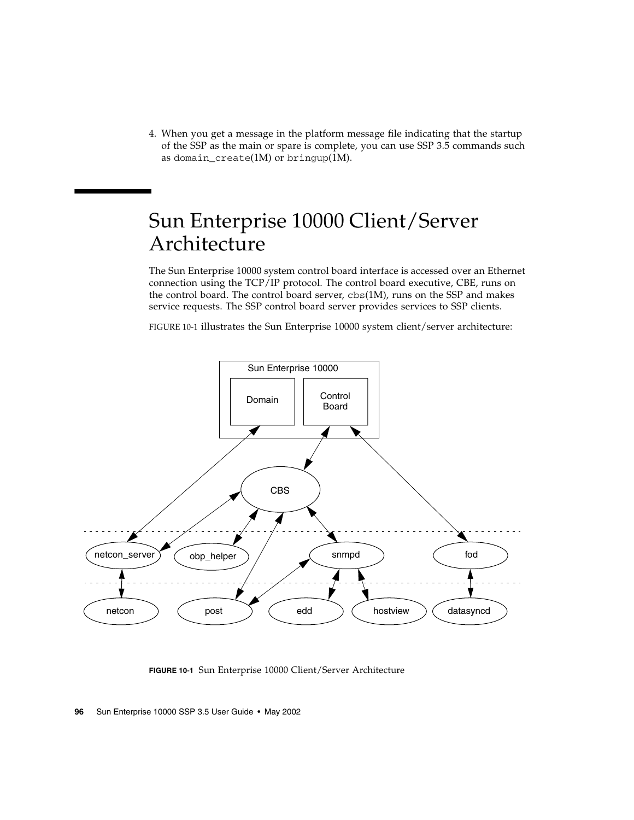4. When you get a message in the platform message file indicating that the startup of the SSP as the main or spare is complete, you can use SSP 3.5 commands such as domain\_create(1M) or bringup(1M).

# Sun Enterprise 10000 Client/Server Architecture

The Sun Enterprise 10000 system control board interface is accessed over an Ethernet connection using the TCP/IP protocol. The control board executive, CBE, runs on the control board. The control board server,  $cbs(1M)$ , runs on the SSP and makes service requests. The SSP control board server provides services to SSP clients.

[FIGURE 10-1](#page-115-0) illustrates the Sun Enterprise 10000 system client/server architecture:



<span id="page-115-0"></span>**FIGURE 10-1** Sun Enterprise 10000 Client/Server Architecture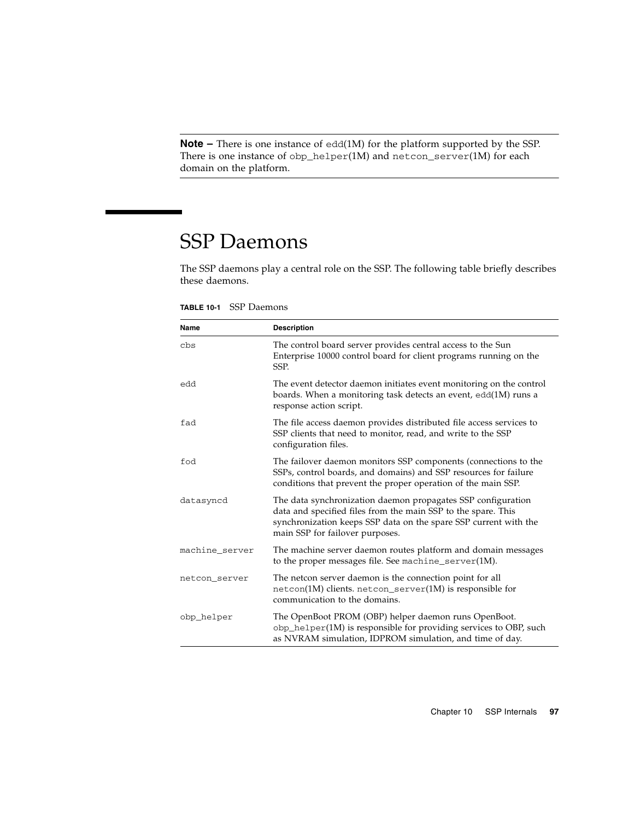**Note –** There is one instance of edd(1M) for the platform supported by the SSP. There is one instance of obp\_helper(1M) and netcon\_server(1M) for each domain on the platform.

# SSP Daemons

<span id="page-116-1"></span>The SSP daemons play a central role on the SSP. The following table briefly describes these daemons.

<span id="page-116-0"></span>

| Name           | <b>Description</b>                                                                                                                                                                                                                   |
|----------------|--------------------------------------------------------------------------------------------------------------------------------------------------------------------------------------------------------------------------------------|
| cbs            | The control board server provides central access to the Sun<br>Enterprise 10000 control board for client programs running on the<br>SSP.                                                                                             |
| edd            | The event detector daemon initiates event monitoring on the control<br>boards. When a monitoring task detects an event, edd(1M) runs a<br>response action script.                                                                    |
| fad            | The file access daemon provides distributed file access services to<br>SSP clients that need to monitor, read, and write to the SSP<br>configuration files.                                                                          |
| fod            | The failover daemon monitors SSP components (connections to the<br>SSPs, control boards, and domains) and SSP resources for failure<br>conditions that prevent the proper operation of the main SSP.                                 |
| datasyncd      | The data synchronization daemon propagates SSP configuration<br>data and specified files from the main SSP to the spare. This<br>synchronization keeps SSP data on the spare SSP current with the<br>main SSP for failover purposes. |
| machine_server | The machine server daemon routes platform and domain messages<br>to the proper messages file. See machine_server(1M).                                                                                                                |
| netcon_server  | The netcon server daemon is the connection point for all<br>netcon(1M) clients. netcon_server(1M) is responsible for<br>communication to the domains.                                                                                |
| obp_helper     | The OpenBoot PROM (OBP) helper daemon runs OpenBoot.<br>obp_helper(1M) is responsible for providing services to OBP, such<br>as NVRAM simulation, IDPROM simulation, and time of day.                                                |

**TABLE 10-1** SSP Daemons

 $\overline{\phantom{0}}$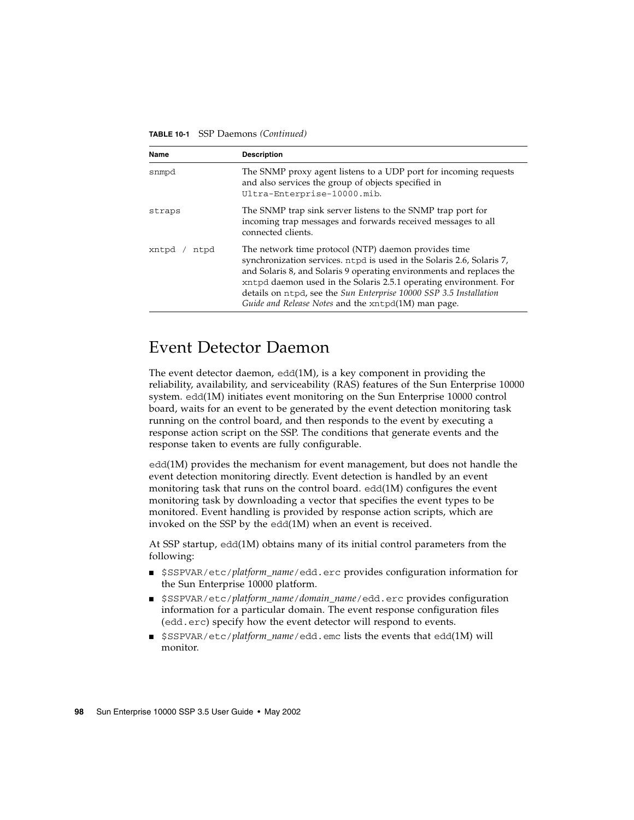#### **TABLE 10-1** SSP Daemons *(Continued)*

<span id="page-117-2"></span><span id="page-117-1"></span>

| Name          | <b>Description</b>                                                                                                                                                                                                                                                                                                                                                                                      |
|---------------|---------------------------------------------------------------------------------------------------------------------------------------------------------------------------------------------------------------------------------------------------------------------------------------------------------------------------------------------------------------------------------------------------------|
| snmpd         | The SNMP proxy agent listens to a UDP port for incoming requests<br>and also services the group of objects specified in<br>Ultra-Enterprise-10000.mib.                                                                                                                                                                                                                                                  |
| straps        | The SNMP trap sink server listens to the SNMP trap port for<br>incoming trap messages and forwards received messages to all<br>connected clients.                                                                                                                                                                                                                                                       |
| xntpd<br>ntpd | The network time protocol (NTP) daemon provides time<br>synchronization services. ntpd is used in the Solaris 2.6, Solaris 7,<br>and Solaris 8, and Solaris 9 operating environments and replaces the<br>xntpd daemon used in the Solaris 2.5.1 operating environment. For<br>details on ntpd, see the Sun Enterprise 10000 SSP 3.5 Installation<br>Guide and Release Notes and the xntpd(1M) man page. |

### Event Detector Daemon

<span id="page-117-0"></span>The event detector daemon,  $edd(1M)$ , is a key component in providing the reliability, availability, and serviceability (RAS) features of the Sun Enterprise 10000 system. edd(1M) initiates event monitoring on the Sun Enterprise 10000 control board, waits for an event to be generated by the event detection monitoring task running on the control board, and then responds to the event by executing a response action script on the SSP. The conditions that generate events and the response taken to events are fully configurable.

edd(1M) provides the mechanism for event management, but does not handle the event detection monitoring directly. Event detection is handled by an event monitoring task that runs on the control board. edd(1M) configures the event monitoring task by downloading a vector that specifies the event types to be monitored. Event handling is provided by response action scripts, which are invoked on the SSP by the edd(1M) when an event is received.

At SSP startup, edd(1M) obtains many of its initial control parameters from the following:

- \$SSPVAR/etc/*platform\_name*/edd.erc provides configuration information for the Sun Enterprise 10000 platform.
- \$SSPVAR/etc/*platform\_name*/*domain\_name*/edd.erc provides configuration information for a particular domain. The event response configuration files (edd.erc) specify how the event detector will respond to events.
- \$SSPVAR/etc/*platform\_name*/edd.emc lists the events that edd(1M) will monitor.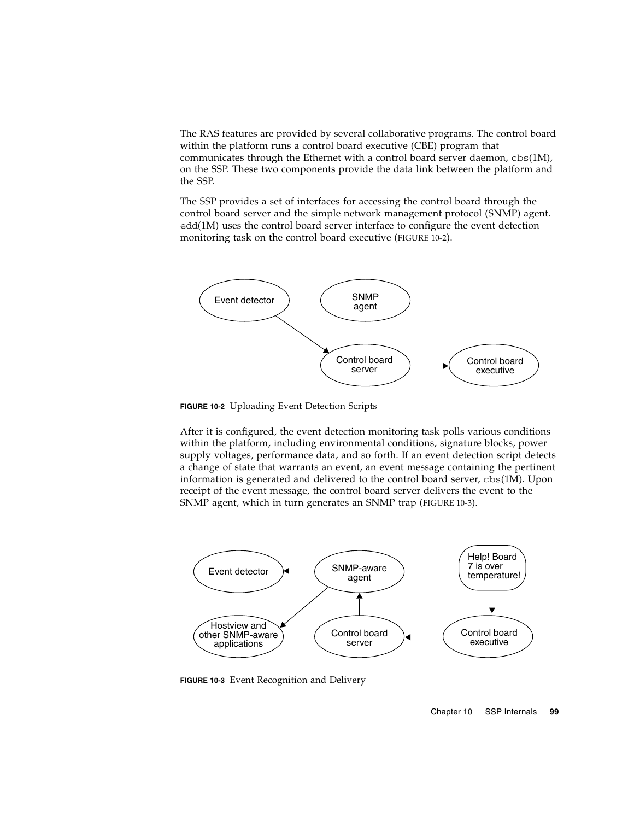The RAS features are provided by several collaborative programs. The control board within the platform runs a control board executive (CBE) program that communicates through the Ethernet with a control board server daemon,  $cbs(1M)$ , on the SSP. These two components provide the data link between the platform and the SSP.

<span id="page-118-2"></span>The SSP provides a set of interfaces for accessing the control board through the control board server and the simple network management protocol (SNMP) agent. edd(1M) uses the control board server interface to configure the event detection monitoring task on the control board executive [\(FIGURE 10-2](#page-118-0)).



<span id="page-118-0"></span>**FIGURE 10-2** Uploading Event Detection Scripts

After it is configured, the event detection monitoring task polls various conditions within the platform, including environmental conditions, signature blocks, power supply voltages, performance data, and so forth. If an event detection script detects a change of state that warrants an event, an event message containing the pertinent information is generated and delivered to the control board server,  $cbs(1M)$ . Upon receipt of the event message, the control board server delivers the event to the SNMP agent, which in turn generates an SNMP trap ([FIGURE 10-3\)](#page-118-1).



<span id="page-118-1"></span>**FIGURE 10-3** Event Recognition and Delivery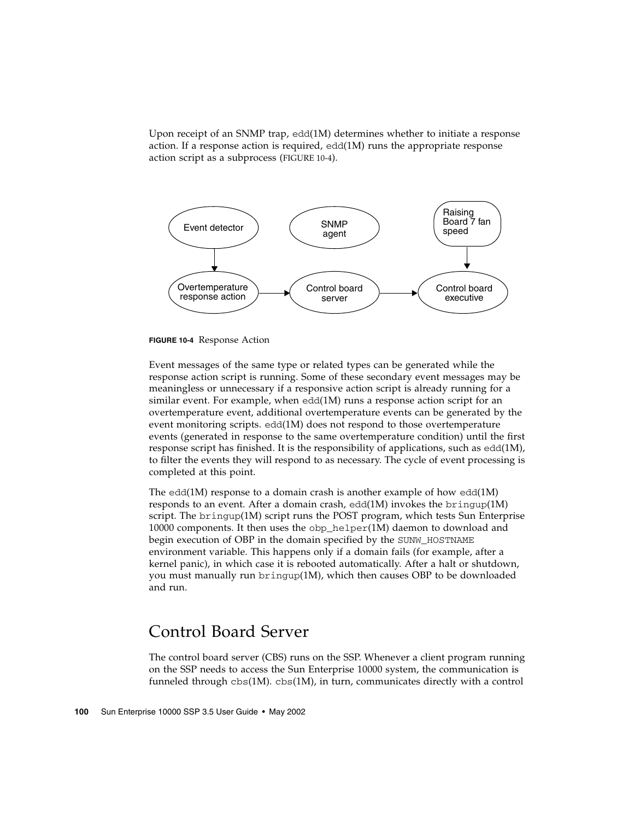Upon receipt of an SNMP trap, edd(1M) determines whether to initiate a response action. If a response action is required,  $edd(1M)$  runs the appropriate response action script as a subprocess [\(FIGURE 10-4\)](#page-119-0).



<span id="page-119-0"></span>

Event messages of the same type or related types can be generated while the response action script is running. Some of these secondary event messages may be meaningless or unnecessary if a responsive action script is already running for a similar event. For example, when edd(1M) runs a response action script for an overtemperature event, additional overtemperature events can be generated by the event monitoring scripts. edd(1M) does not respond to those overtemperature events (generated in response to the same overtemperature condition) until the first response script has finished. It is the responsibility of applications, such as  $edd(1M)$ , to filter the events they will respond to as necessary. The cycle of event processing is completed at this point.

<span id="page-119-2"></span>The edd(1M) response to a domain crash is another example of how edd(1M) responds to an event. After a domain crash,  $edd(1M)$  invokes the bringup $(1M)$ script. The bringup(1M) script runs the POST program, which tests Sun Enterprise 10000 components. It then uses the obp\_helper(1M) daemon to download and begin execution of OBP in the domain specified by the SUNW\_HOSTNAME environment variable. This happens only if a domain fails (for example, after a kernel panic), in which case it is rebooted automatically. After a halt or shutdown, you must manually run bringup(1M), which then causes OBP to be downloaded and run.

## <span id="page-119-1"></span>Control Board Server

The control board server (CBS) runs on the SSP. Whenever a client program running on the SSP needs to access the Sun Enterprise 10000 system, the communication is funneled through  $cbs(1M)$ .  $cbs(1M)$ , in turn, communicates directly with a control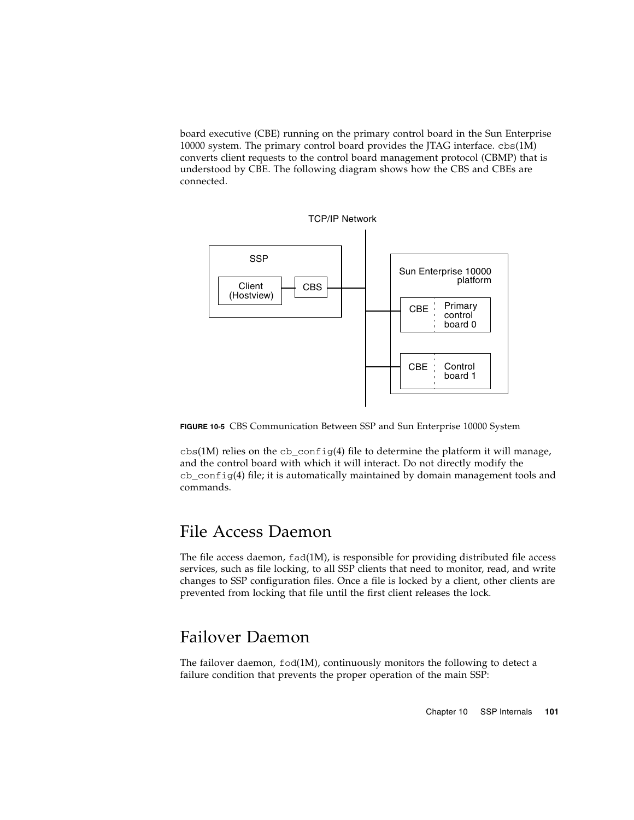board executive (CBE) running on the primary control board in the Sun Enterprise 10000 system. The primary control board provides the JTAG interface. cbs(1M) converts client requests to the control board management protocol (CBMP) that is understood by CBE. The following diagram shows how the CBS and CBEs are connected.



**FIGURE 10-5** CBS Communication Between SSP and Sun Enterprise 10000 System

cbs(1M) relies on the cb\_config(4) file to determine the platform it will manage, and the control board with which it will interact. Do not directly modify the  $cb_{\text{config}}(4)$  file; it is automatically maintained by domain management tools and commands.

## File Access Daemon

<span id="page-120-0"></span>The file access daemon,  $fad(1M)$ , is responsible for providing distributed file access services, such as file locking, to all SSP clients that need to monitor, read, and write changes to SSP configuration files. Once a file is locked by a client, other clients are prevented from locking that file until the first client releases the lock.

## Failover Daemon

<span id="page-120-1"></span>The failover daemon, fod(1M), continuously monitors the following to detect a failure condition that prevents the proper operation of the main SSP: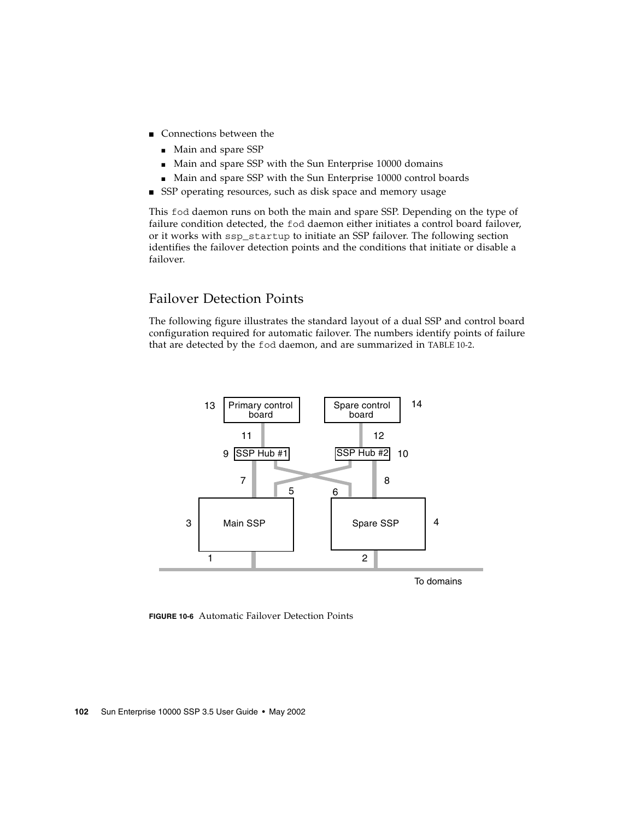- Connections between the
	- Main and spare SSP
	- Main and spare SSP with the Sun Enterprise 10000 domains
	- Main and spare SSP with the Sun Enterprise 10000 control boards
- SSP operating resources, such as disk space and memory usage

This fod daemon runs on both the main and spare SSP. Depending on the type of failure condition detected, the fod daemon either initiates a control board failover, or it works with ssp\_startup to initiate an SSP failover. The following section identifies the failover detection points and the conditions that initiate or disable a failover.

### Failover Detection Points

<span id="page-121-0"></span>The following figure illustrates the standard layout of a dual SSP and control board configuration required for automatic failover. The numbers identify points of failure that are detected by the fod daemon, and are summarized in TABLE 10-2.



To domains

**FIGURE 10-6** Automatic Failover Detection Points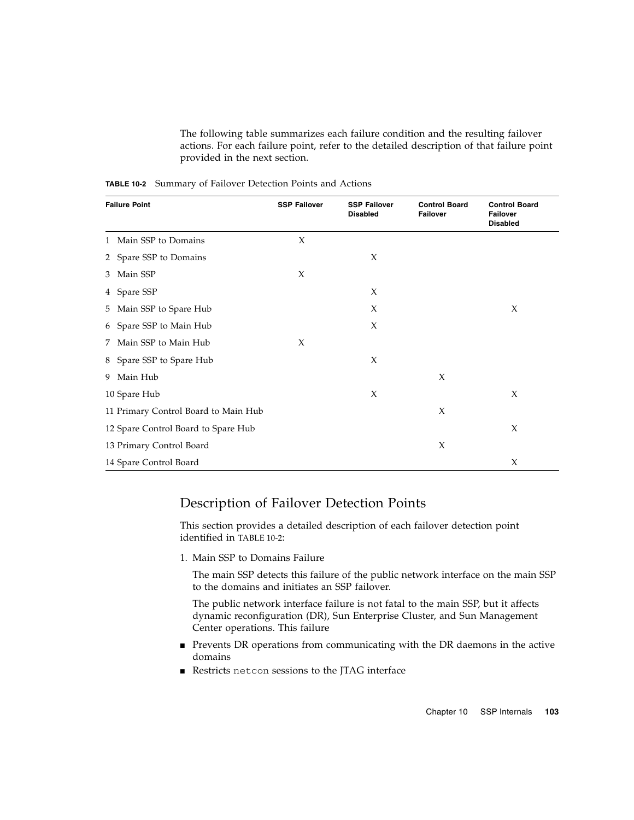The following table summarizes each failure condition and the resulting failover actions. For each failure point, refer to the detailed description of that failure point provided in the next section.

| <b>Failure Point</b>                 | <b>SSP Failover</b> | <b>SSP Failover</b><br><b>Disabled</b> | <b>Control Board</b><br><b>Failover</b> | <b>Control Board</b><br><b>Failover</b><br><b>Disabled</b> |
|--------------------------------------|---------------------|----------------------------------------|-----------------------------------------|------------------------------------------------------------|
| 1 Main SSP to Domains                | X                   |                                        |                                         |                                                            |
| 2 Spare SSP to Domains               |                     | X                                      |                                         |                                                            |
| 3 Main SSP                           | X                   |                                        |                                         |                                                            |
| 4 Spare SSP                          |                     | X                                      |                                         |                                                            |
| 5 Main SSP to Spare Hub              |                     | X                                      |                                         | X                                                          |
| 6 Spare SSP to Main Hub              |                     | X                                      |                                         |                                                            |
| 7 Main SSP to Main Hub               | X                   |                                        |                                         |                                                            |
| 8 Spare SSP to Spare Hub             |                     | X                                      |                                         |                                                            |
| 9 Main Hub                           |                     |                                        | $\chi$                                  |                                                            |
| 10 Spare Hub                         |                     | X                                      |                                         | X                                                          |
| 11 Primary Control Board to Main Hub |                     |                                        | $\chi$                                  |                                                            |
| 12 Spare Control Board to Spare Hub  |                     |                                        |                                         | X                                                          |
| 13 Primary Control Board             |                     |                                        | X                                       |                                                            |
| 14 Spare Control Board               |                     |                                        |                                         | X                                                          |

**TABLE 10-2** Summary of Failover Detection Points and Actions

### Description of Failover Detection Points

This section provides a detailed description of each failover detection point identified in TABLE 10-2:

1. Main SSP to Domains Failure

The main SSP detects this failure of the public network interface on the main SSP to the domains and initiates an SSP failover.

The public network interface failure is not fatal to the main SSP, but it affects dynamic reconfiguration (DR), Sun Enterprise Cluster, and Sun Management Center operations. This failure

- Prevents DR operations from communicating with the DR daemons in the active domains
- Restricts netcon sessions to the JTAG interface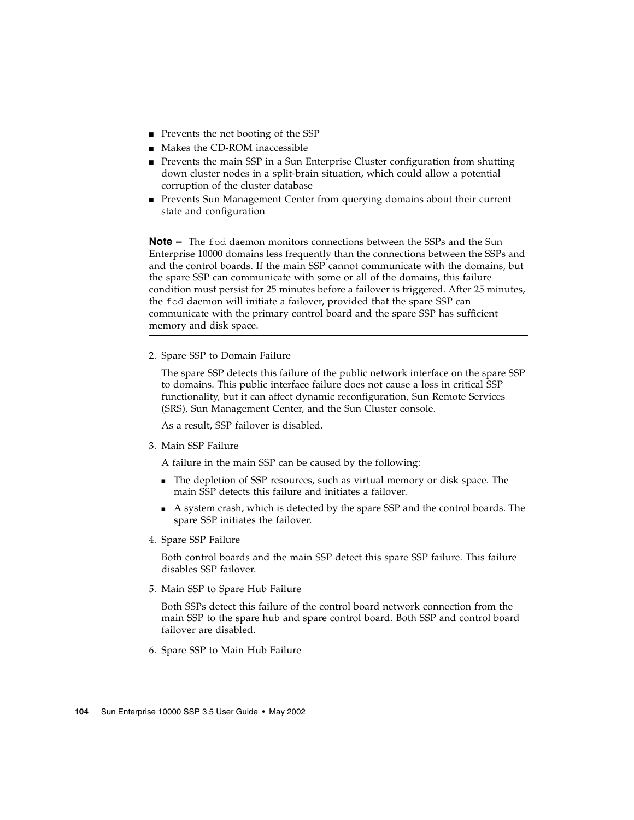- Prevents the net booting of the SSP
- Makes the CD-ROM inaccessible
- Prevents the main SSP in a Sun Enterprise Cluster configuration from shutting down cluster nodes in a split-brain situation, which could allow a potential corruption of the cluster database
- Prevents Sun Management Center from querying domains about their current state and configuration

**Note –** The fod daemon monitors connections between the SSPs and the Sun Enterprise 10000 domains less frequently than the connections between the SSPs and and the control boards. If the main SSP cannot communicate with the domains, but the spare SSP can communicate with some or all of the domains, this failure condition must persist for 25 minutes before a failover is triggered. After 25 minutes, the fod daemon will initiate a failover, provided that the spare SSP can communicate with the primary control board and the spare SSP has sufficient memory and disk space.

2. Spare SSP to Domain Failure

The spare SSP detects this failure of the public network interface on the spare SSP to domains. This public interface failure does not cause a loss in critical SSP functionality, but it can affect dynamic reconfiguration, Sun Remote Services (SRS), Sun Management Center, and the Sun Cluster console.

As a result, SSP failover is disabled.

3. Main SSP Failure

A failure in the main SSP can be caused by the following:

- The depletion of SSP resources, such as virtual memory or disk space. The main SSP detects this failure and initiates a failover.
- A system crash, which is detected by the spare SSP and the control boards. The spare SSP initiates the failover.
- 4. Spare SSP Failure

Both control boards and the main SSP detect this spare SSP failure. This failure disables SSP failover.

5. Main SSP to Spare Hub Failure

Both SSPs detect this failure of the control board network connection from the main SSP to the spare hub and spare control board. Both SSP and control board failover are disabled.

6. Spare SSP to Main Hub Failure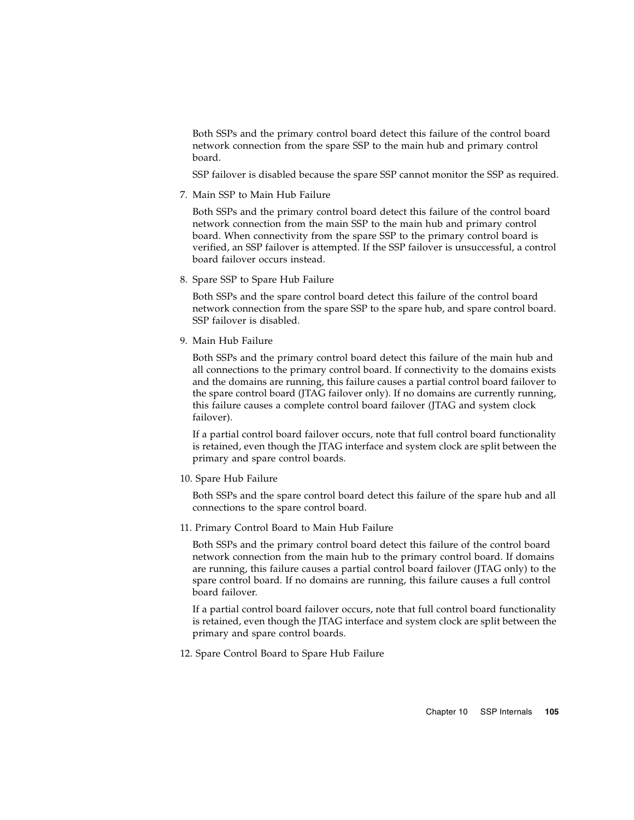Both SSPs and the primary control board detect this failure of the control board network connection from the spare SSP to the main hub and primary control board.

SSP failover is disabled because the spare SSP cannot monitor the SSP as required.

7. Main SSP to Main Hub Failure

Both SSPs and the primary control board detect this failure of the control board network connection from the main SSP to the main hub and primary control board. When connectivity from the spare SSP to the primary control board is verified, an SSP failover is attempted. If the SSP failover is unsuccessful, a control board failover occurs instead.

8. Spare SSP to Spare Hub Failure

Both SSPs and the spare control board detect this failure of the control board network connection from the spare SSP to the spare hub, and spare control board. SSP failover is disabled.

9. Main Hub Failure

Both SSPs and the primary control board detect this failure of the main hub and all connections to the primary control board. If connectivity to the domains exists and the domains are running, this failure causes a partial control board failover to the spare control board (JTAG failover only). If no domains are currently running, this failure causes a complete control board failover (JTAG and system clock failover).

If a partial control board failover occurs, note that full control board functionality is retained, even though the JTAG interface and system clock are split between the primary and spare control boards.

10. Spare Hub Failure

Both SSPs and the spare control board detect this failure of the spare hub and all connections to the spare control board.

11. Primary Control Board to Main Hub Failure

Both SSPs and the primary control board detect this failure of the control board network connection from the main hub to the primary control board. If domains are running, this failure causes a partial control board failover (JTAG only) to the spare control board. If no domains are running, this failure causes a full control board failover.

If a partial control board failover occurs, note that full control board functionality is retained, even though the JTAG interface and system clock are split between the primary and spare control boards.

12. Spare Control Board to Spare Hub Failure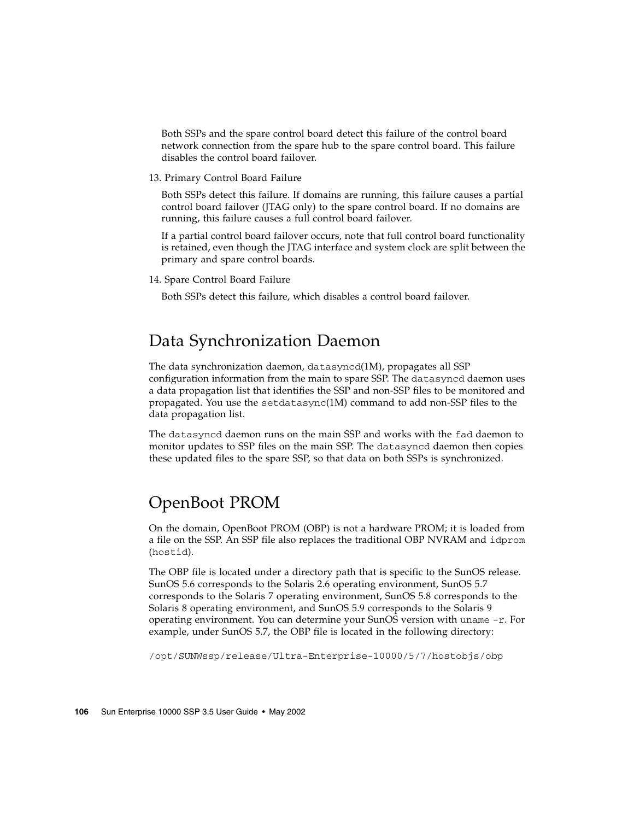Both SSPs and the spare control board detect this failure of the control board network connection from the spare hub to the spare control board. This failure disables the control board failover.

13. Primary Control Board Failure

Both SSPs detect this failure. If domains are running, this failure causes a partial control board failover (JTAG only) to the spare control board. If no domains are running, this failure causes a full control board failover.

If a partial control board failover occurs, note that full control board functionality is retained, even though the JTAG interface and system clock are split between the primary and spare control boards.

14. Spare Control Board Failure

Both SSPs detect this failure, which disables a control board failover.

## Data Synchronization Daemon

<span id="page-125-0"></span>The data synchronization daemon, datasyncd(1M), propagates all SSP configuration information from the main to spare SSP. The datasyncd daemon uses a data propagation list that identifies the SSP and non-SSP files to be monitored and propagated. You use the setdatasync(1M) command to add non-SSP files to the data propagation list.

The datasyncd daemon runs on the main SSP and works with the fad daemon to monitor updates to SSP files on the main SSP. The datasyncd daemon then copies these updated files to the spare SSP, so that data on both SSPs is synchronized.

## OpenBoot PROM

<span id="page-125-1"></span>On the domain, OpenBoot PROM (OBP) is not a hardware PROM; it is loaded from a file on the SSP. An SSP file also replaces the traditional OBP NVRAM and idprom (hostid).

The OBP file is located under a directory path that is specific to the SunOS release. SunOS 5.6 corresponds to the Solaris 2.6 operating environment, SunOS 5.7 corresponds to the Solaris 7 operating environment, SunOS 5.8 corresponds to the Solaris 8 operating environment, and SunOS 5.9 corresponds to the Solaris 9 operating environment. You can determine your SunOS version with uname -r. For example, under SunOS 5.7, the OBP file is located in the following directory:

/opt/SUNWssp/release/Ultra-Enterprise-10000/5/7/hostobjs/obp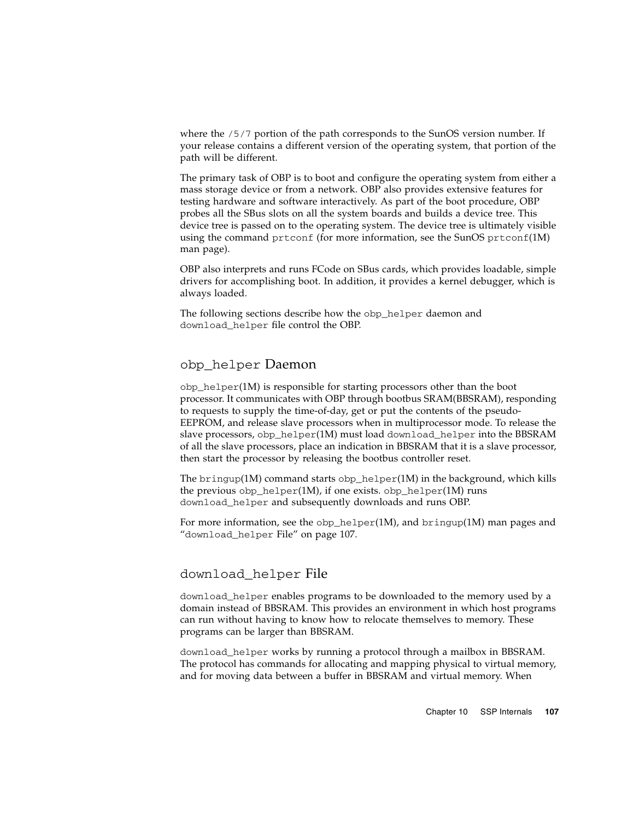where the  $/5/7$  portion of the path corresponds to the SunOS version number. If your release contains a different version of the operating system, that portion of the path will be different.

The primary task of OBP is to boot and configure the operating system from either a mass storage device or from a network. OBP also provides extensive features for testing hardware and software interactively. As part of the boot procedure, OBP probes all the SBus slots on all the system boards and builds a device tree. This device tree is passed on to the operating system. The device tree is ultimately visible using the command prtconf (for more information, see the SunOS prtconf(1M) man page).

OBP also interprets and runs FCode on SBus cards, which provides loadable, simple drivers for accomplishing boot. In addition, it provides a kernel debugger, which is always loaded.

The following sections describe how the obp\_helper daemon and download\_helper file control the OBP.

### obp\_helper Daemon

obp\_helper(1M) is responsible for starting processors other than the boot processor. It communicates with OBP through bootbus SRAM(BBSRAM), responding to requests to supply the time-of-day, get or put the contents of the pseudo-EEPROM, and release slave processors when in multiprocessor mode. To release the slave processors, obp\_helper(1M) must load download\_helper into the BBSRAM of all the slave processors, place an indication in BBSRAM that it is a slave processor, then start the processor by releasing the bootbus controller reset.

<span id="page-126-1"></span>The bringup(1M) command starts obp\_helper(1M) in the background, which kills the previous  $\text{obj\_helper}(1M)$ , if one exists.  $\text{obj\_helper}(1M)$  runs download\_helper and subsequently downloads and runs OBP.

For more information, see the  $\text{obj\_helper}(1M)$ , and  $\text{bringup}(1M)$  man pages and "[download\\_helper](#page-126-0) File" on page 107.

### <span id="page-126-2"></span><span id="page-126-0"></span>download\_helper File

download\_helper enables programs to be downloaded to the memory used by a domain instead of BBSRAM. This provides an environment in which host programs can run without having to know how to relocate themselves to memory. These programs can be larger than BBSRAM.

download\_helper works by running a protocol through a mailbox in BBSRAM. The protocol has commands for allocating and mapping physical to virtual memory, and for moving data between a buffer in BBSRAM and virtual memory. When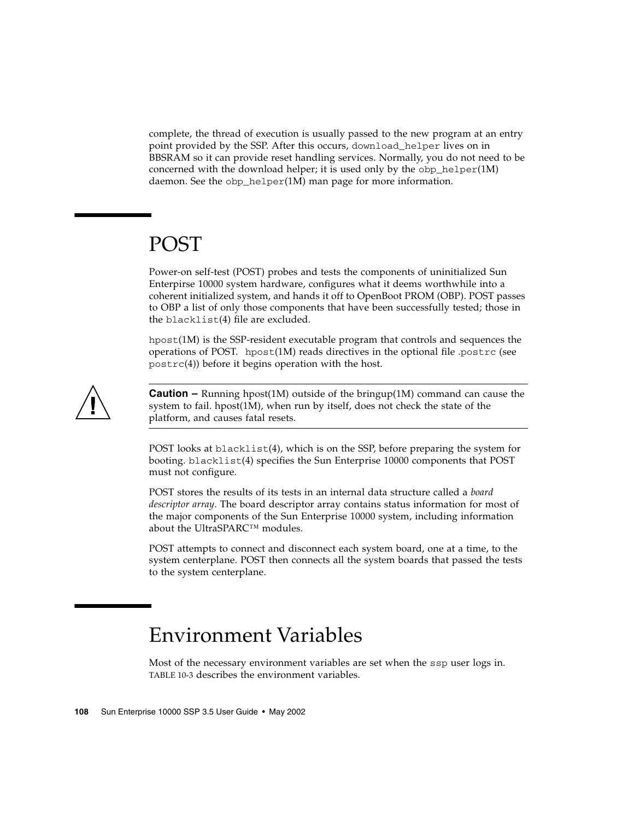complete, the thread of execution is usually passed to the new program at an entry point provided by the SSP. After this occurs, download\_helper lives on in BBSRAM so it can provide reset handling services. Normally, you do not need to be concerned with the download helper; it is used only by the  $\text{obj\_helper}(1M)$ daemon. See the obp\_helper(1M) man page for more information.

# POST

<span id="page-127-1"></span>Power-on self-test (POST) probes and tests the components of uninitialized Sun Enterpirse 10000 system hardware, configures what it deems worthwhile into a coherent initialized system, and hands it off to OpenBoot PROM (OBP). POST passes to OBP a list of only those components that have been successfully tested; those in the blacklist(4) file are excluded.

hpost(1M) is the SSP-resident executable program that controls and sequences the operations of POST. hpost $(1M)$  reads directives in the optional file .postrc (see postrc(4)) before it begins operation with the host.



**Caution** – Running hpost(1M) outside of the bringup(1M) command can cause the system to fail. hpost(1M), when run by itself, does not check the state of the platform, and causes fatal resets.

POST looks at blacklist(4), which is on the SSP, before preparing the system for booting. blacklist(4) specifies the Sun Enterprise 10000 components that POST must not configure.

POST stores the results of its tests in an internal data structure called a *board descriptor array*. The board descriptor array contains status information for most of the major components of the Sun Enterprise 10000 system, including information about the UltraSPARC™ modules.

POST attempts to connect and disconnect each system board, one at a time, to the system centerplane. POST then connects all the system boards that passed the tests to the system centerplane.

# <span id="page-127-0"></span>Environment Variables

Most of the necessary environment variables are set when the ssp user logs in. [TABLE 10-3](#page-128-0) describes the environment variables.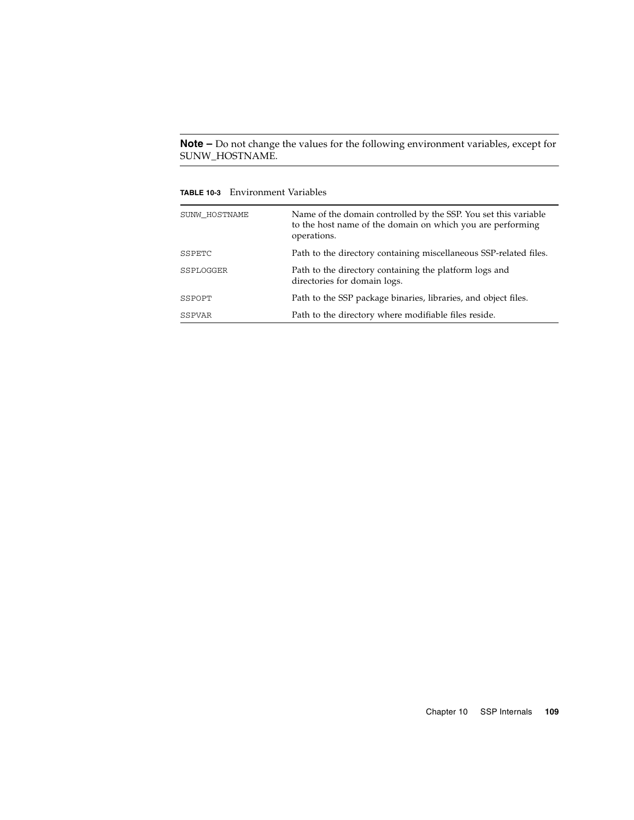**Note –** Do not change the values for the following environment variables, except for SUNW\_HOSTNAME.

<span id="page-128-0"></span>**TABLE 10-3** Environment Variables

<span id="page-128-5"></span><span id="page-128-4"></span><span id="page-128-3"></span><span id="page-128-2"></span><span id="page-128-1"></span>

| SUNW_HOSTNAME | Name of the domain controlled by the SSP. You set this variable<br>to the host name of the domain on which you are performing<br>operations. |
|---------------|----------------------------------------------------------------------------------------------------------------------------------------------|
| SSPETC        | Path to the directory containing miscellaneous SSP-related files.                                                                            |
| SSPLOGGER     | Path to the directory containing the platform logs and<br>directories for domain logs.                                                       |
| SSPOPT        | Path to the SSP package binaries, libraries, and object files.                                                                               |
| SSPVAR        | Path to the directory where modifiable files reside.                                                                                         |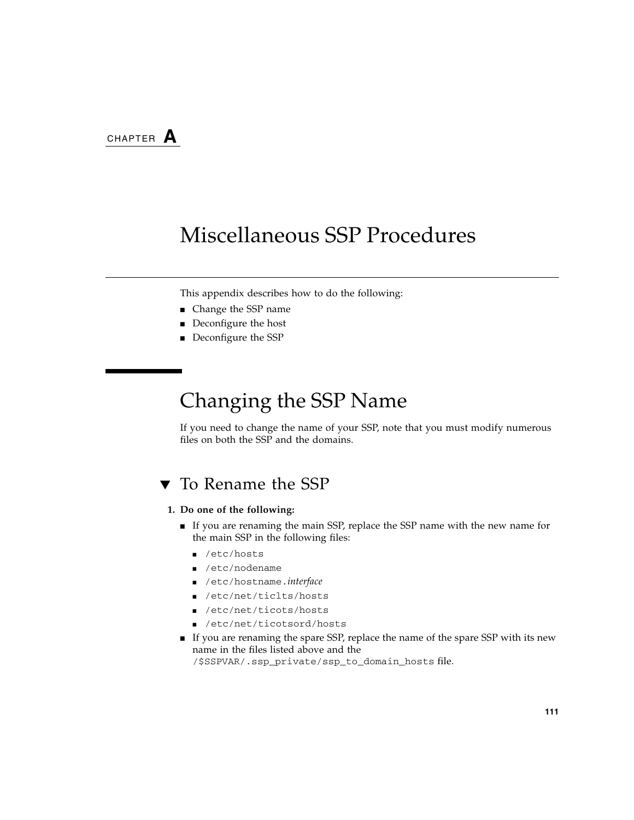# Miscellaneous SSP Procedures

This appendix describes how to do the following:

- Change the SSP name
- Deconfigure the host
- Deconfigure the SSP

# Changing the SSP Name

If you need to change the name of your SSP, note that you must modify numerous files on both the SSP and the domains.

## ▼ To Rename the SSP

### **1. Do one of the following:**

- If you are renaming the main SSP, replace the SSP name with the new name for the main SSP in the following files:
	- /etc/hosts
	- /etc/nodename
	- /etc/hostname.*interface*
	- /etc/net/ticlts/hosts
	- /etc/net/ticots/hosts
	- /etc/net/ticotsord/hosts
- If you are renaming the spare SSP, replace the name of the spare SSP with its new name in the files listed above and the /\$SSPVAR/.ssp\_private/ssp\_to\_domain\_hosts file.

**111**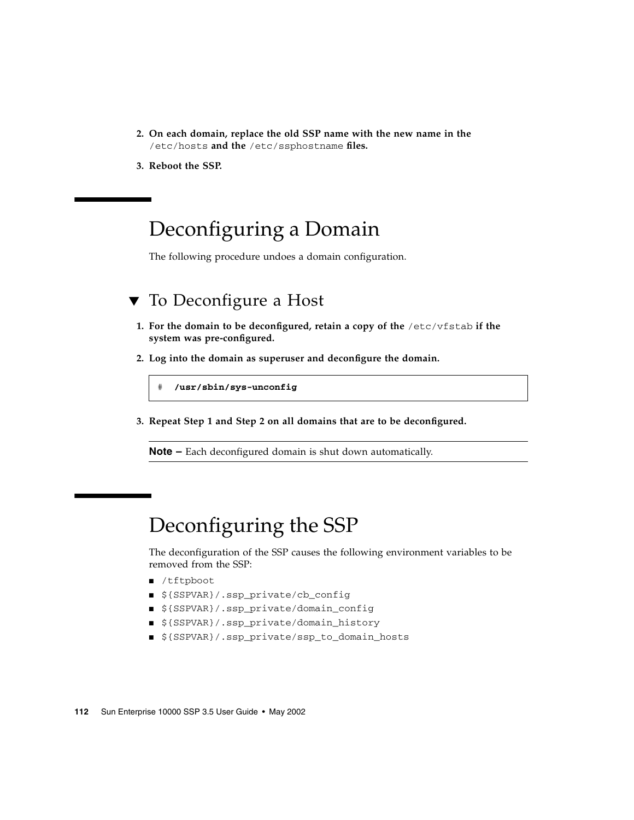- **2. On each domain, replace the old SSP name with the new name in the** /etc/hosts **and the** /etc/ssphostname **files.**
- **3. Reboot the SSP.**

# Deconfiguring a Domain

The following procedure undoes a domain configuration.

## ▼ To Deconfigure a Host

- **1. For the domain to be deconfigured, retain a copy of the** /etc/vfstab **if the system was pre-configured.**
- **2. Log into the domain as superuser and deconfigure the domain.**

# **/usr/sbin/sys-unconfig**

**3. Repeat Step 1 and Step 2 on all domains that are to be deconfigured.**

**Note –** Each deconfigured domain is shut down automatically.

# Deconfiguring the SSP

The deconfiguration of the SSP causes the following environment variables to be removed from the SSP:

- /tftpboot
- \${SSPVAR}/.ssp\_private/cb\_config
- \${SSPVAR}/.ssp\_private/domain\_config
- \${SSPVAR}/.ssp\_private/domain\_history
- \${SSPVAR}/.ssp\_private/ssp\_to\_domain\_hosts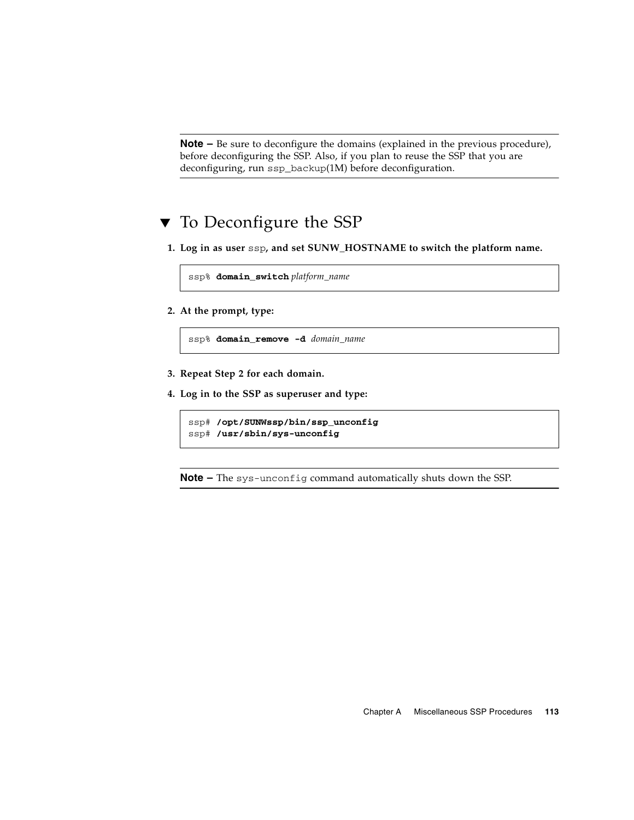**Note –** Be sure to deconfigure the domains (explained in the previous procedure), before deconfiguring the SSP. Also, if you plan to reuse the SSP that you are deconfiguring, run ssp\_backup(1M) before deconfiguration.

## ▼ To Deconfigure the SSP

**1. Log in as user** ssp**, and set SUNW\_HOSTNAME to switch the platform name.**

ssp% **domain\_switch** *platform\_name*

**2. At the prompt, type:**

ssp% **domain\_remove -d** *domain\_name*

- **3. Repeat Step 2 for each domain.**
- **4. Log in to the SSP as superuser and type:**

```
ssp# /opt/SUNWssp/bin/ssp_unconfig
ssp# /usr/sbin/sys-unconfig
```
**Note –** The sys-unconfig command automatically shuts down the SSP.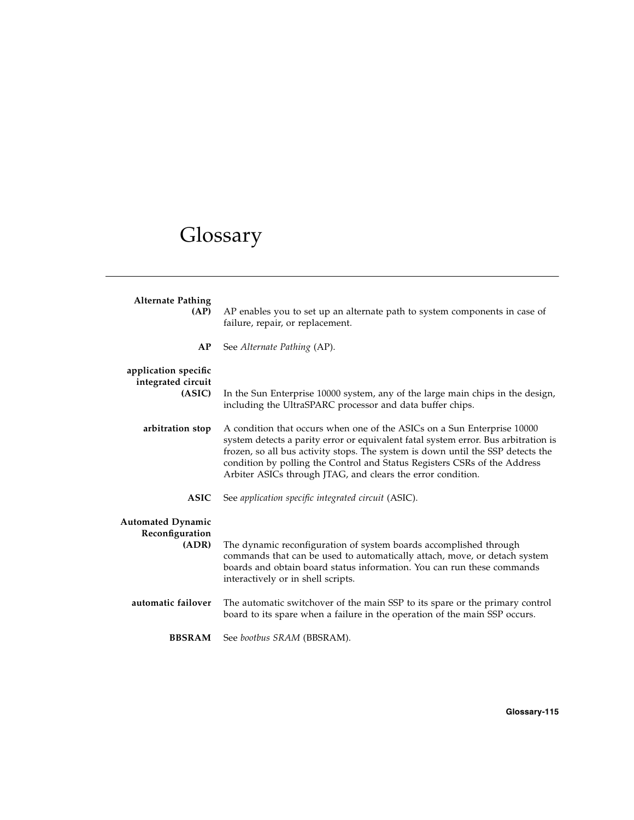# Glossary

<span id="page-134-1"></span><span id="page-134-0"></span>

| <b>Alternate Pathing</b><br>(AP)                     | AP enables you to set up an alternate path to system components in case of<br>failure, repair, or replacement.                                                                                                                                   |
|------------------------------------------------------|--------------------------------------------------------------------------------------------------------------------------------------------------------------------------------------------------------------------------------------------------|
| AP                                                   | See Alternate Pathing (AP).                                                                                                                                                                                                                      |
| application specific<br>integrated circuit<br>(ASIC) | In the Sun Enterprise 10000 system, any of the large main chips in the design,<br>including the UltraSPARC processor and data buffer chips.                                                                                                      |
| arbitration stop                                     | A condition that occurs when one of the ASICs on a Sun Enterprise 10000<br>system detects a parity error or equivalent fatal system error. Bus arbitration is<br>frozen, so all bus activity stops. The system is down until the SSP detects the |
|                                                      | condition by polling the Control and Status Registers CSRs of the Address<br>Arbiter ASICs through JTAG, and clears the error condition.                                                                                                         |
| <b>ASIC</b>                                          | See application specific integrated circuit (ASIC).                                                                                                                                                                                              |
| <b>Automated Dynamic</b><br>Reconfiguration<br>(ADR) | The dynamic reconfiguration of system boards accomplished through<br>commands that can be used to automatically attach, move, or detach system<br>boards and obtain board status information. You can run these commands                         |
| automatic failover                                   | interactively or in shell scripts.<br>The automatic switchover of the main SSP to its spare or the primary control<br>board to its spare when a failure in the operation of the main SSP occurs.                                                 |
| <b>BBSRAM</b>                                        | See bootbus SRAM (BBSRAM).                                                                                                                                                                                                                       |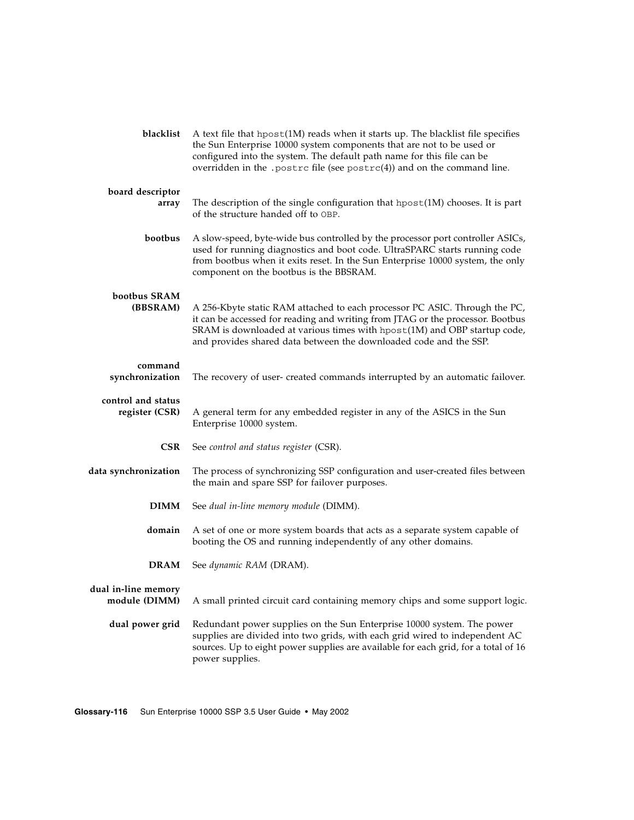<span id="page-135-5"></span><span id="page-135-4"></span><span id="page-135-3"></span><span id="page-135-2"></span><span id="page-135-1"></span><span id="page-135-0"></span>

| blacklist                            | A text file that hpost(1M) reads when it starts up. The blacklist file specifies<br>the Sun Enterprise 10000 system components that are not to be used or<br>configured into the system. The default path name for this file can be<br>overridden in the . postrc file (see $postrc(4)$ ) and on the command line. |
|--------------------------------------|--------------------------------------------------------------------------------------------------------------------------------------------------------------------------------------------------------------------------------------------------------------------------------------------------------------------|
| board descriptor<br>array            | The description of the single configuration that hpost(1M) chooses. It is part<br>of the structure handed off to OBP.                                                                                                                                                                                              |
| bootbus                              | A slow-speed, byte-wide bus controlled by the processor port controller ASICs,<br>used for running diagnostics and boot code. UltraSPARC starts running code<br>from bootbus when it exits reset. In the Sun Enterprise 10000 system, the only<br>component on the bootbus is the BBSRAM.                          |
| bootbus SRAM<br>(BBSRAM)             | A 256-Kbyte static RAM attached to each processor PC ASIC. Through the PC,<br>it can be accessed for reading and writing from JTAG or the processor. Bootbus<br>SRAM is downloaded at various times with hpost(1M) and OBP startup code,<br>and provides shared data between the downloaded code and the SSP.      |
| command<br>synchronization           | The recovery of user- created commands interrupted by an automatic failover.                                                                                                                                                                                                                                       |
| control and status<br>register (CSR) | A general term for any embedded register in any of the ASICS in the Sun<br>Enterprise 10000 system.                                                                                                                                                                                                                |
| <b>CSR</b>                           | See control and status register (CSR).                                                                                                                                                                                                                                                                             |
| data synchronization                 | The process of synchronizing SSP configuration and user-created files between<br>the main and spare SSP for failover purposes.                                                                                                                                                                                     |
| <b>DIMM</b>                          | See dual in-line memory module (DIMM).                                                                                                                                                                                                                                                                             |
| domain                               | A set of one or more system boards that acts as a separate system capable of<br>booting the OS and running independently of any other domains.                                                                                                                                                                     |
| <b>DRAM</b>                          | See dynamic RAM (DRAM).                                                                                                                                                                                                                                                                                            |
| dual in-line memory<br>module (DIMM) | A small printed circuit card containing memory chips and some support logic.                                                                                                                                                                                                                                       |
| dual power grid                      | Redundant power supplies on the Sun Enterprise 10000 system. The power<br>supplies are divided into two grids, with each grid wired to independent AC<br>sources. Up to eight power supplies are available for each grid, for a total of 16<br>power supplies.                                                     |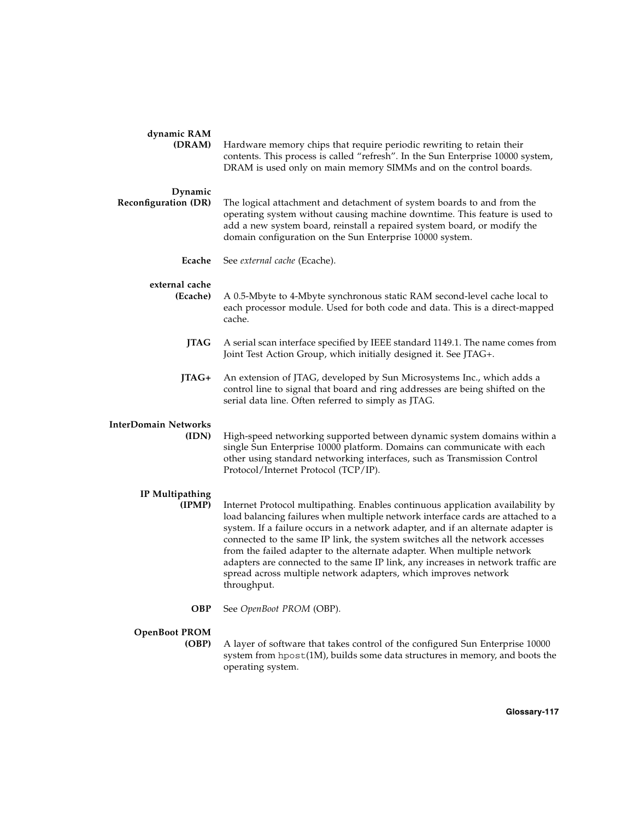<span id="page-136-3"></span><span id="page-136-2"></span><span id="page-136-1"></span><span id="page-136-0"></span>

| dynamic RAM<br>(DRAM)                  | Hardware memory chips that require periodic rewriting to retain their<br>contents. This process is called "refresh". In the Sun Enterprise 10000 system,<br>DRAM is used only on main memory SIMMs and on the control boards.                                                                                                                                                                                                                                                                                                                                                         |
|----------------------------------------|---------------------------------------------------------------------------------------------------------------------------------------------------------------------------------------------------------------------------------------------------------------------------------------------------------------------------------------------------------------------------------------------------------------------------------------------------------------------------------------------------------------------------------------------------------------------------------------|
| Dynamic<br><b>Reconfiguration (DR)</b> | The logical attachment and detachment of system boards to and from the<br>operating system without causing machine downtime. This feature is used to<br>add a new system board, reinstall a repaired system board, or modify the<br>domain configuration on the Sun Enterprise 10000 system.                                                                                                                                                                                                                                                                                          |
| Ecache                                 | See external cache (Ecache).                                                                                                                                                                                                                                                                                                                                                                                                                                                                                                                                                          |
| external cache<br>(Ecache)             | A 0.5-Mbyte to 4-Mbyte synchronous static RAM second-level cache local to<br>each processor module. Used for both code and data. This is a direct-mapped<br>cache.                                                                                                                                                                                                                                                                                                                                                                                                                    |
| <b>JTAG</b>                            | A serial scan interface specified by IEEE standard 1149.1. The name comes from<br>Joint Test Action Group, which initially designed it. See JTAG+.                                                                                                                                                                                                                                                                                                                                                                                                                                    |
| JTAG+                                  | An extension of JTAG, developed by Sun Microsystems Inc., which adds a<br>control line to signal that board and ring addresses are being shifted on the<br>serial data line. Often referred to simply as JTAG.                                                                                                                                                                                                                                                                                                                                                                        |
| InterDomain Networks<br>(IDN)          | High-speed networking supported between dynamic system domains within a<br>single Sun Enterprise 10000 platform. Domains can communicate with each<br>other using standard networking interfaces, such as Transmission Control<br>Protocol/Internet Protocol (TCP/IP).                                                                                                                                                                                                                                                                                                                |
| IP Multipathing<br>(IPMP)              | Internet Protocol multipathing. Enables continuous application availability by<br>load balancing failures when multiple network interface cards are attached to a<br>system. If a failure occurs in a network adapter, and if an alternate adapter is<br>connected to the same IP link, the system switches all the network accesses<br>from the failed adapter to the alternate adapter. When multiple network<br>adapters are connected to the same IP link, any increases in network traffic are<br>spread across multiple network adapters, which improves network<br>throughput. |
| <b>OBP</b>                             | See OpenBoot PROM (OBP).                                                                                                                                                                                                                                                                                                                                                                                                                                                                                                                                                              |
| <b>OpenBoot PROM</b><br>(OBP)          | A layer of software that takes control of the configured Sun Enterprise 10000<br>system from hpost(1M), builds some data structures in memory, and boots the<br>operating system.                                                                                                                                                                                                                                                                                                                                                                                                     |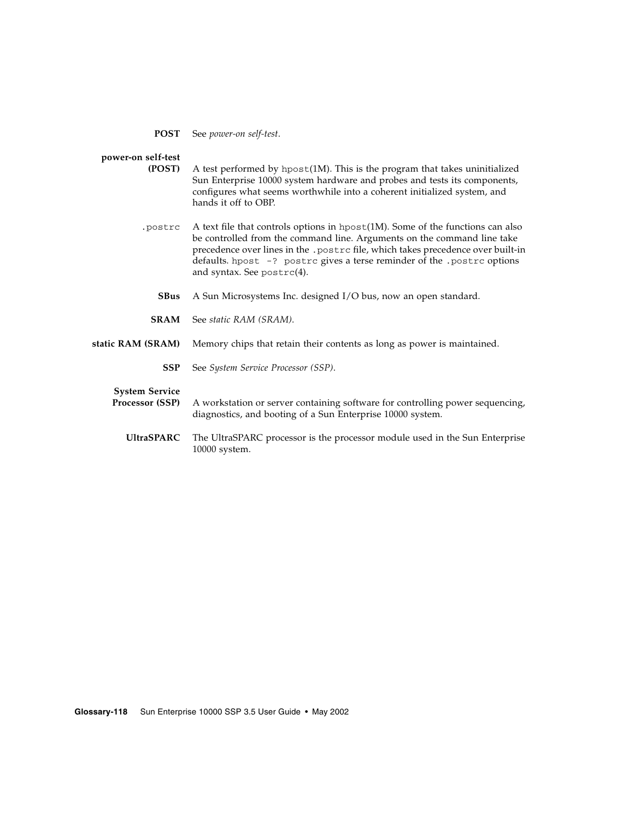**POST** See *power-on self-test*.

### <span id="page-137-0"></span>**power-on self-test**

- **(POST)** A test performed by hpost(1M). This is the program that takes uninitialized Sun Enterprise 10000 system hardware and probes and tests its components, configures what seems worthwhile into a coherent initialized system, and hands it off to OBP.
- <span id="page-137-2"></span><span id="page-137-1"></span>.postrc A text file that controls options in hpost(1M). Some of the functions can also be controlled from the command line. Arguments on the command line take precedence over lines in the .postrc file, which takes precedence over built-in defaults. hpost -? postrc gives a terse reminder of the .postrc options and syntax. See postrc(4).
	- **SBus** A Sun Microsystems Inc. designed I/O bus, now an open standard.
	- **SRAM** See *static RAM (SRAM)*.

### **static RAM (SRAM)** Memory chips that retain their contents as long as power is maintained.

<span id="page-137-3"></span>**SSP** See *System Service Processor (SSP)*.

### **System Service**

- **Processor (SSP)** A workstation or server containing software for controlling power sequencing, diagnostics, and booting of a Sun Enterprise 10000 system.
	- **UltraSPARC** The UltraSPARC processor is the processor module used in the Sun Enterprise 10000 system.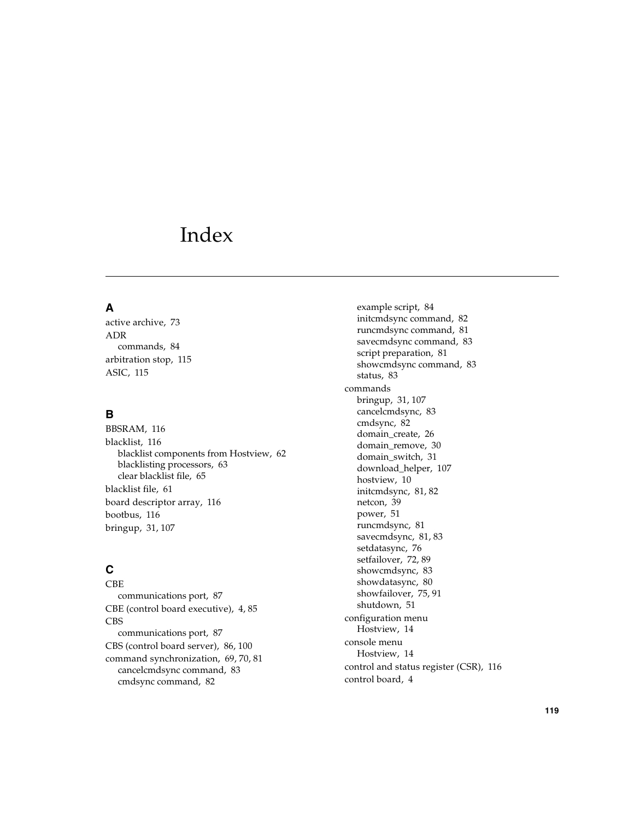## Index

### **A**

[active archive, 73](#page-92-0) ADR [commands, 84](#page-103-0) [arbitration stop, 115](#page-134-0) [ASIC, 115](#page-134-1)

### **B**

[BBSRAM, 116](#page-135-0) [blacklist, 116](#page-135-1) [blacklist components from Hostview, 62](#page-81-0) [blacklisting processors, 63](#page-82-0) [clear blacklist file, 65](#page-84-0) [blacklist file, 61](#page-80-0) [board descriptor array, 116](#page-135-2) [bootbus, 116](#page-135-3) [bringup, 31,](#page-50-0) [107](#page-126-1)

### **C**

CBE [communications port, 87](#page-106-0) [CBE \(control board executive\), 4,](#page-23-0) [85](#page-104-0) CBS [communications port, 87](#page-106-0) [CBS \(control board server\), 86,](#page-105-0) [100](#page-119-1) [command synchronization, 69,](#page-88-0) [70,](#page-89-0) [81](#page-100-0) [cancelcmdsync command, 83](#page-102-0) [cmdsync command, 82](#page-101-0)

[example script, 84](#page-103-1) [initcmdsync command, 82](#page-101-1) [runcmdsync command, 81](#page-100-1) [savecmdsync command, 83](#page-102-1) [script preparation, 81](#page-100-1) [showcmdsync command, 83](#page-102-2) [status, 83](#page-102-2) commands [bringup, 31,](#page-50-0) [107](#page-126-1) [cancelcmdsync, 83](#page-102-0) [cmdsync, 82](#page-101-0) [domain\\_create, 26](#page-45-0) [domain\\_remove, 30](#page-49-0) [domain\\_switch, 31](#page-50-1) [download\\_helper, 107](#page-126-2) [hostview, 10](#page-29-0) [initcmdsync, 81,](#page-100-2) [82](#page-101-1) [netcon, 39](#page-58-0) [power, 51](#page-70-0) [runcmdsync, 81](#page-100-1) [savecmdsync, 81,](#page-100-2) [83](#page-102-1) [setdatasync, 76](#page-95-0) [setfailover, 72,](#page-91-0) [89](#page-108-1) [showcmdsync, 83](#page-102-2) [showdatasync, 80](#page-99-0) [showfailover, 75,](#page-94-1) [91](#page-110-1) [shutdown, 51](#page-70-1) configuration menu [Hostview, 14](#page-33-0) console menu [Hostview, 14](#page-33-1) [control and status register \(CSR\), 116](#page-135-4) [control board, 4](#page-23-1)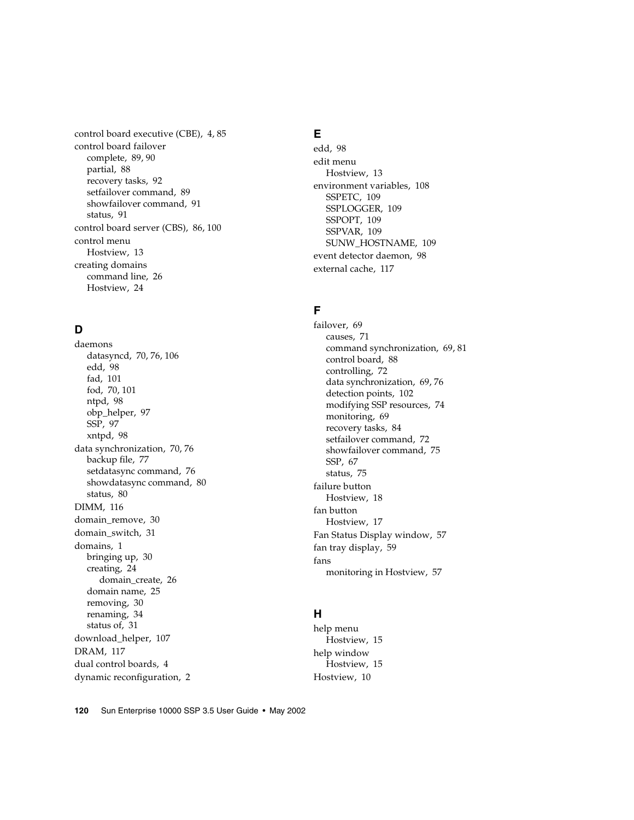[control board executive \(CBE\), 4,](#page-23-0) [85](#page-104-0) control board failover [complete, 89,](#page-108-2) [90](#page-109-1) [partial, 88](#page-107-0) [recovery tasks, 92](#page-111-1) [setfailover command, 89](#page-108-1) [showfailover command, 91](#page-110-1) [status, 91](#page-110-1) [control board server \(CBS\), 86,](#page-105-0) [100](#page-119-1) control menu [Hostview, 13](#page-32-0) creating domains [command line, 26](#page-45-0) [Hostview, 24](#page-43-0)

### **D**

daemons [datasyncd, 70,](#page-89-1) [76,](#page-95-0) [106](#page-125-0) [edd, 98](#page-117-0) [fad, 101](#page-120-0) [fod, 70,](#page-89-2) [101](#page-120-1) [ntpd, 98](#page-117-1) [obp\\_helper, 97](#page-116-0) [SSP, 97](#page-116-1) [xntpd, 98](#page-117-2) [data synchronization, 70,](#page-89-3) [76](#page-95-0) [backup file, 77](#page-96-0) [setdatasync command, 76](#page-95-0) [showdatasync command, 80](#page-99-0) [status, 80](#page-99-0) [DIMM, 116](#page-135-5) [domain\\_remove, 30](#page-49-0) [domain\\_switch, 31](#page-50-1) [domains, 1](#page-20-0) [bringing up, 30](#page-49-1) [creating, 24](#page-43-0) [domain\\_create, 26](#page-45-0) [domain name, 25](#page-44-0) [removing, 30](#page-49-0) [renaming, 34](#page-53-0) [status of, 31](#page-50-2) [download\\_helper, 107](#page-126-2) [DRAM, 117](#page-136-0) [dual control boards, 4](#page-23-1) [dynamic reconfiguration, 2](#page-21-0)

### **E**

[edd, 98](#page-117-0) edit menu [Hostview, 13](#page-32-1) [environment variables, 108](#page-127-0) [SSPETC, 109](#page-128-1) [SSPLOGGER, 109](#page-128-2) [SSPOPT, 109](#page-128-3) [SSPVAR, 109](#page-128-4) [SUNW\\_HOSTNAME, 109](#page-128-5) [event detector daemon, 98](#page-117-0) [external cache, 117](#page-136-1)

### **F**

[failover, 69](#page-88-1) [causes, 71](#page-90-0) [command synchronization, 69,](#page-88-0) [81](#page-100-0) [control board, 88](#page-107-1) [controlling, 72](#page-91-0) [data synchronization, 69,](#page-88-2) [76](#page-95-0) [detection points, 102](#page-121-0) [modifying SSP resources, 74](#page-93-0) [monitoring, 69](#page-88-3) [recovery tasks, 84](#page-103-2) [setfailover command, 72](#page-91-0) [showfailover command, 75](#page-94-1) [SSP, 67](#page-86-0) [status, 75](#page-94-1) failure button [Hostview, 18](#page-37-0) fan button [Hostview, 17](#page-36-0) [Fan Status Display window, 57](#page-76-0) [fan tray display, 59](#page-78-0) fans [monitoring in Hostview, 57](#page-76-1)

### **H**

help menu [Hostview, 15](#page-34-0) help window [Hostview, 15](#page-34-1) [Hostview, 10](#page-29-0)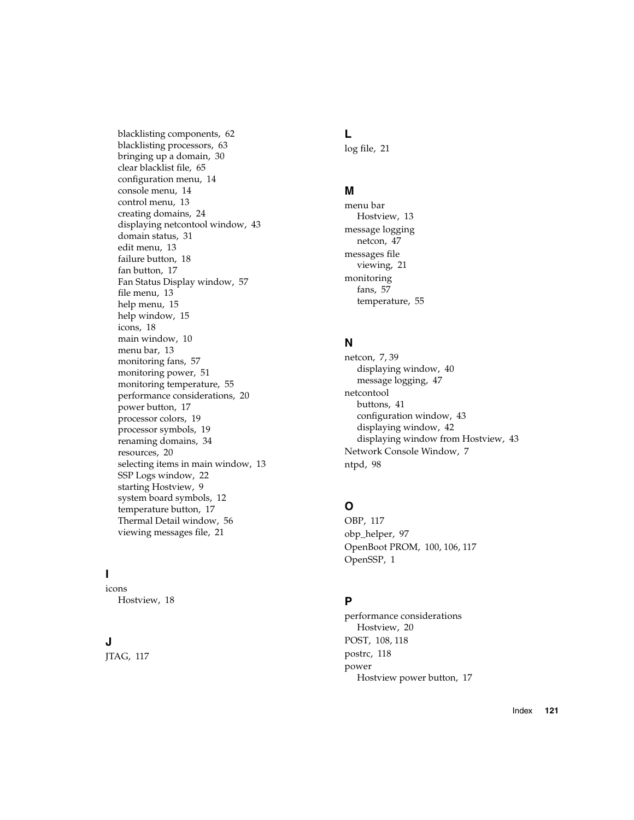[blacklisting components, 62](#page-81-0) [blacklisting processors, 63](#page-82-0) [bringing up a domain, 30](#page-49-1) [clear blacklist file, 65](#page-84-0) [configuration menu, 14](#page-33-0) [console menu, 14](#page-33-1) [control menu, 13](#page-32-0) [creating domains, 24](#page-43-0) [displaying netcontool window, 43](#page-62-0) [domain status, 31](#page-50-2) [edit menu, 13](#page-32-1) [failure button, 18](#page-37-0) [fan button, 17](#page-36-0) [Fan Status Display window, 57](#page-76-0) [file menu, 13](#page-32-2) [help menu, 15](#page-34-0) [help window, 15](#page-34-1) [icons, 18](#page-37-1) [main window, 10](#page-29-1) [menu bar, 13](#page-32-3) [monitoring fans, 57](#page-76-1) [monitoring power, 51](#page-70-2) [monitoring temperature, 55](#page-74-0) [performance considerations, 20](#page-39-0) [power button, 17](#page-36-1) [processor colors, 19](#page-38-0) [processor symbols, 19](#page-38-1) [renaming domains, 34](#page-53-0) [resources, 20](#page-39-1) [selecting items in main window, 13](#page-32-4) [SSP Logs window, 22](#page-41-0) [starting Hostview, 9](#page-28-0) [system board symbols, 12](#page-31-0) [temperature button, 17](#page-36-2) [Thermal Detail window, 56](#page-75-0) [viewing messages file, 21](#page-40-0)

### **I**

icons [Hostview, 18](#page-37-1)

### **J**

[JTAG, 117](#page-136-2)

### **L**

[log file, 21](#page-40-1)

### **M**

menu bar [Hostview, 13](#page-32-3) message logging [netcon, 47](#page-66-0) messages file [viewing, 21](#page-40-0) monitoring [fans, 57](#page-76-1) [temperature, 55](#page-74-0)

### **N**

[netcon, 7,](#page-26-0) [39](#page-58-0) [displaying window, 40](#page-59-0) [message logging, 47](#page-66-0) netcontool [buttons, 41](#page-60-0) [configuration window, 43](#page-62-1) [displaying window, 42](#page-61-0) [displaying window from Hostview, 43](#page-62-0) [Network Console Window, 7](#page-26-0) [ntpd, 98](#page-117-1)

### **O**

[OBP, 117](#page-136-3) [obp\\_helper, 97](#page-116-0) [OpenBoot PROM, 100,](#page-119-2) [106,](#page-125-1) [117](#page-136-3) [OpenSSP, 1](#page-20-1)

### **P**

performance considerations [Hostview, 20](#page-39-0) [POST, 108,](#page-127-1) [118](#page-137-0) [postrc, 118](#page-137-1) power [Hostview power button, 17](#page-36-1)